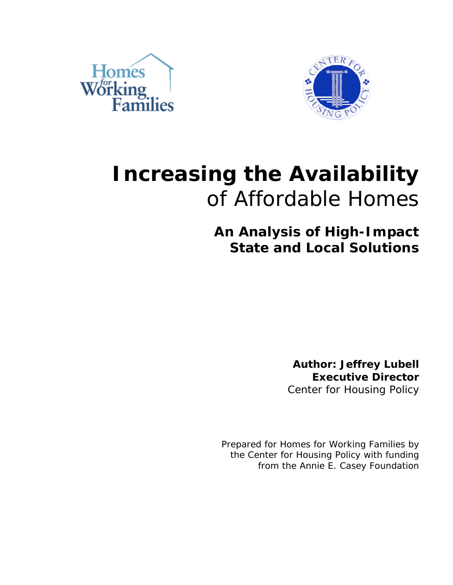



# **Increasing the Availability**  of Affordable Homes

**An Analysis of High-Impact State and Local Solutions**

> **Author: Jeffrey Lubell Executive Director** Center for Housing Policy

Prepared for Homes for Working Families by the Center for Housing Policy with funding from the Annie E. Casey Foundation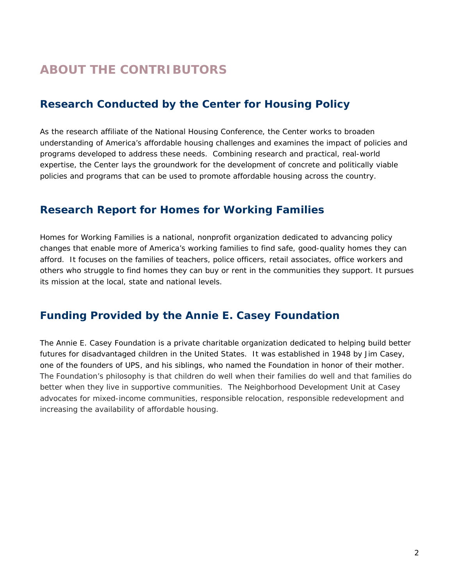# **ABOUT THE CONTRIBUTORS**

## **Research Conducted by the Center for Housing Policy**

As the research affiliate of the National Housing Conference, the Center works to broaden understanding of America's affordable housing challenges and examines the impact of policies and programs developed to address these needs. Combining research and practical, real-world expertise, the Center lays the groundwork for the development of concrete and politically viable policies and programs that can be used to promote affordable housing across the country.

#### **Research Report for Homes for Working Families**

Homes for Working Families is a national, nonprofit organization dedicated to advancing policy changes that enable more of America's working families to find safe, good-quality homes they can afford. It focuses on the families of teachers, police officers, retail associates, office workers and others who struggle to find homes they can buy or rent in the communities they support. It pursues its mission at the local, state and national levels.

### **Funding Provided by the Annie E. Casey Foundation**

The Annie E. Casey Foundation is a private charitable organization dedicated to helping build better futures for disadvantaged children in the United States. It was established in 1948 by Jim Casey, one of the founders of UPS, and his siblings, who named the Foundation in honor of their mother. The Foundation's philosophy is that children do well when their families do well and that families do better when they live in supportive communities. The Neighborhood Development Unit at Casey advocates for mixed-income communities, responsible relocation, responsible redevelopment and increasing the availability of affordable housing.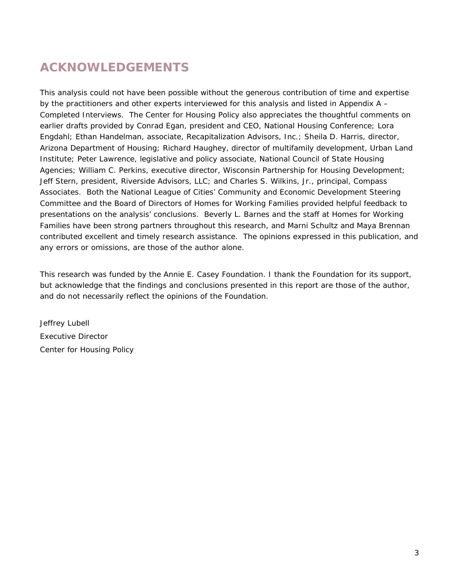# **ACKNOWLEDGEMENTS**

This analysis could not have been possible without the generous contribution of time and expertise by the practitioners and other experts interviewed for this analysis and listed in Appendix A – Completed Interviews. The Center for Housing Policy also appreciates the thoughtful comments on earlier drafts provided by Conrad Egan, president and CEO, National Housing Conference; Lora Engdahl; Ethan Handelman, associate, Recapitalization Advisors, Inc.; Sheila D. Harris, director, Arizona Department of Housing; Richard Haughey, director of multifamily development, Urban Land Institute; Peter Lawrence, legislative and policy associate, National Council of State Housing Agencies; William C. Perkins, executive director, Wisconsin Partnership for Housing Development; Jeff Stern, president, Riverside Advisors, LLC; and Charles S. Wilkins, Jr., principal, Compass Associates. Both the National League of Cities' Community and Economic Development Steering Committee and the Board of Directors of Homes for Working Families provided helpful feedback to presentations on the analysis' conclusions. Beverly L. Barnes and the staff at Homes for Working Families have been strong partners throughout this research, and Marni Schultz and Maya Brennan contributed excellent and timely research assistance. The opinions expressed in this publication, and any errors or omissions, are those of the author alone.

This research was funded by the Annie E. Casey Foundation. I thank the Foundation for its support, but acknowledge that the findings and conclusions presented in this report are those of the author, and do not necessarily reflect the opinions of the Foundation.

Jeffrey Lubell Executive Director Center for Housing Policy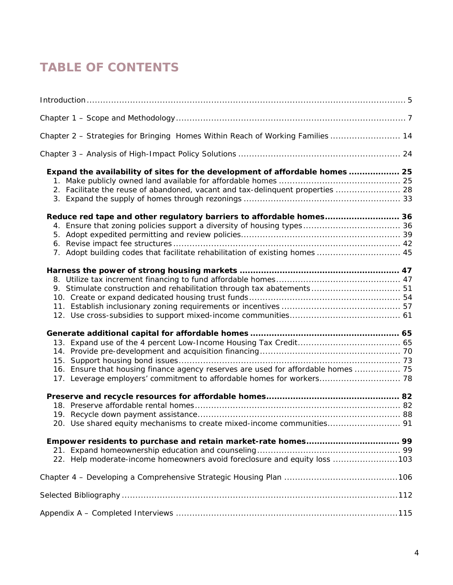# **TABLE OF CONTENTS**

| $Introduction \dots 5$                                                            |
|-----------------------------------------------------------------------------------|
|                                                                                   |
| Chapter 2 - Strategies for Bringing Homes Within Reach of Working Families  14    |
|                                                                                   |
| Expand the availability of sites for the development of affordable homes  25      |
|                                                                                   |
| 2. Facilitate the reuse of abandoned, vacant and tax-delinguent properties  28    |
|                                                                                   |
| Reduce red tape and other regulatory barriers to affordable homes 36              |
|                                                                                   |
|                                                                                   |
|                                                                                   |
| 7. Adopt building codes that facilitate rehabilitation of existing homes  45      |
|                                                                                   |
|                                                                                   |
| 9. Stimulate construction and rehabilitation through tax abatements 51            |
|                                                                                   |
|                                                                                   |
|                                                                                   |
|                                                                                   |
|                                                                                   |
|                                                                                   |
|                                                                                   |
| 16. Ensure that housing finance agency reserves are used for affordable homes  75 |
| 17. Leverage employers' commitment to affordable homes for workers 78             |
|                                                                                   |
|                                                                                   |
|                                                                                   |
| 20. Use shared equity mechanisms to create mixed-income communities 91            |
|                                                                                   |
|                                                                                   |
| 22. Help moderate-income homeowners avoid foreclosure and equity loss 103         |
|                                                                                   |
|                                                                                   |
|                                                                                   |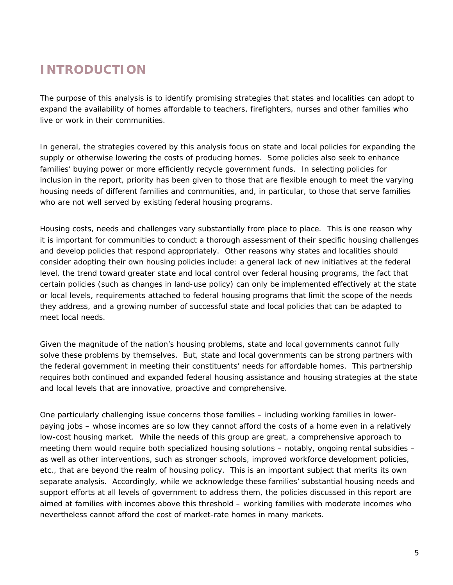# **INTRODUCTION**

The purpose of this analysis is to identify promising strategies that states and localities can adopt to expand the availability of homes affordable to teachers, firefighters, nurses and other families who live or work in their communities.

In general, the strategies covered by this analysis focus on state and local policies for *expanding the supply* or otherwise *lowering the costs* of producing homes. Some policies also seek to *enhance families' buying power* or *more efficiently recycle* government funds. In selecting policies for inclusion in the report, priority has been given to those that are flexible enough to meet the varying housing needs of different families and communities, and, in particular, to those that serve families who are not well served by existing federal housing programs.

Housing costs, needs and challenges vary substantially from place to place. This is one reason why it is important for communities to conduct a thorough assessment of their specific housing challenges and develop policies that respond appropriately. Other reasons why states and localities should consider adopting their own housing policies include: a general lack of new initiatives at the federal level, the trend toward greater state and local control over federal housing programs, the fact that certain policies (such as changes in land-use policy) can only be implemented effectively at the state or local levels, requirements attached to federal housing programs that limit the scope of the needs they address, and a growing number of successful state and local policies that can be adapted to meet local needs.

Given the magnitude of the nation's housing problems, state and local governments cannot fully solve these problems by themselves. But, state and local governments *can* be strong partners with the federal government in meeting their constituents' needs for affordable homes. This partnership requires both continued and expanded federal housing assistance *and* housing strategies at the state and local levels that are innovative, proactive and comprehensive.

One particularly challenging issue concerns those families – including working families in lowerpaying jobs – whose incomes are so low they cannot afford the costs of a home even in a relatively low-cost housing market. While the needs of this group are great, a comprehensive approach to meeting them would require both specialized housing solutions – notably, ongoing rental subsidies – as well as other interventions, such as stronger schools, improved workforce development policies, etc., that are beyond the realm of housing policy. This is an important subject that merits its own separate analysis. Accordingly, while we acknowledge these families' substantial housing needs and support efforts at all levels of government to address them, the policies discussed in this report are aimed at families with incomes above this threshold – working families with moderate incomes who nevertheless cannot afford the cost of market-rate homes in many markets.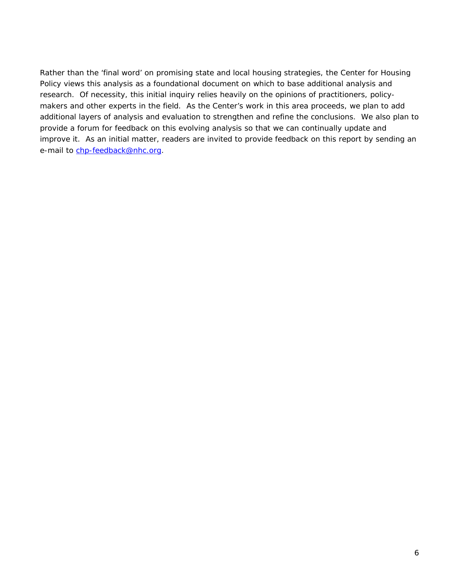Rather than the 'final word' on promising state and local housing strategies, the Center for Housing Policy views this analysis as a foundational document on which to base additional analysis and research. Of necessity, this initial inquiry relies heavily on the opinions of practitioners, policymakers and other experts in the field. As the Center's work in this area proceeds, we plan to add additional layers of analysis and evaluation to strengthen and refine the conclusions. We also plan to provide a forum for feedback on this evolving analysis so that we can continually update and improve it. As an initial matter, readers are invited to provide feedback on this report by sending an e-mail to [chp-feedback@nhc.org.](mailto:chp-feedback@nhc.org)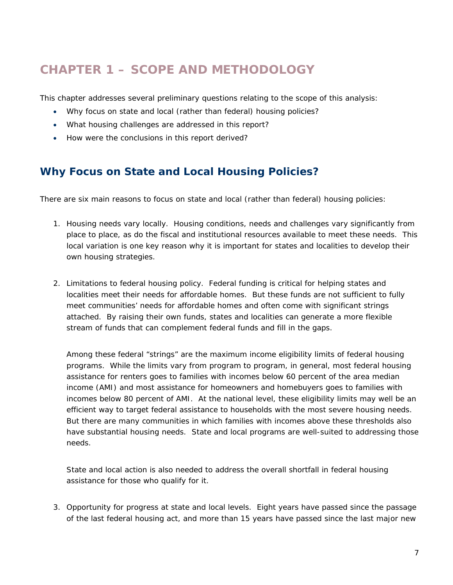# **CHAPTER 1 – SCOPE AND METHODOLOGY**

This chapter addresses several preliminary questions relating to the scope of this analysis:

- Why focus on state and local (rather than federal) housing policies?
- What housing challenges are addressed in this report?
- How were the conclusions in this report derived?

#### **Why Focus on State and Local Housing Policies?**

There are six main reasons to focus on state and local (rather than federal) housing policies:

- 1. *Housing needs vary locally*. Housing conditions, needs and challenges vary significantly from place to place, as do the fiscal and institutional resources available to meet these needs. This local variation is one key reason why it is important for states and localities to develop their own housing strategies.
- 2. *Limitations to federal housing policy*. Federal funding is critical for helping states and localities meet their needs for affordable homes. But these funds are not sufficient to fully meet communities' needs for affordable homes and often come with significant strings attached. By raising their own funds, states and localities can generate a more flexible stream of funds that can complement federal funds and fill in the gaps.

Among these federal "strings" are the maximum income eligibility limits of federal housing programs. While the limits vary from program to program, in general, most federal housing assistance for renters goes to families with incomes below 60 percent of the area median income (AMI) and most assistance for homeowners and homebuyers goes to families with incomes below 80 percent of AMI. At the national level, these eligibility limits may well be an efficient way to target federal assistance to households with the most severe housing needs. But there are many communities in which families with incomes above these thresholds also have substantial housing needs. State and local programs are well-suited to addressing those needs.

State and local action is also needed to address the overall shortfall in federal housing assistance for those who qualify for it.

3. *Opportunity for progress at state and local levels*. Eight years have passed since the passage of the last federal housing act, and more than 15 years have passed since the last major new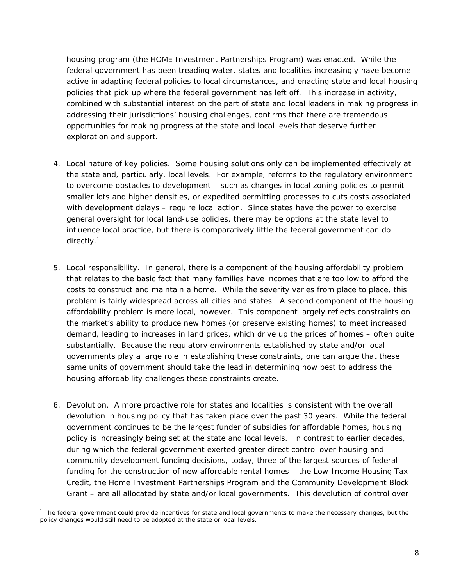housing program (the HOME Investment Partnerships Program) was enacted. While the federal government has been treading water, states and localities increasingly have become active in adapting federal policies to local circumstances, and enacting state and local housing policies that pick up where the federal government has left off. This increase in activity, combined with substantial interest on the part of state and local leaders in making progress in addressing their jurisdictions' housing challenges, confirms that there are tremendous opportunities for making progress at the state and local levels that deserve further exploration and support.

- 4. *Local nature of key policies*. Some housing solutions *only* can be implemented effectively at the state and, particularly, local levels. For example, reforms to the regulatory environment to overcome obstacles to development – such as changes in local zoning policies to permit smaller lots and higher densities, or expedited permitting processes to cuts costs associated with development delays – require local action. Since states have the power to exercise general oversight for local land-use policies, there may be options at the state level to influence local practice, but there is comparatively little the federal government can do directly.<sup>1</sup>
- 5. *Local responsibility*. In general, there is a component of the housing affordability problem that relates to the basic fact that many families have incomes that are too low to afford the costs to construct and maintain a home. While the severity varies from place to place, this problem is fairly widespread across all cities and states. A second component of the housing affordability problem is more local, however. This component largely reflects constraints on the market's ability to produce new homes (or preserve existing homes) to meet increased demand, leading to increases in land prices, which drive up the prices of homes – often quite substantially. Because the regulatory environments established by state and/or local governments play a large role in establishing these constraints, one can argue that these same units of government should take the lead in determining how best to address the housing affordability challenges these constraints create.
- *6. Devolution*. A more proactive role for states and localities is consistent with the overall devolution in housing policy that has taken place over the past 30 years. While the federal government continues to be the largest *funder* of subsidies for affordable homes, housing *policy* is increasingly being set at the state and local levels. In contrast to earlier decades, during which the federal government exerted greater direct control over housing and community development funding decisions, today, three of the largest sources of federal funding for the construction of new affordable rental homes – the Low-Income Housing Tax Credit, the Home Investment Partnerships Program and the Community Development Block Grant – are all allocated by state and/or local governments. This devolution of control over

<sup>&</sup>lt;sup>1</sup> The federal government *could* provide incentives for state and local governments to make the necessary changes, but the policy changes would still need to be adopted at the state or local levels.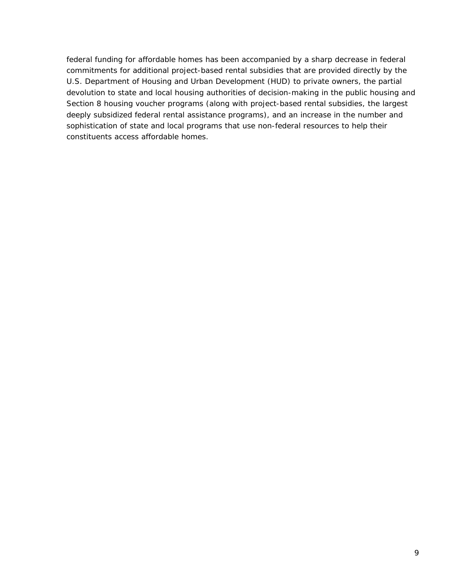federal funding for affordable homes has been accompanied by a sharp decrease in federal commitments for additional project-based rental subsidies that are provided directly by the U.S. Department of Housing and Urban Development (HUD) to private owners, the partial devolution to state and local housing authorities of decision-making in the public housing and Section 8 housing voucher programs (along with project-based rental subsidies, the largest deeply subsidized federal rental assistance programs), and an increase in the number and sophistication of state and local programs that use non-federal resources to help their constituents access affordable homes.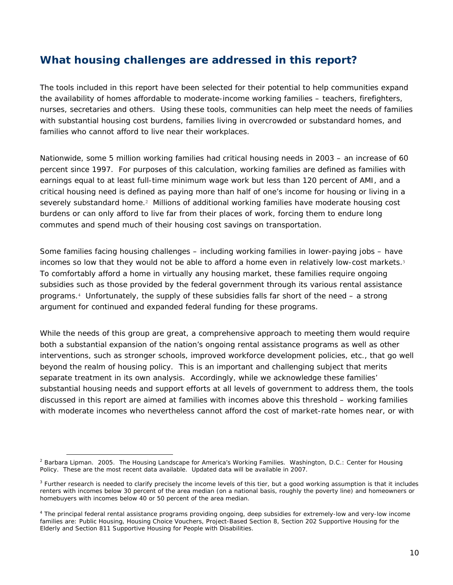#### **What housing challenges are addressed in this report?**

The tools included in this report have been selected for their potential to help communities expand the availability of homes affordable to moderate-income working families – teachers, firefighters, nurses, secretaries and others. Using these tools, communities can help meet the needs of families with substantial housing cost burdens, families living in overcrowded or substandard homes, and families who cannot afford to live near their workplaces.

Nationwide, some 5 million working families had critical housing needs in 2003 – an increase of 60 percent since 1997. For purposes of this calculation, working families are defined as families with earnings equal to at least full-time minimum wage work but less than 120 percent of AMI, and a critical housing need is defined as paying more than half of one's income for housing or living in a severely substandard home.<sup>2</sup> Millions of additional working families have moderate housing cost burdens or can only afford to live far from their places of work, forcing them to endure long commutes and spend much of their housing cost savings on transportation.

Some families facing housing challenges – including working families in lower-paying jobs – have incomes so low that they would not be able to afford a home even in relatively low-cost markets.<sup>3</sup> To comfortably afford a home in virtually any housing market, these families require ongoing subsidies such as those provided by the federal government through its various rental assistance programs.4 Unfortunately, the supply of these subsidies falls far short of the need – a strong argument for continued and expanded federal funding for these programs.

While the needs of this group are great, a comprehensive approach to meeting them would require both a substantial expansion of the nation's ongoing rental assistance programs as well as other interventions, such as stronger schools, improved workforce development policies, etc., that go well beyond the realm of housing policy. This is an important and challenging subject that merits separate treatment in its own analysis. Accordingly, while we acknowledge these families' substantial housing needs and support efforts at all levels of government to address them, the tools discussed in this report are aimed at families with incomes above this threshold – working families with moderate incomes who nevertheless cannot afford the cost of market-rate homes near, or with

<sup>2</sup> Barbara Lipman. 2005. *The Housing Landscape for America's Working Families*. Washington, D.C.: Center for Housing Policy. These are the most recent data available. Updated data will be available in 2007.

<sup>&</sup>lt;sup>3</sup> Further research is needed to clarify precisely the income levels of this tier, but a good working assumption is that it includes renters with incomes below 30 percent of the area median (on a national basis, roughly the poverty line) and homeowners or homebuyers with incomes below 40 or 50 percent of the area median.

<sup>&</sup>lt;sup>4</sup> The principal federal rental assistance programs providing ongoing, deep subsidies for extremely-low and very-low income families are: Public Housing, Housing Choice Vouchers, Project-Based Section 8, Section 202 Supportive Housing for the Elderly and Section 811 Supportive Housing for People with Disabilities.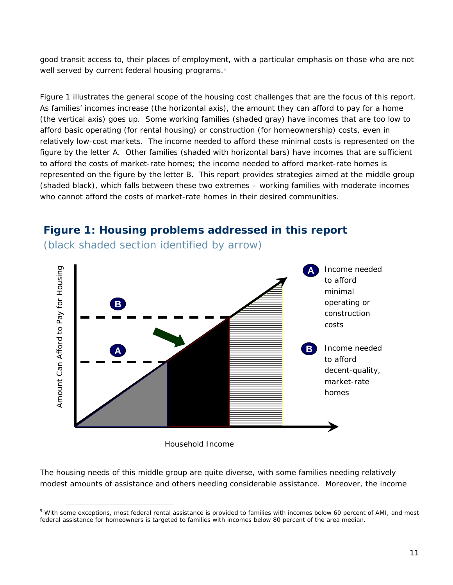good transit access to, their places of employment, with a particular emphasis on those who are not well served by current federal housing programs.<sup>5</sup>

Figure 1 illustrates the general scope of the housing cost challenges that are the focus of this report. As families' incomes increase (the horizontal axis), the amount they can afford to pay for a home (the vertical axis) goes up. Some working families (shaded gray) have incomes that are too low to afford basic operating (for rental housing) or construction (for homeownership) costs, even in relatively low-cost markets. The income needed to afford these minimal costs is represented on the figure by the letter A. Other families (shaded with horizontal bars) have incomes that are sufficient to afford the costs of market-rate homes; the income needed to afford market-rate homes is represented on the figure by the letter B. This report provides strategies aimed at the middle group (shaded black), which falls between these two extremes – working families with moderate incomes who cannot afford the costs of market-rate homes in their desired communities.

#### **Figure 1: Housing problems addressed in this report**  (black shaded section identified by arrow)





Household Income

 $\overline{a}$ 

The housing needs of this middle group are quite diverse, with some families needing relatively modest amounts of assistance and others needing considerable assistance. Moreover, the income

<sup>&</sup>lt;sup>5</sup> With some exceptions, most federal rental assistance is provided to families with incomes below 60 percent of AMI, and most federal assistance for homeowners is targeted to families with incomes below 80 percent of the area median.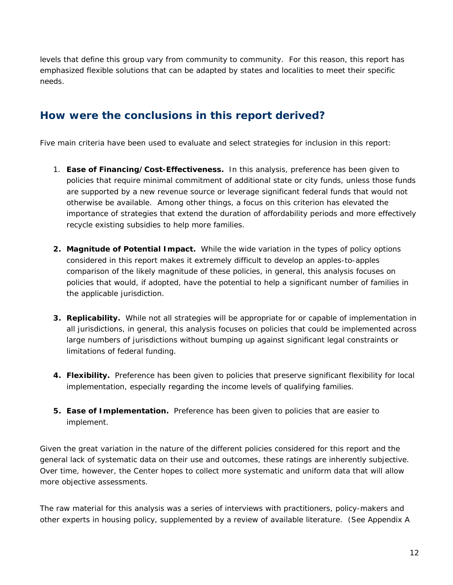levels that define this group vary from community to community. For this reason, this report has emphasized flexible solutions that can be adapted by states and localities to meet their specific needs.

#### **How were the conclusions in this report derived?**

Five main criteria have been used to evaluate and select strategies for inclusion in this report:

- 1. **Ease of Financing/Cost-Effectiveness.** In this analysis, preference has been given to policies that require minimal commitment of additional state or city funds, unless those funds are supported by a new revenue source or leverage significant federal funds that would not otherwise be available. Among other things, a focus on this criterion has elevated the importance of strategies that extend the duration of affordability periods and more effectively recycle existing subsidies to help more families.
- **2. Magnitude of Potential Impact.** While the wide variation in the types of policy options considered in this report makes it extremely difficult to develop an apples-to-apples comparison of the likely magnitude of these policies, in general, this analysis focuses on policies that would, if adopted, have the potential to help a significant number of families in the applicable jurisdiction.
- **3. Replicability.** While not all strategies will be appropriate for or capable of implementation in all jurisdictions, in general, this analysis focuses on policies that could be implemented across large numbers of jurisdictions without bumping up against significant legal constraints or limitations of federal funding.
- **4. Flexibility.** Preference has been given to policies that preserve significant flexibility for local implementation, especially regarding the income levels of qualifying families.
- **5. Ease of Implementation.** Preference has been given to policies that are easier to implement.

Given the great variation in the nature of the different policies considered for this report and the general lack of systematic data on their use and outcomes, these ratings are inherently subjective. Over time, however, the Center hopes to collect more systematic and uniform data that will allow more objective assessments.

The raw material for this analysis was a series of interviews with practitioners, policy-makers and other experts in housing policy, supplemented by a review of available literature. (See Appendix A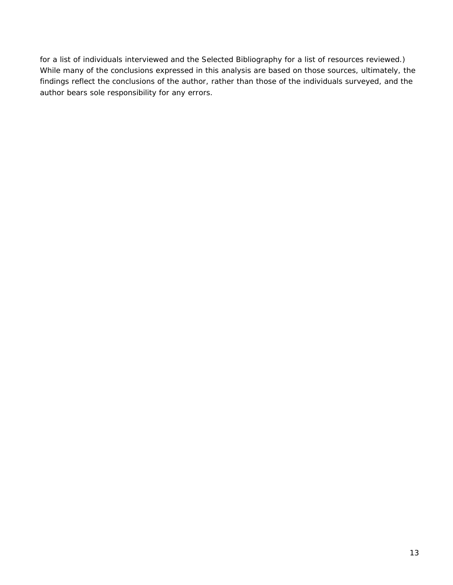for a list of individuals interviewed and the Selected Bibliography for a list of resources reviewed.) While many of the conclusions expressed in this analysis are based on those sources, ultimately, the findings reflect the conclusions of the author, rather than those of the individuals surveyed, and the author bears sole responsibility for any errors.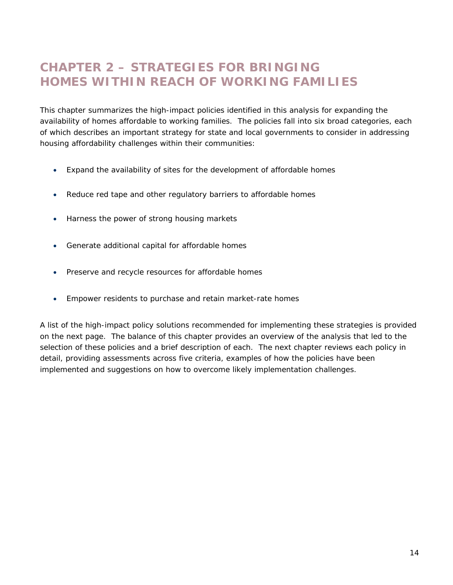## **CHAPTER 2 – STRATEGIES FOR BRINGING HOMES WITHIN REACH OF WORKING FAMILIES**

This chapter summarizes the high-impact policies identified in this analysis for expanding the availability of homes affordable to working families. The policies fall into six broad categories, each of which describes an important strategy for state and local governments to consider in addressing housing affordability challenges within their communities:

- Expand the availability of sites for the development of affordable homes
- Reduce red tape and other regulatory barriers to affordable homes
- Harness the power of strong housing markets
- Generate additional capital for affordable homes
- Preserve and recycle resources for affordable homes
- Empower residents to purchase and retain market-rate homes

A list of the high-impact policy solutions recommended for implementing these strategies is provided on the next page. The balance of this chapter provides an overview of the analysis that led to the selection of these policies and a brief description of each. The next chapter reviews each policy in detail, providing assessments across five criteria, examples of how the policies have been implemented and suggestions on how to overcome likely implementation challenges.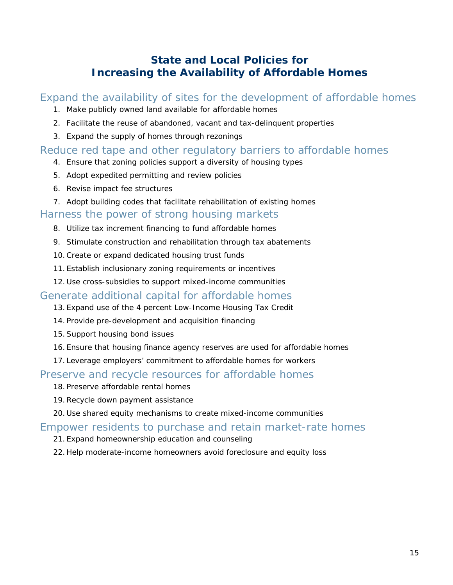## **State and Local Policies for Increasing the Availability of Affordable Homes**

#### Expand the availability of sites for the development of affordable homes

- 1. Make *publicly owned land* available for affordable homes
- 2. Facilitate the reuse of *abandoned, vacant and tax-delinquent properties*
- 3. Expand the supply of homes through *rezonings*

#### Reduce red tape and other regulatory barriers to affordable homes

- 4. Ensure that zoning policies support a *diversity of housing types*
- 5. Adopt *expedited permitting and review* policies
- 6. *Revise impact fee structures*
- 7. Adopt *building codes that facilitate rehabilitation* of existing homes

#### Harness the power of strong housing markets

- 8. Utilize *tax increment financing* to fund affordable homes
- 9. Stimulate construction and rehabilitation through *tax abatements*
- 10.Create or expand *dedicated housing trust funds*
- 11. Establish *inclusionary zoning* requirements or incentives
- 12. Use *cross-subsidies* to support mixed-income communities

#### Generate additional capital for affordable homes

- 13. Expand use of the 4 percent Low-Income Housing Tax Credit
- 14. Provide pre-development and acquisition financing
- 15.Support housing bond issues
- 16. Ensure that housing finance agency reserves are used for affordable homes
- 17. Leverage employers' commitment to affordable homes for workers

#### Preserve and recycle resources for affordable homes

- 18. Preserve affordable rental homes
- 19.Recycle down payment assistance
- 20. Use shared equity mechanisms to create mixed-income communities

#### Empower residents to purchase and retain market-rate homes

- 21. Expand homeownership education and counseling
- 22. Help moderate-income homeowners avoid foreclosure and equity loss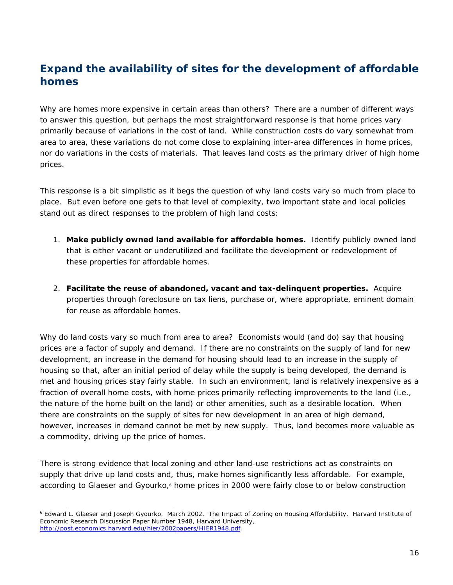## **Expand the availability of sites for the development of affordable homes**

Why are homes more expensive in certain areas than others? There are a number of different ways to answer this question, but perhaps the most straightforward response is that home prices vary primarily because of variations in the cost of land. While construction costs do vary somewhat from area to area, these variations do not come close to explaining inter-area differences in home prices, nor do variations in the costs of materials. That leaves land costs as the primary driver of high home prices.

This response is a bit simplistic as it begs the question of *why* land costs vary so much from place to place. But even before one gets to that level of complexity, two important state and local policies stand out as direct responses to the problem of high land costs:

- 1. *Make publicly owned land available for affordable homes***.** Identify publicly owned land that is either vacant or underutilized and facilitate the development or redevelopment of these properties for affordable homes.
- 2. *Facilitate the reuse of abandoned, vacant and tax-delinquent properties***.** Acquire properties through foreclosure on tax liens, purchase or, where appropriate, eminent domain for reuse as affordable homes.

Why do land costs vary so much from area to area? Economists would (and do) say that housing prices are a factor of supply and demand. If there are no constraints on the supply of land for new development, an increase in the demand for housing should lead to an increase in the supply of housing so that, after an initial period of delay while the supply is being developed, the demand is met and housing prices stay fairly stable. In such an environment, land is relatively inexpensive as a fraction of overall home costs, with home prices primarily reflecting improvements to the land (i.e., the nature of the home built on the land) or other amenities, such as a desirable location. When there are constraints on the supply of sites for new development in an area of high demand, however, increases in demand cannot be met by new supply. Thus, land becomes more valuable as a commodity, driving up the price of homes.

There is strong evidence that local zoning and other land-use restrictions act as constraints on supply that drive up land costs and, thus, make homes significantly less affordable. For example, according to Glaeser and Gyourko,<sup>6</sup> home prices in 2000 were fairly close to or below construction

<sup>&</sup>lt;sup>6</sup> Edward L. Glaeser and Joseph Gyourko. March 2002. The Impact of Zoning on Housing Affordability. Harvard Institute of Economic Research Discussion Paper Number 1948, Harvard University, http://post.economics.harvard.edu/hier/2002papers/HIER1948.pdf.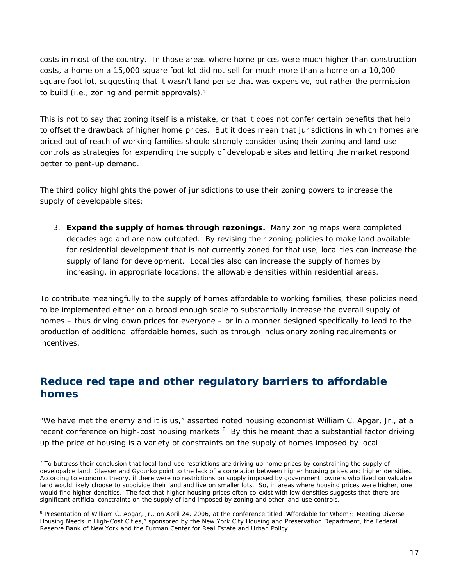costs in most of the country. In those areas where home prices were much higher than construction costs, a home on a 15,000 square foot lot did not sell for much more than a home on a 10,000 square foot lot, suggesting that it wasn't land per se that was expensive, but rather the permission to build (i.e., zoning and permit approvals).<sup>7</sup>

This is not to say that zoning itself is a mistake, or that it does not confer certain benefits that help to offset the drawback of higher home prices. But it does mean that jurisdictions in which homes are priced out of reach of working families should strongly consider using their zoning and land-use controls as strategies for expanding the supply of developable sites and letting the market respond better to pent-up demand.

The third policy highlights the power of jurisdictions to use their zoning powers to increase the supply of developable sites:

3. *Expand the supply of homes through rezonings***.** Many zoning maps were completed decades ago and are now outdated. By revising their zoning policies to make land available for residential development that is not currently zoned for that use, localities can increase the supply of land for development. Localities also can increase the supply of homes by increasing, in appropriate locations, the allowable densities within residential areas.

To contribute meaningfully to the supply of homes affordable to working families, these policies need to be implemented either on a broad enough scale to substantially increase the overall supply of homes – thus driving down prices for everyone – or in a manner designed specifically to lead to the production of additional affordable homes, such as through inclusionary zoning requirements or incentives.

## **Reduce red tape and other regulatory barriers to affordable homes**

"We have met the enemy and it is us," asserted noted housing economist William C. Apgar, Jr., at a recent conference on high-cost housing markets. $8$  By this he meant that a substantial factor driving up the price of housing is a variety of constraints on the supply of homes imposed by local

 $\overline{a}$  $<sup>7</sup>$  To buttress their conclusion that local land-use restrictions are driving up home prices by constraining the supply of</sup> developable land, Glaeser and Gyourko point to the lack of a correlation between higher housing prices and higher densities. According to economic theory, if there were no restrictions on supply imposed by government, owners who lived on valuable land would likely choose to subdivide their land and live on smaller lots. So, in areas where housing prices were higher, one would find higher densities. The fact that higher housing prices often co-exist with low densities suggests that there are significant artificial constraints on the supply of land imposed by zoning and other land-use controls.

<sup>&</sup>lt;sup>8</sup> Presentation of William C. Apgar, Jr., on April 24, 2006, at the conference titled "Affordable for Whom?: Meeting Diverse Housing Needs in High-Cost Cities," sponsored by the New York City Housing and Preservation Department, the Federal Reserve Bank of New York and the Furman Center for Real Estate and Urban Policy.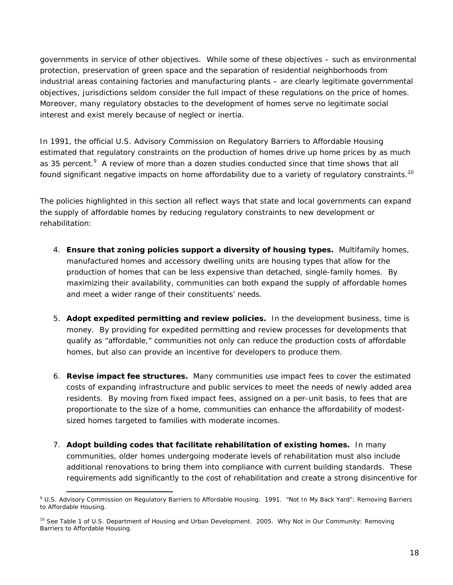governments in service of other objectives. While some of these objectives – such as environmental protection, preservation of green space and the separation of residential neighborhoods from industrial areas containing factories and manufacturing plants – are clearly legitimate governmental objectives, jurisdictions seldom consider the full impact of these regulations on the price of homes. Moreover, many regulatory obstacles to the development of homes serve no legitimate social interest and exist merely because of neglect or inertia.

In 1991, the official U.S. Advisory Commission on Regulatory Barriers to Affordable Housing estimated that regulatory constraints on the production of homes drive up home prices by as much as 35 percent.<sup>9</sup> A review of more than a dozen studies conducted since that time shows that all found significant negative impacts on home affordability due to a variety of regulatory constraints.<sup>10</sup>

The policies highlighted in this section all reflect ways that state and local governments can expand the supply of affordable homes by reducing regulatory constraints to new development or rehabilitation:

- 4. *Ensure that zoning policies support a diversity of housing types.* Multifamily homes, manufactured homes and accessory dwelling units are housing types that allow for the production of homes that can be less expensive than detached, single-family homes. By maximizing their availability, communities can both expand the supply of affordable homes and meet a wider range of their constituents' needs.
- 5. *Adopt expedited permitting and review policies***.** In the development business, time is money. By providing for expedited permitting and review processes for developments that qualify as "affordable," communities not only can reduce the production costs of affordable homes, but also can provide an incentive for developers to produce them.
- 6. *Revise impact fee structures***.** Many communities use impact fees to cover the estimated costs of expanding infrastructure and public services to meet the needs of newly added area residents. By moving from fixed impact fees, assigned on a per-unit basis, to fees that are proportionate to the size of a home, communities can enhance the affordability of modestsized homes targeted to families with moderate incomes.
- 7. *Adopt building codes that facilitate rehabilitation of existing homes***.** In many communities, older homes undergoing moderate levels of rehabilitation must also include additional renovations to bring them into compliance with current building standards. These requirements add significantly to the cost of rehabilitation and create a strong disincentive for

 $\overline{a}$ 9 U.S. Advisory Commission on Regulatory Barriers to Affordable Housing. 1991. *"Not In My Back Yard": Removing Barriers to Affordable Housing.*

<sup>10</sup> See Table 1 of U.S. Department of Housing and Urban Development. 2005. *Why Not in Our Community: Removing Barriers to Affordable Housing*.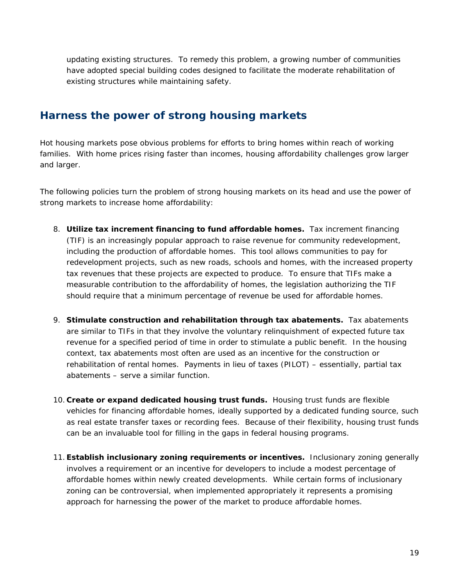updating existing structures. To remedy this problem, a growing number of communities have adopted special building codes designed to facilitate the moderate rehabilitation of existing structures while maintaining safety.

#### **Harness the power of strong housing markets**

Hot housing markets pose obvious problems for efforts to bring homes within reach of working families. With home prices rising faster than incomes, housing affordability challenges grow larger and larger.

The following policies turn the problem of strong housing markets on its head and use the power of strong markets to increase home affordability:

- 8. *Utilize tax increment financing to fund affordable homes***.** Tax increment financing (TIF) is an increasingly popular approach to raise revenue for community redevelopment, including the production of affordable homes. This tool allows communities to pay for redevelopment projects, such as new roads, schools and homes, with the increased property tax revenues that these projects are expected to produce. To ensure that TIFs make a measurable contribution to the affordability of homes, the legislation authorizing the TIF should require that a minimum percentage of revenue be used for affordable homes.
- 9. *Stimulate construction and rehabilitation through tax abatements***.** Tax abatements are similar to TIFs in that they involve the voluntary relinquishment of expected future tax revenue for a specified period of time in order to stimulate a public benefit. In the housing context, tax abatements most often are used as an incentive for the construction or rehabilitation of rental homes. Payments in lieu of taxes (PILOT) – essentially, partial tax abatements – serve a similar function.
- 10. *Create or expand dedicated housing trust funds***.** Housing trust funds are flexible vehicles for financing affordable homes, ideally supported by a dedicated funding source, such as real estate transfer taxes or recording fees. Because of their flexibility, housing trust funds can be an invaluable tool for filling in the gaps in federal housing programs.
- 11.*Establish inclusionary zoning requirements or incentives***.** Inclusionary zoning generally involves a requirement or an incentive for developers to include a modest percentage of affordable homes within newly created developments. While certain forms of inclusionary zoning can be controversial, when implemented appropriately it represents a promising approach for harnessing the power of the market to produce affordable homes.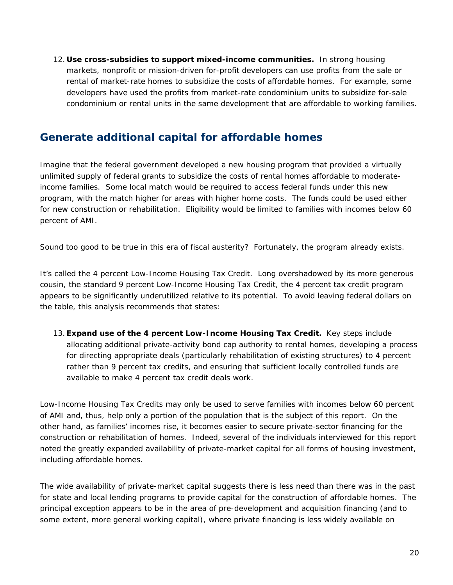12. *Use cross-subsidies to support mixed-income communities***.** In strong housing markets, nonprofit or mission-driven for-profit developers can use profits from the sale or rental of market-rate homes to subsidize the costs of affordable homes. For example, some developers have used the profits from market-rate condominium units to subsidize for-sale condominium or rental units in the same development that are affordable to working families.

## **Generate additional capital for affordable homes**

Imagine that the federal government developed a new housing program that provided a virtually unlimited supply of federal grants to subsidize the costs of rental homes affordable to moderateincome families. Some local match would be required to access federal funds under this new program, with the match higher for areas with higher home costs. The funds could be used either for new construction or rehabilitation. Eligibility would be limited to families with incomes below 60 percent of AMI.

Sound too good to be true in this era of fiscal austerity? Fortunately, the program already exists.

It's called the 4 percent Low-Income Housing Tax Credit. Long overshadowed by its more generous cousin, the standard 9 percent Low-Income Housing Tax Credit, the 4 percent tax credit program appears to be significantly underutilized relative to its potential. To avoid leaving federal dollars on the table, this analysis recommends that states:

13. **Expand use of the 4 percent Low-Income Housing Tax Credit.** Key steps include allocating additional private-activity bond cap authority to rental homes, developing a process for directing appropriate deals (particularly rehabilitation of existing structures) to 4 percent rather than 9 percent tax credits, and ensuring that sufficient locally controlled funds are available to make 4 percent tax credit deals work.

Low-Income Housing Tax Credits may only be used to serve families with incomes below 60 percent of AMI and, thus, help only a portion of the population that is the subject of this report. On the other hand, as families' incomes rise, it becomes easier to secure private-sector financing for the construction or rehabilitation of homes. Indeed, several of the individuals interviewed for this report noted the greatly expanded availability of private-market capital for all forms of housing investment, including affordable homes.

The wide availability of private-market capital suggests there is less need than there was in the past for state and local lending programs to provide capital for the construction of affordable homes. The principal exception appears to be in the area of pre-development and acquisition financing (and to some extent, more general working capital), where private financing is less widely available on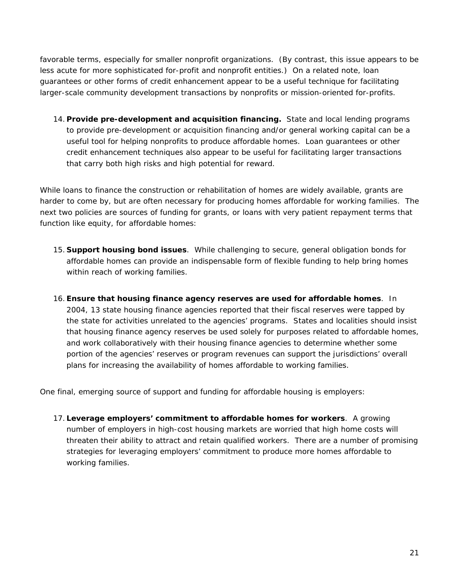favorable terms, especially for smaller nonprofit organizations. (By contrast, this issue appears to be less acute for more sophisticated for-profit and nonprofit entities.) On a related note, loan guarantees or other forms of credit enhancement appear to be a useful technique for facilitating larger-scale community development transactions by nonprofits or mission-oriented for-profits.

14. *Provide pre-development and acquisition financing***.** State and local lending programs to provide pre-development or acquisition financing and/or general working capital can be a useful tool for helping nonprofits to produce affordable homes. Loan guarantees or other credit enhancement techniques also appear to be useful for facilitating larger transactions that carry both high risks and high potential for reward.

While loans to finance the construction or rehabilitation of homes are widely available, grants are harder to come by, but are often necessary for producing homes affordable for working families. The next two policies are sources of funding for grants, or loans with very patient repayment terms that function like equity, for affordable homes:

- 15. *Support housing bond issues*. While challenging to secure, general obligation bonds for affordable homes can provide an indispensable form of flexible funding to help bring homes within reach of working families.
- 16.*Ensure that housing finance agency reserves are used for affordable homes*. In 2004, 13 state housing finance agencies reported that their fiscal reserves were tapped by the state for activities unrelated to the agencies' programs. States and localities should insist that housing finance agency reserves be used solely for purposes related to affordable homes, and work collaboratively with their housing finance agencies to determine whether some portion of the agencies' reserves or program revenues can support the jurisdictions' overall plans for increasing the availability of homes affordable to working families.

One final, emerging source of support and funding for affordable housing is employers:

17. *Leverage employers' commitment to affordable homes for workers*. A growing number of employers in high-cost housing markets are worried that high home costs will threaten their ability to attract and retain qualified workers. There are a number of promising strategies for leveraging employers' commitment to produce more homes affordable to working families.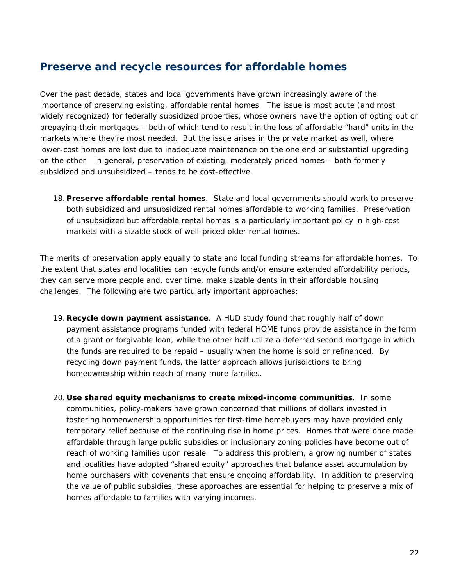#### **Preserve and recycle resources for affordable homes**

Over the past decade, states and local governments have grown increasingly aware of the importance of preserving existing, affordable rental homes. The issue is most acute (and most widely recognized) for federally subsidized properties, whose owners have the option of opting out or prepaying their mortgages – both of which tend to result in the loss of affordable "hard" units in the markets where they're most needed. But the issue arises in the private market as well, where lower-cost homes are lost due to inadequate maintenance on the one end or substantial upgrading on the other. In general, preservation of existing, moderately priced homes – both formerly subsidized and unsubsidized – tends to be cost-effective.

18. *Preserve affordable rental homes*. State and local governments should work to preserve both subsidized and unsubsidized rental homes affordable to working families. Preservation of unsubsidized but affordable rental homes is a particularly important policy in high-cost markets with a sizable stock of well-priced older rental homes.

The merits of preservation apply equally to state and local funding streams for affordable homes. To the extent that states and localities can recycle funds and/or ensure extended affordability periods, they can serve more people and, over time, make sizable dents in their affordable housing challenges. The following are two particularly important approaches:

- 19. *Recycle down payment assistance*. A HUD study found that roughly half of down payment assistance programs funded with federal HOME funds provide assistance in the form of a grant or forgivable loan, while the other half utilize a deferred second mortgage in which the funds are required to be repaid – usually when the home is sold or refinanced. By recycling down payment funds, the latter approach allows jurisdictions to bring homeownership within reach of many more families.
- 20. *Use shared equity mechanisms to create mixed-income communities*. In some communities, policy-makers have grown concerned that millions of dollars invested in fostering homeownership opportunities for first-time homebuyers may have provided only temporary relief because of the continuing rise in home prices. Homes that were once made affordable through large public subsidies or inclusionary zoning policies have become out of reach of working families upon resale. To address this problem, a growing number of states and localities have adopted "shared equity" approaches that balance asset accumulation by home purchasers with covenants that ensure ongoing affordability. In addition to preserving the value of public subsidies, these approaches are essential for helping to preserve a mix of homes affordable to families with varying incomes.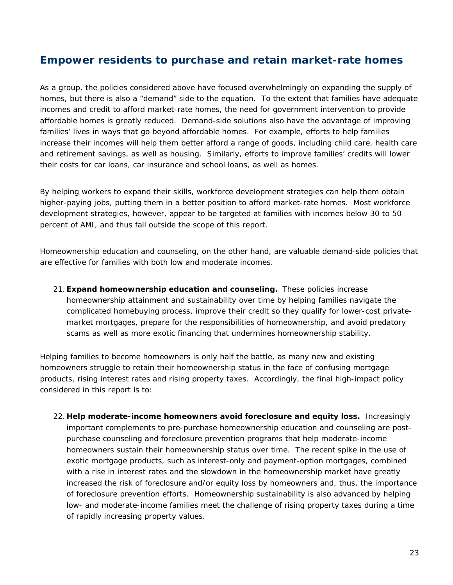#### **Empower residents to purchase and retain market-rate homes**

As a group, the policies considered above have focused overwhelmingly on expanding the supply of homes, but there is also a "demand" side to the equation. To the extent that families have adequate incomes and credit to afford market-rate homes, the need for government intervention to provide affordable homes is greatly reduced. Demand-side solutions also have the advantage of improving families' lives in ways that go beyond affordable homes. For example, efforts to help families increase their incomes will help them better afford a range of goods, including child care, health care and retirement savings, as well as housing. Similarly, efforts to improve families' credits will lower their costs for car loans, car insurance and school loans, as well as homes.

By helping workers to expand their skills, workforce development strategies can help them obtain higher-paying jobs, putting them in a better position to afford market-rate homes. Most workforce development strategies, however, appear to be targeted at families with incomes below 30 to 50 percent of AMI, and thus fall outside the scope of this report.

Homeownership education and counseling, on the other hand, are valuable demand-side policies that are effective for families with both low and moderate incomes.

21.*Expand homeownership education and counseling***.** These policies increase homeownership attainment and sustainability over time by helping families navigate the complicated homebuying process, improve their credit so they qualify for lower-cost privatemarket mortgages, prepare for the responsibilities of homeownership, and avoid predatory scams as well as more exotic financing that undermines homeownership stability.

Helping families to become homeowners is only half the battle, as many new and existing homeowners struggle to retain their homeownership status in the face of confusing mortgage products, rising interest rates and rising property taxes. Accordingly, the final high-impact policy considered in this report is to:

22. *Help moderate-income homeowners avoid foreclosure and equity loss***.** Increasingly important complements to pre-purchase homeownership education and counseling are postpurchase counseling and foreclosure prevention programs that help moderate-income homeowners sustain their homeownership status over time. The recent spike in the use of exotic mortgage products, such as interest-only and payment-option mortgages, combined with a rise in interest rates and the slowdown in the homeownership market have greatly increased the risk of foreclosure and/or equity loss by homeowners and, thus, the importance of foreclosure prevention efforts. Homeownership sustainability is also advanced by helping low- and moderate-income families meet the challenge of rising property taxes during a time of rapidly increasing property values.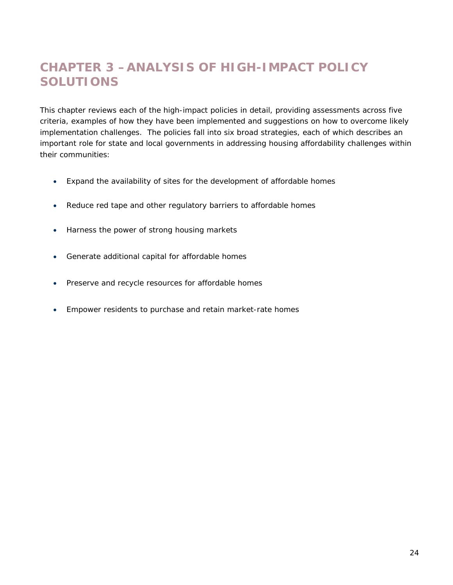# **CHAPTER 3 –ANALYSIS OF HIGH-IMPACT POLICY SOLUTIONS**

This chapter reviews each of the high-impact policies in detail, providing assessments across five criteria, examples of how they have been implemented and suggestions on how to overcome likely implementation challenges. The policies fall into six broad strategies, each of which describes an important role for state and local governments in addressing housing affordability challenges within their communities:

- Expand the availability of sites for the development of affordable homes
- Reduce red tape and other regulatory barriers to affordable homes
- Harness the power of strong housing markets
- Generate additional capital for affordable homes
- Preserve and recycle resources for affordable homes
- Empower residents to purchase and retain market-rate homes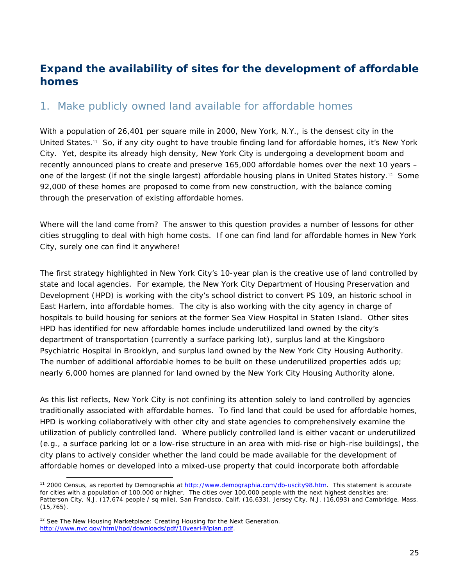## **Expand the availability of sites for the development of affordable homes**

#### 1. Make publicly owned land available for affordable homes

With a population of 26,401 per square mile in 2000, New York, N.Y., is the densest city in the United States.11 So, if any city ought to have trouble finding land for affordable homes, it's New York City. Yet, despite its already high density, New York City is undergoing a development boom and recently announced plans to create and preserve 165,000 affordable homes over the next 10 years – one of the largest (if not the single largest) affordable housing plans in United States history.12 Some 92,000 of these homes are proposed to come from new construction, with the balance coming through the preservation of existing affordable homes.

Where will the land come from? The answer to this question provides a number of lessons for other cities struggling to deal with high home costs. If one can find land for affordable homes in New York City, surely one can find it anywhere!

The first strategy highlighted in New York City's 10-year plan is the creative use of land controlled by state and local agencies. For example, the New York City Department of Housing Preservation and Development (HPD) is working with the city's school district to convert PS 109, an historic school in East Harlem, into affordable homes. The city is also working with the city agency in charge of hospitals to build housing for seniors at the former Sea View Hospital in Staten Island. Other sites HPD has identified for new affordable homes include underutilized land owned by the city's department of transportation (currently a surface parking lot), surplus land at the Kingsboro Psychiatric Hospital in Brooklyn, and surplus land owned by the New York City Housing Authority. The number of additional affordable homes to be built on these underutilized properties adds up; nearly 6,000 homes are planned for land owned by the New York City Housing Authority alone.

As this list reflects, New York City is not confining its attention solely to land controlled by agencies traditionally associated with affordable homes. To find land that could be used for affordable homes, HPD is working collaboratively with other city and state agencies to comprehensively examine the utilization of publicly controlled land. Where publicly controlled land is either vacant or underutilized (e.g., a surface parking lot or a low-rise structure in an area with mid-rise or high-rise buildings), the city plans to actively consider whether the land could be made available for the development of affordable homes or developed into a mixed-use property that could incorporate both affordable

<sup>11 2000</sup> Census, as reported by Demographia at http://www.demographia.com/db-uscity98.htm. This statement is accurate for cities with a population of 100,000 or higher. The cities over 100,000 people with the next highest densities are: Patterson City, N.J. (17,674 people / sq mile), San Francisco, Calif. (16,633), Jersey City, N.J. (16,093) and Cambridge, Mass. (15,765).

<sup>12</sup> See *The New Housing Marketplace: Creating Housing for the Next Generation*. http://www.nyc.gov/html/hpd/downloads/pdf/10yearHMplan.pdf.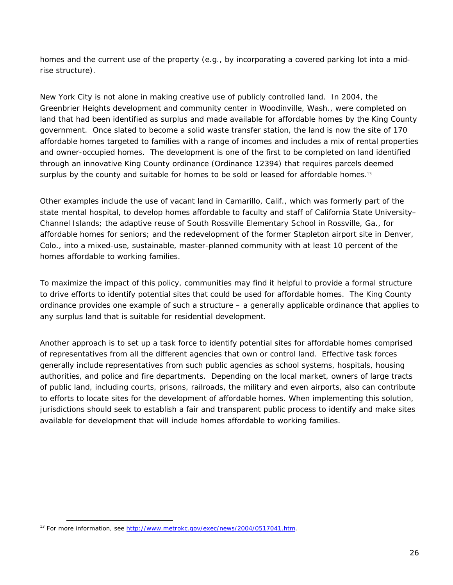homes and the current use of the property (e.g., by incorporating a covered parking lot into a midrise structure).

New York City is not alone in making creative use of publicly controlled land. In 2004, the Greenbrier Heights development and community center in Woodinville, Wash., were completed on land that had been identified as surplus and made available for affordable homes by the King County government. Once slated to become a solid waste transfer station, the land is now the site of 170 affordable homes targeted to families with a range of incomes and includes a mix of rental properties and owner-occupied homes. The development is one of the first to be completed on land identified through an innovative King County ordinance (Ordinance 12394) that requires parcels deemed surplus by the county and suitable for homes to be sold or leased for affordable homes.<sup>13</sup>

Other examples include the use of vacant land in Camarillo, Calif., which was formerly part of the state mental hospital, to develop homes affordable to faculty and staff of California State University– Channel Islands; the adaptive reuse of South Rossville Elementary School in Rossville, Ga., for affordable homes for seniors; and the redevelopment of the former Stapleton airport site in Denver, Colo., into a mixed-use, sustainable, master-planned community with at least 10 percent of the homes affordable to working families.

To maximize the impact of this policy, communities may find it helpful to provide a formal structure to drive efforts to identify potential sites that could be used for affordable homes. The King County ordinance provides one example of such a structure – a generally applicable ordinance that applies to any surplus land that is suitable for residential development.

Another approach is to set up a task force to identify potential sites for affordable homes comprised of representatives from all the different agencies that own or control land. Effective task forces generally include representatives from such public agencies as school systems, hospitals, housing authorities, and police and fire departments. Depending on the local market, owners of large tracts of public land, including courts, prisons, railroads, the military and even airports, also can contribute to efforts to locate sites for the development of affordable homes. When implementing this solution, jurisdictions should seek to establish a fair and transparent public process to identify and make sites available for development that will include homes affordable to working families.

<sup>&</sup>lt;sup>13</sup> For more information, see http://www.metrokc.gov/exec/news/2004/0517041.htm.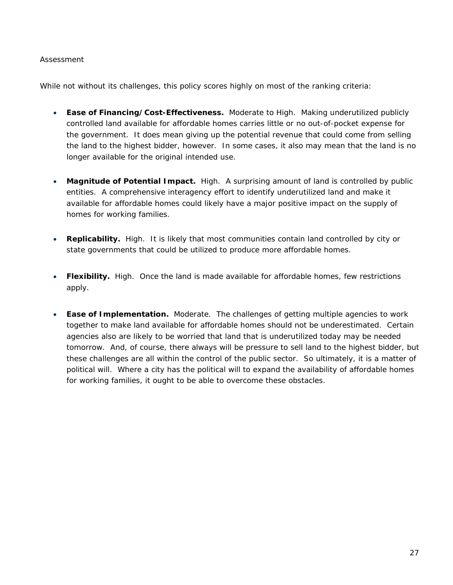#### *Assessment*

While not without its challenges, this policy scores highly on most of the ranking criteria:

- **Ease of Financing/Cost-Effectiveness.** Moderate to High. Making underutilized publicly controlled land available for affordable homes carries little or no out-of-pocket expense for the government. It does mean giving up the potential revenue that could come from selling the land to the highest bidder, however. In some cases, it also may mean that the land is no longer available for the original intended use.
- **Magnitude of Potential Impact.** High. A surprising amount of land is controlled by public entities. A comprehensive interagency effort to identify underutilized land and make it available for affordable homes could likely have a major positive impact on the supply of homes for working families.
- **Replicability.** High. It is likely that most communities contain land controlled by city or state governments that could be utilized to produce more affordable homes.
- **Flexibility.** High. Once the land is made available for affordable homes, few restrictions apply.
- **Ease of Implementation.** Moderate. The challenges of getting multiple agencies to work together to make land available for affordable homes should not be underestimated. Certain agencies also are likely to be worried that land that is underutilized today may be needed tomorrow. And, of course, there always will be pressure to sell land to the highest bidder, but these challenges are all within the control of the public sector. So ultimately, it is a matter of political will. Where a city has the political will to expand the availability of affordable homes for working families, it ought to be able to overcome these obstacles.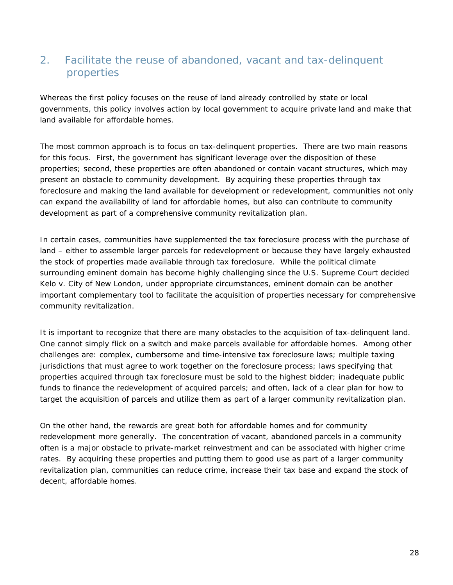## 2. Facilitate the reuse of abandoned, vacant and tax-delinquent properties

Whereas the first policy focuses on the reuse of land already controlled by state or local governments, this policy involves action by local government to acquire private land and make that land available for affordable homes.

The most common approach is to focus on tax-delinquent properties. There are two main reasons for this focus. First, the government has significant leverage over the disposition of these properties; second, these properties are often abandoned or contain vacant structures, which may present an obstacle to community development. By acquiring these properties through tax foreclosure and making the land available for development or redevelopment, communities not only can expand the availability of land for affordable homes, but also can contribute to community development as part of a comprehensive community revitalization plan.

In certain cases, communities have supplemented the tax foreclosure process with the purchase of land – either to assemble larger parcels for redevelopment or because they have largely exhausted the stock of properties made available through tax foreclosure. While the political climate surrounding eminent domain has become highly challenging since the U.S. Supreme Court decided *Kelo v. City of New London*, under appropriate circumstances, eminent domain can be another important complementary tool to facilitate the acquisition of properties necessary for comprehensive community revitalization.

It is important to recognize that there are many obstacles to the acquisition of tax-delinquent land. One cannot simply flick on a switch and make parcels available for affordable homes. Among other challenges are: complex, cumbersome and time-intensive tax foreclosure laws; multiple taxing jurisdictions that must agree to work together on the foreclosure process; laws specifying that properties acquired through tax foreclosure must be sold to the highest bidder; inadequate public funds to finance the redevelopment of acquired parcels; and often, lack of a clear plan for how to target the acquisition of parcels and utilize them as part of a larger community revitalization plan.

On the other hand, the rewards are great both for affordable homes and for community redevelopment more generally. The concentration of vacant, abandoned parcels in a community often is a major obstacle to private-market reinvestment and can be associated with higher crime rates. By acquiring these properties and putting them to good use as part of a larger community revitalization plan, communities can reduce crime, increase their tax base and expand the stock of decent, affordable homes.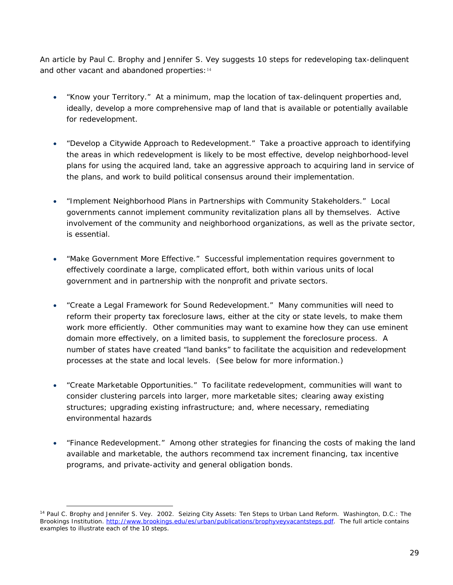An article by Paul C. Brophy and Jennifer S. Vey suggests 10 steps for redeveloping tax-delinquent and other vacant and abandoned properties: 14

- "Know your Territory." At a minimum, map the location of tax-delinquent properties and, ideally, develop a more comprehensive map of land that is available or potentially available for redevelopment.
- "Develop a Citywide Approach to Redevelopment." Take a proactive approach to identifying the areas in which redevelopment is likely to be most effective, develop neighborhood-level plans for using the acquired land, take an aggressive approach to acquiring land in service of the plans, and work to build political consensus around their implementation.
- "Implement Neighborhood Plans in Partnerships with Community Stakeholders." Local governments cannot implement community revitalization plans all by themselves. Active involvement of the community and neighborhood organizations, as well as the private sector, is essential.
- "Make Government More Effective." Successful implementation requires government to effectively coordinate a large, complicated effort, both within various units of local government and in partnership with the nonprofit and private sectors.
- "Create a Legal Framework for Sound Redevelopment." Many communities will need to reform their property tax foreclosure laws, either at the city or state levels, to make them work more efficiently. Other communities may want to examine how they can use eminent domain more effectively, on a limited basis, to supplement the foreclosure process. A number of states have created "land banks" to facilitate the acquisition and redevelopment processes at the state and local levels. (See below for more information.)
- "Create Marketable Opportunities." To facilitate redevelopment, communities will want to consider clustering parcels into larger, more marketable sites; clearing away existing structures; upgrading existing infrastructure; and, where necessary, remediating environmental hazards
- "Finance Redevelopment." Among other strategies for financing the costs of making the land available and marketable, the authors recommend tax increment financing, tax incentive programs, and private-activity and general obligation bonds.

<sup>&</sup>lt;sup>14</sup> Paul C. Brophy and Jennifer S. Vey. 2002. Seizing City Assets: Ten Steps to Urban Land Reform. Washington, D.C.: The Brookings Institution. http://www.brookings.edu/es/urban/publications/brophyveyvacantsteps.pdf. The full article contains examples to illustrate each of the 10 steps.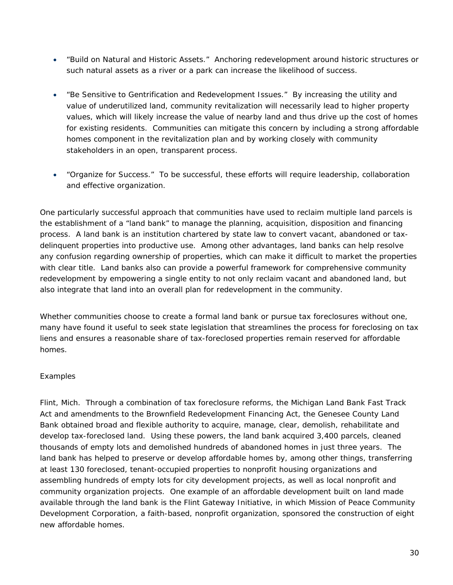- "Build on Natural and Historic Assets." Anchoring redevelopment around historic structures or such natural assets as a river or a park can increase the likelihood of success.
- "Be Sensitive to Gentrification and Redevelopment Issues." By increasing the utility and value of underutilized land, community revitalization will necessarily lead to higher property values, which will likely increase the value of nearby land and thus drive up the cost of homes for existing residents. Communities can mitigate this concern by including a strong affordable homes component in the revitalization plan and by working closely with community stakeholders in an open, transparent process.
- "Organize for Success." To be successful, these efforts will require leadership, collaboration and effective organization.

One particularly successful approach that communities have used to reclaim multiple land parcels is the establishment of a "land bank" to manage the planning, acquisition, disposition and financing process. A land bank is an institution chartered by state law to convert vacant, abandoned or taxdelinquent properties into productive use. Among other advantages, land banks can help resolve any confusion regarding ownership of properties, which can make it difficult to market the properties with clear title. Land banks also can provide a powerful framework for comprehensive community redevelopment by empowering a single entity to not only reclaim vacant and abandoned land, but also integrate that land into an overall plan for redevelopment in the community.

Whether communities choose to create a formal land bank or pursue tax foreclosures without one, many have found it useful to seek state legislation that streamlines the process for foreclosing on tax liens and ensures a reasonable share of tax-foreclosed properties remain reserved for affordable homes.

#### *Examples*

*Flint, Mich*. Through a combination of tax foreclosure reforms, the Michigan Land Bank Fast Track Act and amendments to the Brownfield Redevelopment Financing Act, the Genesee County Land Bank obtained broad and flexible authority to acquire, manage, clear, demolish, rehabilitate and develop tax-foreclosed land. Using these powers, the land bank acquired 3,400 parcels, cleaned thousands of empty lots and demolished hundreds of abandoned homes in just three years. The land bank has helped to preserve or develop affordable homes by, among other things, transferring at least 130 foreclosed, tenant-occupied properties to nonprofit housing organizations and assembling hundreds of empty lots for city development projects, as well as local nonprofit and community organization projects. One example of an affordable development built on land made available through the land bank is the Flint Gateway Initiative, in which Mission of Peace Community Development Corporation, a faith-based, nonprofit organization, sponsored the construction of eight new affordable homes.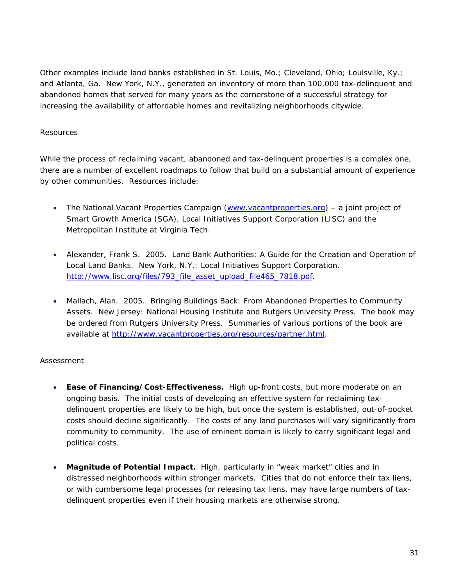Other examples include land banks established in St. Louis, Mo.; Cleveland, Ohio; Louisville, Ky.; and Atlanta, Ga. New York, N.Y., generated an inventory of more than 100,000 tax-delinquent and abandoned homes that served for many years as the cornerstone of a successful strategy for increasing the availability of affordable homes and revitalizing neighborhoods citywide.

#### *Resources*

While the process of reclaiming vacant, abandoned and tax-delinquent properties is a complex one, there are a number of excellent roadmaps to follow that build on a substantial amount of experience by other communities. Resources include:

- The National Vacant Properties Campaign (www.vacantproperties.org) a joint project of Smart Growth America (SGA), Local Initiatives Support Corporation (LISC) and the Metropolitan Institute at Virginia Tech.
- Alexander, Frank S. 2005. *Land Bank Authorities: A Guide for the Creation and Operation of Local Land Banks*. New York, N.Y.: Local Initiatives Support Corporation. http://www.lisc.org/files/793\_file\_asset\_upload\_file465\_7818.pdf.
- Mallach, Alan. 2005. *Bringing Buildings Back: From Abandoned Properties to Community Assets*. New Jersey: National Housing Institute and Rutgers University Press. The book may be ordered from Rutgers University Press. Summaries of various portions of the book are available at http://www.vacantproperties.org/resources/partner.html.

#### *Assessment*

- **Ease of Financing/Cost-Effectiveness.** High up-front costs, but more moderate on an ongoing basis. The initial costs of developing an effective system for reclaiming taxdelinquent properties are likely to be high, but once the system is established, out-of-pocket costs should decline significantly. The costs of any land purchases will vary significantly from community to community. The use of eminent domain is likely to carry significant legal and political costs.
- **Magnitude of Potential Impact.** High, particularly in "weak market" cities and in distressed neighborhoods within stronger markets. Cities that do not enforce their tax liens, or with cumbersome legal processes for releasing tax liens, may have large numbers of taxdelinquent properties even if their housing markets are otherwise strong.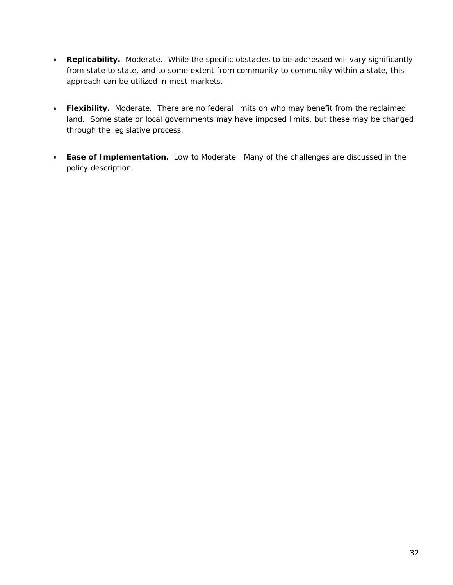- **Replicability.** Moderate. While the specific obstacles to be addressed will vary significantly from state to state, and to some extent from community to community within a state, this approach can be utilized in most markets.
- **Flexibility.** Moderate. There are no federal limits on who may benefit from the reclaimed land. Some state or local governments may have imposed limits, but these may be changed through the legislative process.
- **Ease of Implementation.** Low to Moderate. Many of the challenges are discussed in the policy description.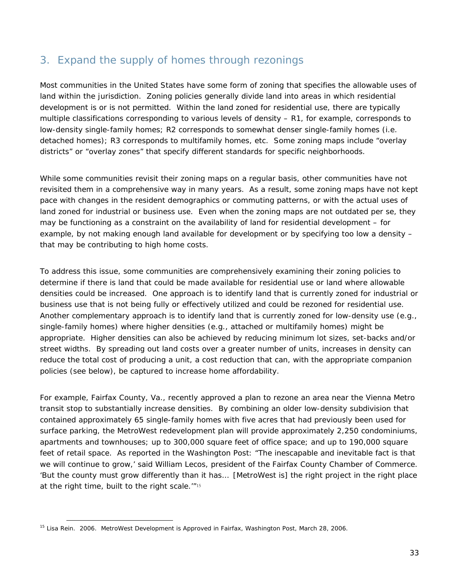## 3. Expand the supply of homes through rezonings

Most communities in the United States have some form of zoning that specifies the allowable uses of land within the jurisdiction. Zoning policies generally divide land into areas in which residential development is or is not permitted. Within the land zoned for residential use, there are typically multiple classifications corresponding to various levels of density – R1, for example, corresponds to low-density single-family homes; R2 corresponds to somewhat denser single-family homes (i.e. detached homes); R3 corresponds to multifamily homes, etc. Some zoning maps include "overlay districts" or "overlay zones" that specify different standards for specific neighborhoods.

While some communities revisit their zoning maps on a regular basis, other communities have not revisited them in a comprehensive way in many years. As a result, some zoning maps have not kept pace with changes in the resident demographics or commuting patterns, or with the actual uses of land zoned for industrial or business use. Even when the zoning maps are not outdated per se, they may be functioning as a constraint on the availability of land for residential development – for example, by not making enough land available for development or by specifying too low a density – that may be contributing to high home costs.

To address this issue, some communities are comprehensively examining their zoning policies to determine if there is land that could be made available for residential use or land where allowable densities could be increased. One approach is to identify land that is currently zoned for industrial or business use that is not being fully or effectively utilized and could be rezoned for residential use. Another complementary approach is to identify land that is currently zoned for low-density use (e.g., single-family homes) where higher densities (e.g., attached or multifamily homes) might be appropriate. Higher densities can also be achieved by reducing minimum lot sizes, set-backs and/or street widths. By spreading out land costs over a greater number of units, increases in density can reduce the total cost of producing a unit, a cost reduction that can, with the appropriate companion policies (see below), be captured to increase home affordability.

For example, Fairfax County, Va., recently approved a plan to rezone an area near the Vienna Metro transit stop to substantially increase densities. By combining an older low-density subdivision that contained approximately 65 single-family homes with five acres that had previously been used for surface parking, the MetroWest redevelopment plan will provide approximately 2,250 condominiums, apartments and townhouses; up to 300,000 square feet of office space; and up to 190,000 square feet of retail space. As reported in the *Washington Post*: "The inescapable and inevitable fact is that we will continue to grow,' said William Lecos, president of the Fairfax County Chamber of Commerce. 'But the county must grow differently than it has… [MetroWest is] the right project in the right place at the right time, built to the right scale.'"<sup>15</sup>

<sup>15</sup> Lisa Rein. 2006. MetroWest Development is Approved in Fairfax, *Washington Post*, March 28, 2006.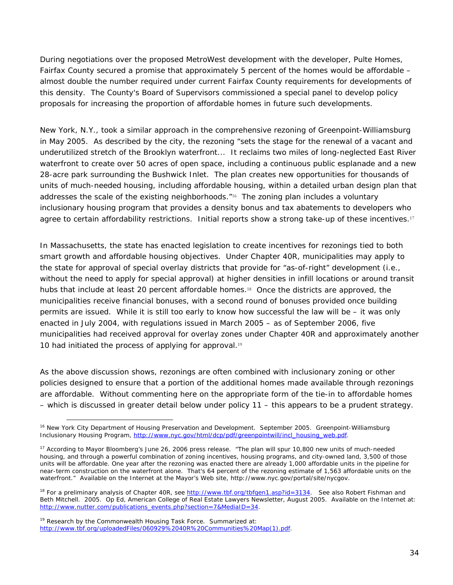During negotiations over the proposed MetroWest development with the developer, Pulte Homes, Fairfax County secured a promise that approximately 5 percent of the homes would be affordable – almost double the number required under current Fairfax County requirements for developments of this density. The County's Board of Supervisors commissioned a special panel to develop policy proposals for increasing the proportion of affordable homes in future such developments.

New York, N.Y., took a similar approach in the comprehensive rezoning of Greenpoint-Williamsburg in May 2005. As described by the city, the rezoning "sets the stage for the renewal of a vacant and underutilized stretch of the Brooklyn waterfront... It reclaims two miles of long-neglected East River waterfront to create over 50 acres of open space, including a continuous public esplanade and a new 28-acre park surrounding the Bushwick Inlet. The plan creates new opportunities for thousands of units of much-needed housing, including affordable housing, within a detailed urban design plan that addresses the scale of the existing neighborhoods."16 The zoning plan includes a voluntary inclusionary housing program that provides a density bonus and tax abatements to developers who agree to certain affordability restrictions. Initial reports show a strong take-up of these incentives.<sup>17</sup>

In Massachusetts, the state has enacted legislation to create incentives for rezonings tied to both smart growth and affordable housing objectives. Under Chapter 40R, municipalities may apply to the state for approval of special overlay districts that provide for "as-of-right" development (i.e., without the need to apply for special approval) at higher densities in infill locations or around transit hubs that include at least 20 percent affordable homes.<sup>18</sup> Once the districts are approved, the municipalities receive financial bonuses, with a second round of bonuses provided once building permits are issued. While it is still too early to know how successful the law will be – it was only enacted in July 2004, with regulations issued in March 2005 – as of September 2006, five municipalities had received approval for overlay zones under Chapter 40R and approximately another 10 had initiated the process of applying for approval.<sup>19</sup>

As the above discussion shows, rezonings are often combined with inclusionary zoning or other policies designed to ensure that a portion of the additional homes made available through rezonings are affordable. Without commenting here on the appropriate form of the tie-in to affordable homes – which is discussed in greater detail below under policy 11 – this appears to be a prudent strategy.

 $\overline{a}$ 16 New York City Department of Housing Preservation and Development. September 2005. *Greenpoint-Williamsburg Inclusionary Housing Program*, http://www.nyc.gov/html/dcp/pdf/greenpointwill/incl\_housing\_web.pdf.

<sup>&</sup>lt;sup>17</sup> According to Mayor Bloomberg's June 26, 2006 press release. "The plan will spur 10,800 new units of much-needed housing, and through a powerful combination of zoning incentives, housing programs, and city-owned land, 3,500 of those units will be affordable. One year after the rezoning was enacted there are already 1,000 affordable units in the pipeline for near-term construction on the waterfront alone. That's 64 percent of the rezoning estimate of 1,563 affordable units on the waterfront." Available on the Internet at the Mayor's Web site, http://www.nyc.gov/portal/site/nycgov.

<sup>&</sup>lt;sup>18</sup> For a preliminary analysis of Chapter 40R, see http://www.tbf.org/tbfgen1.asp?id=3134. See also Robert Fishman and Beth Mitchell. 2005. Op Ed, *American College of Real Estate Lawyers Newsletter*, August 2005. Available on the Internet at: http://www.nutter.com/publications\_events.php?section=7&MediaID=34.

 $19$  Research by the Commonwealth Housing Task Force. Summarized at: http://www.tbf.org/uploadedFiles/060929%2040R%20Communities%20Map(1).pdf.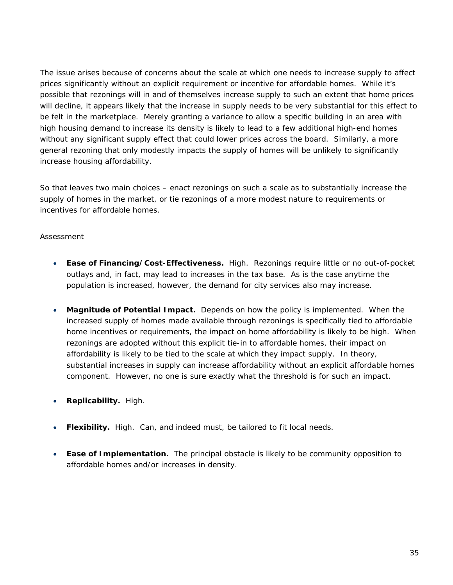The issue arises because of concerns about the scale at which one needs to increase supply to affect prices significantly without an explicit requirement or incentive for affordable homes. While it's possible that rezonings will in and of themselves increase supply to such an extent that home prices will decline, it appears likely that the increase in supply needs to be very substantial for this effect to be felt in the marketplace. Merely granting a variance to allow a specific building in an area with high housing demand to increase its density is likely to lead to a few additional high-end homes without any significant supply effect that could lower prices across the board. Similarly, a more general rezoning that only modestly impacts the supply of homes will be unlikely to significantly increase housing affordability.

So that leaves two main choices – enact rezonings on such a scale as to substantially increase the supply of homes in the market, or tie rezonings of a more modest nature to requirements or incentives for affordable homes.

#### *Assessment*

- **Ease of Financing/Cost-Effectiveness.** High. Rezonings require little or no out-of-pocket outlays and, in fact, may lead to increases in the tax base. As is the case anytime the population is increased, however, the demand for city services also may increase.
- **Magnitude of Potential Impact.** Depends on how the policy is implemented. When the increased supply of homes made available through rezonings is specifically tied to affordable home incentives or requirements, the impact on home affordability is likely to be high. When rezonings are adopted without this explicit tie-in to affordable homes, their impact on affordability is likely to be tied to the scale at which they impact supply. In theory, substantial increases in supply can increase affordability without an explicit affordable homes component. However, no one is sure exactly what the threshold is for such an impact.
- **Replicability.** High.
- **Flexibility.** High. Can, and indeed must, be tailored to fit local needs.
- **Ease of Implementation.** The principal obstacle is likely to be community opposition to affordable homes and/or increases in density.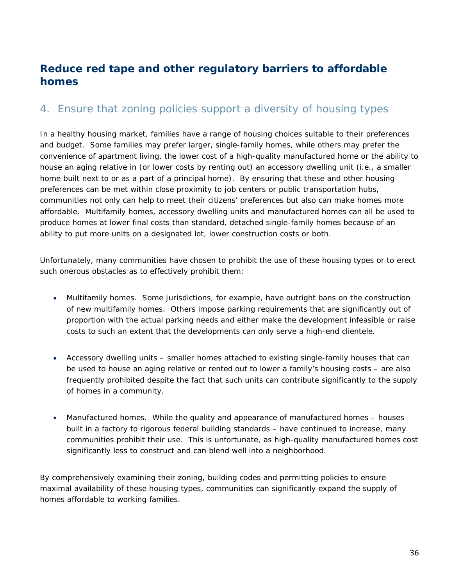## **Reduce red tape and other regulatory barriers to affordable homes**

## 4. Ensure that zoning policies support a diversity of housing types

In a healthy housing market, families have a range of housing choices suitable to their preferences and budget. Some families may prefer larger, single-family homes, while others may prefer the convenience of apartment living, the lower cost of a high-quality manufactured home or the ability to house an aging relative in (or lower costs by renting out) an accessory dwelling unit (i.e., a smaller home built next to or as a part of a principal home). By ensuring that these and other housing preferences can be met within close proximity to job centers or public transportation hubs, communities not only can help to meet their citizens' preferences but also can make homes more affordable. Multifamily homes, accessory dwelling units and manufactured homes can all be used to produce homes at lower final costs than standard, detached single-family homes because of an ability to put more units on a designated lot, lower construction costs or both.

Unfortunately, many communities have chosen to prohibit the use of these housing types or to erect such onerous obstacles as to effectively prohibit them:

- *Multifamily homes*. Some jurisdictions, for example, have outright bans on the construction of new multifamily homes. Others impose parking requirements that are significantly out of proportion with the actual parking needs and either make the development infeasible or raise costs to such an extent that the developments can only serve a high-end clientele.
- *Accessory dwelling units*  smaller homes attached to existing single-family houses that can be used to house an aging relative or rented out to lower a family's housing costs – are also frequently prohibited despite the fact that such units can contribute significantly to the supply of homes in a community.
- *Manufactured homes*. While the quality and appearance of manufactured homes houses built in a factory to rigorous federal building standards – have continued to increase, many communities prohibit their use. This is unfortunate, as high-quality manufactured homes cost significantly less to construct and can blend well into a neighborhood.

By comprehensively examining their zoning, building codes and permitting policies to ensure maximal availability of these housing types, communities can significantly expand the supply of homes affordable to working families.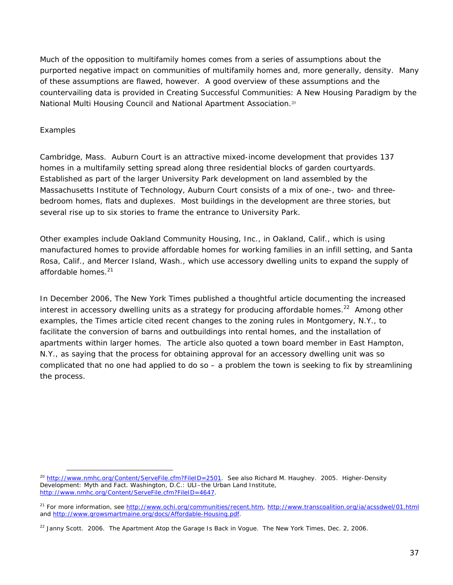Much of the opposition to multifamily homes comes from a series of assumptions about the purported negative impact on communities of multifamily homes and, more generally, density. Many of these assumptions are flawed, however. A good overview of these assumptions and the countervailing data is provided in *Creating Successful Communities: A New Housing Paradigm* by the National Multi Housing Council and National Apartment Association.<sup>20</sup>

#### *Examples*

 $\overline{a}$ 

*Cambridge, Mass*. Auburn Court is an attractive mixed-income development that provides 137 homes in a multifamily setting spread along three residential blocks of garden courtyards. Established as part of the larger University Park development on land assembled by the Massachusetts Institute of Technology, Auburn Court consists of a mix of one-, two- and threebedroom homes, flats and duplexes. Most buildings in the development are three stories, but several rise up to six stories to frame the entrance to University Park.

Other examples include Oakland Community Housing, Inc., in Oakland, Calif., which is using manufactured homes to provide affordable homes for working families in an infill setting, and Santa Rosa, Calif., and Mercer Island, Wash., which use accessory dwelling units to expand the supply of affordable homes. $21$ 

In December 2006, *The New York Times* published a thoughtful article documenting the increased interest in accessory dwelling units as a strategy for producing affordable homes.<sup>22</sup> Among other examples, the *Times* article cited recent changes to the zoning rules in Montgomery, N.Y., to facilitate the conversion of barns and outbuildings into rental homes, and the installation of apartments within larger homes. The article also quoted a town board member in East Hampton, N.Y., as saying that the process for obtaining approval for an accessory dwelling unit was so complicated that no one had applied to do so – a problem the town is seeking to fix by streamlining the process.

<sup>20</sup> http://www.nmhc.org/Content/ServeFile.cfm?FileID=2501. *See also* Richard M. Haughey. 2005. *Higher-Density Development: Myth and Fact.* Washington, D.C.: ULI–the Urban Land Institute, http://www.nmhc.org/Content/ServeFile.cfm?FileID=4647.

<sup>&</sup>lt;sup>21</sup> For more information, see http://www.ochi.org/communities/recent.htm, http://www.transcoalition.org/ia/acssdwel/01.html and http://www.growsmartmaine.org/docs/Affordable-Housing.pdf.

<sup>22</sup> Janny Scott. 2006. The Apartment Atop the Garage Is Back in Vogue. *The New York Times*, Dec. 2, 2006.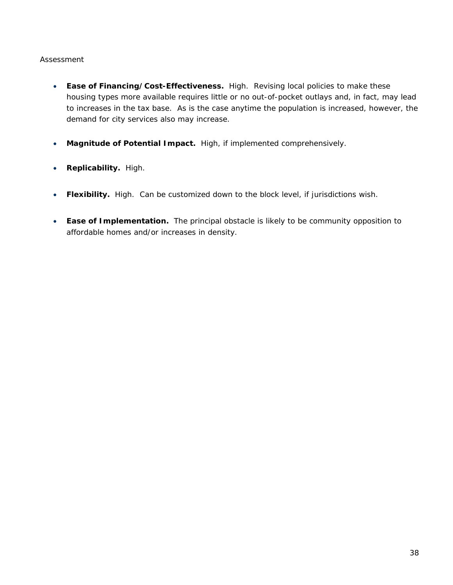- **Ease of Financing/Cost-Effectiveness.** High. Revising local policies to make these housing types more available requires little or no out-of-pocket outlays and, in fact, may lead to increases in the tax base. As is the case anytime the population is increased, however, the demand for city services also may increase.
- **Magnitude of Potential Impact.** High, if implemented comprehensively.
- **Replicability.** High.
- **Flexibility.** High. Can be customized down to the block level, if jurisdictions wish.
- **Ease of Implementation.** The principal obstacle is likely to be community opposition to affordable homes and/or increases in density.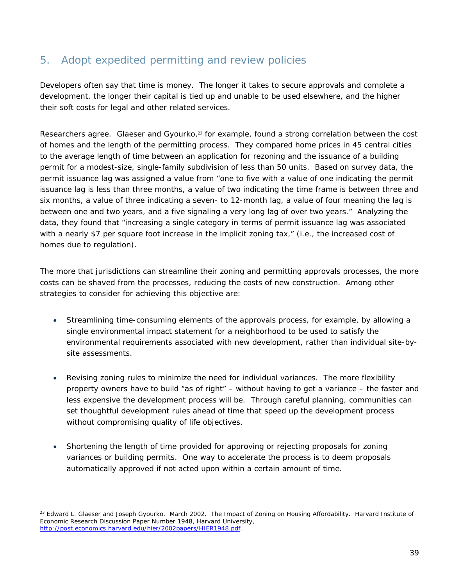# 5. Adopt expedited permitting and review policies

Developers often say that time is money. The longer it takes to secure approvals and complete a development, the longer their capital is tied up and unable to be used elsewhere, and the higher their soft costs for legal and other related services.

Researchers agree. Glaeser and Gyourko,<sup>23</sup> for example, found a strong correlation between the cost of homes and the length of the permitting process. They compared home prices in 45 central cities to the average length of time between an application for rezoning and the issuance of a building permit for a modest-size, single-family subdivision of less than 50 units. Based on survey data, the permit issuance lag was assigned a value from "one to five with a value of one indicating the permit issuance lag is less than three months, a value of two indicating the time frame is between three and six months, a value of three indicating a seven- to 12-month lag, a value of four meaning the lag is between one and two years, and a five signaling a very long lag of over two years." Analyzing the data, they found that "increasing a single category in terms of permit issuance lag was associated with a nearly \$7 per square foot increase in the implicit zoning tax," (i.e., the increased cost of homes due to regulation).

The more that jurisdictions can streamline their zoning and permitting approvals processes, the more costs can be shaved from the processes, reducing the costs of new construction. Among other strategies to consider for achieving this objective are:

- Streamlining time-consuming elements of the approvals process, for example, by allowing a single environmental impact statement for a neighborhood to be used to satisfy the environmental requirements associated with new development, rather than individual site-bysite assessments.
- Revising zoning rules to minimize the need for individual variances. The more flexibility property owners have to build "as of right" – without having to get a variance – the faster and less expensive the development process will be. Through careful planning, communities can set thoughtful development rules ahead of time that speed up the development process without compromising quality of life objectives.
- Shortening the length of time provided for approving or rejecting proposals for zoning variances or building permits. One way to accelerate the process is to deem proposals automatically approved if not acted upon within a certain amount of time.

<sup>&</sup>lt;sup>23</sup> Edward L. Glaeser and Joseph Gyourko. March 2002. The Impact of Zoning on Housing Affordability. Harvard Institute of Economic Research Discussion Paper Number 1948, Harvard University, http://post.economics.harvard.edu/hier/2002papers/HIER1948.pdf.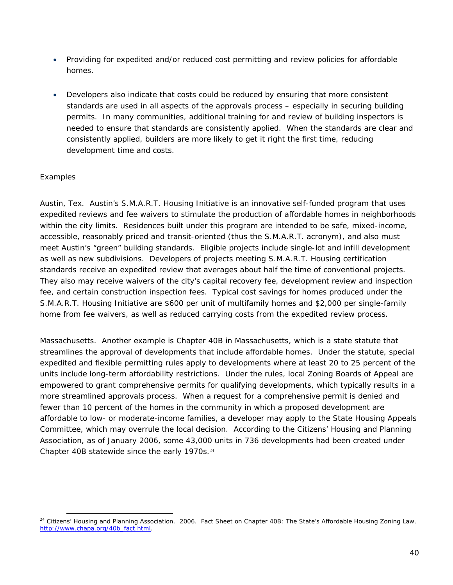- Providing for expedited and/or reduced cost permitting and review policies for affordable homes.
- Developers also indicate that costs could be reduced by ensuring that more consistent standards are used in all aspects of the approvals process – especially in securing building permits. In many communities, additional training for and review of building inspectors is needed to ensure that standards are consistently applied. When the standards are clear and consistently applied, builders are more likely to get it right the first time, reducing development time and costs.

#### *Examples*

 $\overline{a}$ 

*Austin, Tex*. Austin's S.M.A.R.T. Housing Initiative is an innovative self-funded program that uses expedited reviews and fee waivers to stimulate the production of affordable homes in neighborhoods within the city limits. Residences built under this program are intended to be safe, mixed-income, accessible, reasonably priced and transit-oriented (thus the S.M.A.R.T. acronym), and also must meet Austin's "green" building standards. Eligible projects include single-lot and infill development as well as new subdivisions. Developers of projects meeting S.M.A.R.T. Housing certification standards receive an expedited review that averages about half the time of conventional projects. They also may receive waivers of the city's capital recovery fee, development review and inspection fee, and certain construction inspection fees. Typical cost savings for homes produced under the S.M.A.R.T. Housing Initiative are \$600 per unit of multifamily homes and \$2,000 per single-family home from fee waivers, as well as reduced carrying costs from the expedited review process.

*Massachusetts*. Another example is Chapter 40B in Massachusetts, which is a state statute that streamlines the approval of developments that include affordable homes. Under the statute, special expedited and flexible permitting rules apply to developments where at least 20 to 25 percent of the units include long-term affordability restrictions. Under the rules, local Zoning Boards of Appeal are empowered to grant comprehensive permits for qualifying developments, which typically results in a more streamlined approvals process. When a request for a comprehensive permit is denied and fewer than 10 percent of the homes in the community in which a proposed development are affordable to low- or moderate-income families, a developer may apply to the State Housing Appeals Committee, which may overrule the local decision. According to the Citizens' Housing and Planning Association, as of January 2006, some 43,000 units in 736 developments had been created under Chapter 40B statewide since the early 1970s.<sup>24</sup>

<sup>24</sup> Citizens' Housing and Planning Association. 2006. *Fact Sheet on Chapter 40B: The State's Affordable Housing Zoning Law*, http://www.chapa.org/40b\_fact.html.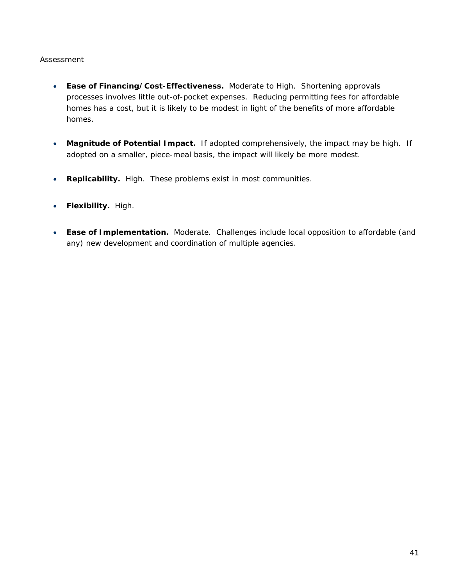- **Ease of Financing/Cost-Effectiveness.** Moderate to High. Shortening approvals processes involves little out-of-pocket expenses. Reducing permitting fees for affordable homes has a cost, but it is likely to be modest in light of the benefits of more affordable homes.
- **Magnitude of Potential Impact.** If adopted comprehensively, the impact may be high. If adopted on a smaller, piece-meal basis, the impact will likely be more modest.
- **Replicability.** High. These problems exist in most communities.
- **Flexibility.** High.
- **Ease of Implementation.** Moderate. Challenges include local opposition to affordable (and any) new development and coordination of multiple agencies.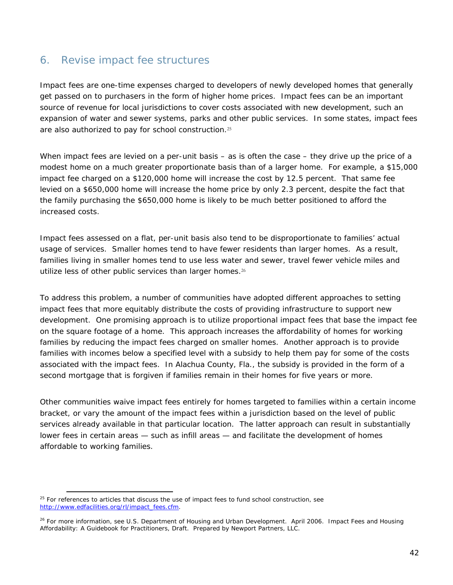### 6. Revise impact fee structures

Impact fees are one-time expenses charged to developers of newly developed homes that generally get passed on to purchasers in the form of higher home prices. Impact fees can be an important source of revenue for local jurisdictions to cover costs associated with new development, such an expansion of water and sewer systems, parks and other public services. In some states, impact fees are also authorized to pay for school construction.<sup>25</sup>

When impact fees are levied on a per-unit basis – as is often the case – they drive up the price of a modest home on a much greater proportionate basis than of a larger home. For example, a \$15,000 impact fee charged on a \$120,000 home will increase the cost by 12.5 percent. That same fee levied on a \$650,000 home will increase the home price by only 2.3 percent, despite the fact that the family purchasing the \$650,000 home is likely to be much better positioned to afford the increased costs.

Impact fees assessed on a flat, per-unit basis also tend to be disproportionate to families' actual usage of services. Smaller homes tend to have fewer residents than larger homes. As a result, families living in smaller homes tend to use less water and sewer, travel fewer vehicle miles and utilize less of other public services than larger homes.<sup>26</sup>

To address this problem, a number of communities have adopted different approaches to setting impact fees that more equitably distribute the costs of providing infrastructure to support new development. One promising approach is to utilize proportional impact fees that base the impact fee on the square footage of a home. This approach increases the affordability of homes for working families by reducing the impact fees charged on smaller homes. Another approach is to provide families with incomes below a specified level with a subsidy to help them pay for some of the costs associated with the impact fees. In Alachua County, Fla., the subsidy is provided in the form of a second mortgage that is forgiven if families remain in their homes for five years or more.

Other communities waive impact fees entirely for homes targeted to families within a certain income bracket, or vary the amount of the impact fees within a jurisdiction based on the level of public services already available in that particular location. The latter approach can result in substantially lower fees in certain areas — such as infill areas — and facilitate the development of homes affordable to working families.

 $\overline{a}$  $25$  For references to articles that discuss the use of impact fees to fund school construction, see http://www.edfacilities.org/rl/impact\_fees.cfm.

<sup>26</sup> For more information, see U.S. Department of Housing and Urban Development. April 2006. *Impact Fees and Housing Affordability: A Guidebook for Practitioners*, Draft. Prepared by Newport Partners, LLC.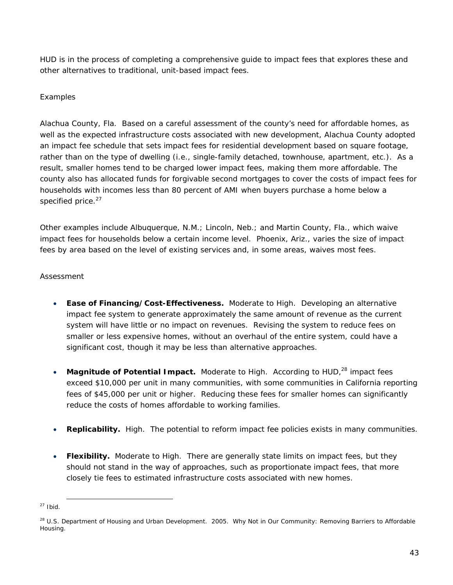HUD is in the process of completing a comprehensive guide to impact fees that explores these and other alternatives to traditional, unit-based impact fees.

#### *Examples*

*Alachua County, Fla*. Based on a careful assessment of the county's need for affordable homes, as well as the expected infrastructure costs associated with new development, Alachua County adopted an impact fee schedule that sets impact fees for residential development based on square footage, rather than on the type of dwelling (i.e., single-family detached, townhouse, apartment, etc.). As a result, smaller homes tend to be charged lower impact fees, making them more affordable. The county also has allocated funds for forgivable second mortgages to cover the costs of impact fees for households with incomes less than 80 percent of AMI when buyers purchase a home below a specified price. $27$ 

Other examples include Albuquerque, N.M.; Lincoln, Neb.; and Martin County, Fla., which waive impact fees for households below a certain income level. Phoenix, Ariz., varies the size of impact fees by area based on the level of existing services and, in some areas, waives most fees.

#### *Assessment*

- **Ease of Financing/Cost-Effectiveness.** Moderate to High. Developing an alternative impact fee system to generate approximately the same amount of revenue as the current system will have little or no impact on revenues. Revising the system to reduce fees on smaller or less expensive homes, without an overhaul of the entire system, could have a significant cost, though it may be less than alternative approaches.
- Magnitude of Potential Impact. Moderate to High. According to HUD,<sup>28</sup> impact fees exceed \$10,000 per unit in many communities, with some communities in California reporting fees of \$45,000 per unit or higher. Reducing these fees for smaller homes can significantly reduce the costs of homes affordable to working families.
- **Replicability.** High. The potential to reform impact fee policies exists in many communities.
- **Flexibility.** Moderate to High. There are generally state limits on impact fees, but they should not stand in the way of approaches, such as proportionate impact fees, that more closely tie fees to estimated infrastructure costs associated with new homes.

 $27$  Ibid.

<sup>28</sup> U.S. Department of Housing and Urban Development. 2005. *Why Not in Our Community: Removing Barriers to Affordable Housing*.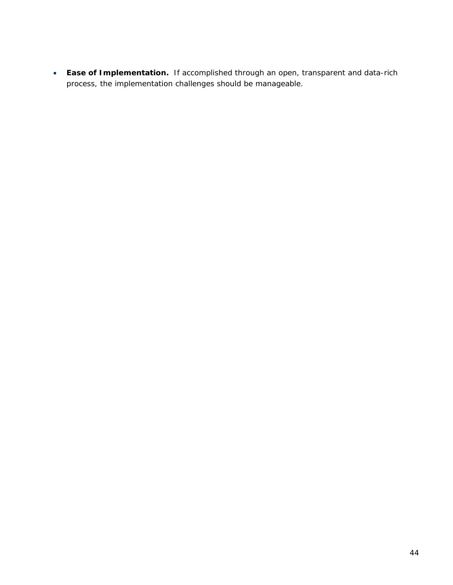• **Ease of Implementation.** If accomplished through an open, transparent and data-rich process, the implementation challenges should be manageable.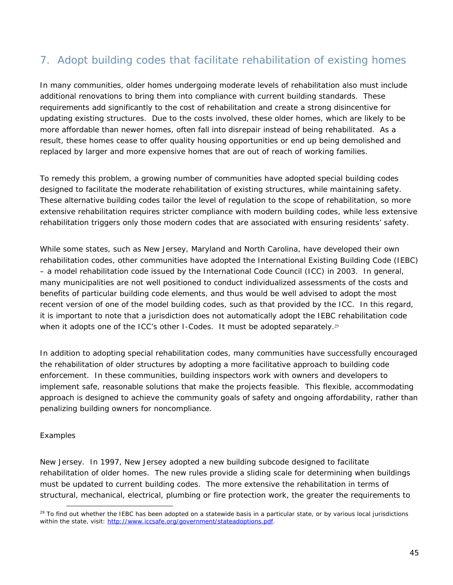# 7. Adopt building codes that facilitate rehabilitation of existing homes

In many communities, older homes undergoing moderate levels of rehabilitation also must include additional renovations to bring them into compliance with current building standards. These requirements add significantly to the cost of rehabilitation and create a strong disincentive for updating existing structures. Due to the costs involved, these older homes, which are likely to be more affordable than newer homes, often fall into disrepair instead of being rehabilitated. As a result, these homes cease to offer quality housing opportunities or end up being demolished and replaced by larger and more expensive homes that are out of reach of working families.

To remedy this problem, a growing number of communities have adopted special building codes designed to facilitate the moderate rehabilitation of existing structures, while maintaining safety. These alternative building codes tailor the level of regulation to the scope of rehabilitation, so more extensive rehabilitation requires stricter compliance with modern building codes, while less extensive rehabilitation triggers only those modern codes that are associated with ensuring residents' safety.

While some states, such as New Jersey, Maryland and North Carolina, have developed their own rehabilitation codes, other communities have adopted the International Existing Building Code (IEBC) – a model rehabilitation code issued by the International Code Council (ICC) in 2003. In general, many municipalities are not well positioned to conduct individualized assessments of the costs and benefits of particular building code elements, and thus would be well advised to adopt the most recent version of one of the model building codes, such as that provided by the ICC. In this regard, it is important to note that a jurisdiction does not automatically adopt the IEBC rehabilitation code when it adopts one of the ICC's other I-Codes. It must be adopted separately.<sup>29</sup>

In addition to adopting special rehabilitation codes, many communities have successfully encouraged the rehabilitation of older structures by adopting a more facilitative approach to building code enforcement. In these communities, building inspectors work with owners and developers to implement safe, reasonable solutions that make the projects feasible. This flexible, accommodating approach is designed to achieve the community goals of safety and ongoing affordability, rather than penalizing building owners for noncompliance.

#### *Examples*

 $\overline{a}$ 

*New Jersey*. In 1997, New Jersey adopted a new building subcode designed to facilitate rehabilitation of older homes. The new rules provide a sliding scale for determining when buildings must be updated to current building codes. The more extensive the rehabilitation in terms of structural, mechanical, electrical, plumbing or fire protection work, the greater the requirements to

 $^{29}$  To find out whether the IEBC has been adopted on a statewide basis in a particular state, or by various local jurisdictions within the state, visit: http://www.iccsafe.org/government/stateadoptions.pdf.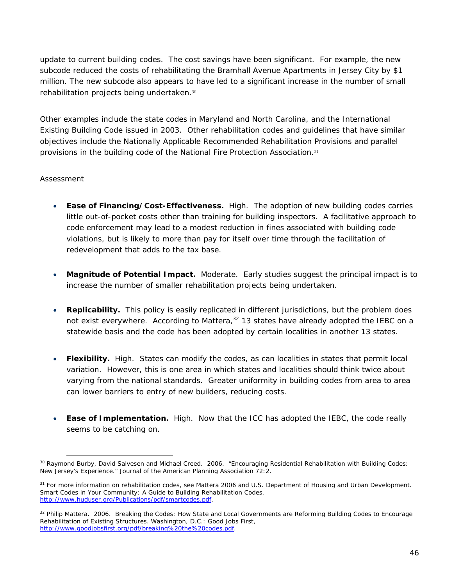update to current building codes. The cost savings have been significant. For example, the new subcode reduced the costs of rehabilitating the Bramhall Avenue Apartments in Jersey City by \$1 million. The new subcode also appears to have led to a significant increase in the number of small rehabilitation projects being undertaken.<sup>30</sup>

Other examples include the state codes in Maryland and North Carolina, and the International Existing Building Code issued in 2003. Other rehabilitation codes and guidelines that have similar objectives include the Nationally Applicable Recommended Rehabilitation Provisions and parallel provisions in the building code of the National Fire Protection Association.<sup>31</sup>

- **Ease of Financing/Cost-Effectiveness.** High. The adoption of new building codes carries little out-of-pocket costs other than training for building inspectors. A facilitative approach to code enforcement may lead to a modest reduction in fines associated with building code violations, but is likely to more than pay for itself over time through the facilitation of redevelopment that adds to the tax base.
- **Magnitude of Potential Impact.** Moderate. Early studies suggest the principal impact is to increase the number of smaller rehabilitation projects being undertaken.
- **Replicability.** This policy is easily replicated in different jurisdictions, but the problem does not exist everywhere. According to Mattera, $32$  13 states have already adopted the IEBC on a statewide basis and the code has been adopted by certain localities in another 13 states.
- **Flexibility.** High. States can modify the codes, as can localities in states that permit local variation. However, this is one area in which states and localities should think twice about varying from the national standards. Greater uniformity in building codes from area to area can lower barriers to entry of new builders, reducing costs.
- **Ease of Implementation.** High. Now that the ICC has adopted the IEBC, the code really seems to be catching on.

 $\overline{a}$ <sup>30</sup> Raymond Burby, David Salvesen and Michael Creed. 2006. "Encouraging Residential Rehabilitation with Building Codes: New Jersey's Experience." *Journal of the American Planning Association* 72:2.

<sup>&</sup>lt;sup>31</sup> For more information on rehabilitation codes, see Mattera 2006 and U.S. Department of Housing and Urban Development. *Smart Codes in Your Community: A Guide to Building Rehabilitation Codes*. http://www.huduser.org/Publications/pdf/smartcodes.pdf.

<sup>32</sup> Philip Mattera. 2006. *Breaking the Codes: How State and Local Governments are Reforming Building Codes to Encourage Rehabilitation of Existing Structures*. Washington, D.C.: Good Jobs First, http://www.goodjobsfirst.org/pdf/breaking%20the%20codes.pdf.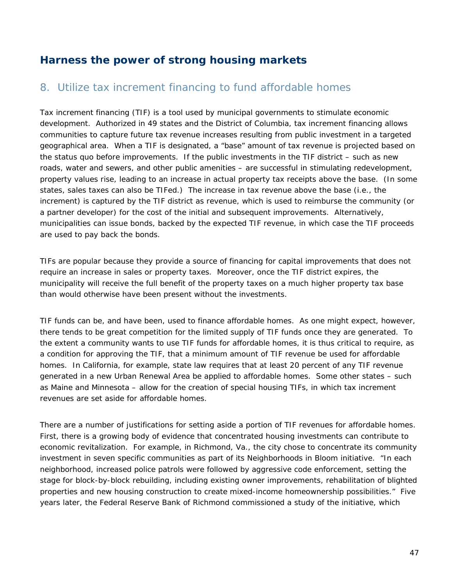# **Harness the power of strong housing markets**

## 8. Utilize tax increment financing to fund affordable homes

Tax increment financing (TIF) is a tool used by municipal governments to stimulate economic development. Authorized in 49 states and the District of Columbia, tax increment financing allows communities to capture future tax revenue increases resulting from public investment in a targeted geographical area. When a TIF is designated, a "base" amount of tax revenue is projected based on the status quo before improvements. If the public investments in the TIF district – such as new roads, water and sewers, and other public amenities – are successful in stimulating redevelopment, property values rise, leading to an increase in actual property tax receipts above the base. (In some states, sales taxes can also be TIFed.) The increase in tax revenue above the base (i.e., the increment) is captured by the TIF district as revenue, which is used to reimburse the community (or a partner developer) for the cost of the initial and subsequent improvements. Alternatively, municipalities can issue bonds, backed by the expected TIF revenue, in which case the TIF proceeds are used to pay back the bonds.

TIFs are popular because they provide a source of financing for capital improvements that does not require an increase in sales or property taxes. Moreover, once the TIF district expires, the municipality will receive the full benefit of the property taxes on a much higher property tax base than would otherwise have been present without the investments.

TIF funds can be, and have been, used to finance affordable homes. As one might expect, however, there tends to be great competition for the limited supply of TIF funds once they are generated. To the extent a community wants to use TIF funds for affordable homes, it is thus critical to require, as a condition for approving the TIF, that a minimum amount of TIF revenue be used for affordable homes. In California, for example, state law requires that at least 20 percent of any TIF revenue generated in a new Urban Renewal Area be applied to affordable homes. Some other states – such as Maine and Minnesota – allow for the creation of special housing TIFs, in which tax increment revenues are set aside for affordable homes.

There are a number of justifications for setting aside a portion of TIF revenues for affordable homes. First, there is a growing body of evidence that concentrated housing investments can contribute to economic revitalization. For example, in Richmond, Va., the city chose to concentrate its community investment in seven specific communities as part of its Neighborhoods in Bloom initiative. "In each neighborhood, increased police patrols were followed by aggressive code enforcement, setting the stage for block-by-block rebuilding, including existing owner improvements, rehabilitation of blighted properties and new housing construction to create mixed-income homeownership possibilities." Five years later, the Federal Reserve Bank of Richmond commissioned a study of the initiative, which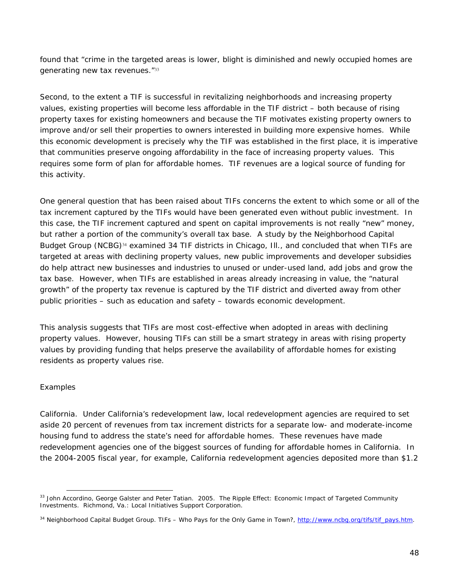found that "crime in the targeted areas is lower, blight is diminished and newly occupied homes are generating new tax revenues."<sup>33</sup>

Second, to the extent a TIF is successful in revitalizing neighborhoods and increasing property values, existing properties will become *less* affordable in the TIF district – both because of rising property taxes for existing homeowners and because the TIF motivates existing property owners to improve and/or sell their properties to owners interested in building more expensive homes. While this economic development is precisely why the TIF was established in the first place, it is imperative that communities preserve ongoing affordability in the face of increasing property values. This requires some form of plan for affordable homes. TIF revenues are a logical source of funding for this activity.

One general question that has been raised about TIFs concerns the extent to which some or all of the tax increment captured by the TIFs would have been generated even without public investment. In this case, the TIF increment captured and spent on capital improvements is not really "new" money, but rather a portion of the community's overall tax base. A study by the Neighborhood Capital Budget Group (NCBG)<sup>34</sup> examined 34 TIF districts in Chicago, Ill., and concluded that when TIFs are targeted at areas with declining property values, new public improvements and developer subsidies do help attract new businesses and industries to unused or under-used land, add jobs and grow the tax base. However, when TIFs are established in areas already increasing in value, the "natural growth" of the property tax revenue is captured by the TIF district and diverted away from other public priorities – such as education and safety – towards economic development.

This analysis suggests that TIFs are most cost-effective when adopted in areas with declining property values. However, housing TIFs can still be a smart strategy in areas with rising property values by providing funding that helps preserve the availability of affordable homes for existing residents as property values rise.

#### *Examples*

 $\overline{a}$ 

*California*. Under California's redevelopment law, local redevelopment agencies are required to set aside 20 percent of revenues from tax increment districts for a separate low- and moderate-income housing fund to address the state's need for affordable homes. These revenues have made redevelopment agencies one of the biggest sources of funding for affordable homes in California. In the 2004-2005 fiscal year, for example, California redevelopment agencies deposited more than \$1.2

<sup>33</sup> John Accordino, George Galster and Peter Tatian. 2005. *The Ripple Effect: Economic Impact of Targeted Community Investments*. Richmond, Va.: Local Initiatives Support Corporation.

<sup>&</sup>lt;sup>34</sup> Neighborhood Capital Budget Group. *TIFs - Who Pays for the Only Game in Town?*, http://www.ncbg.org/tifs/tif\_pays.htm.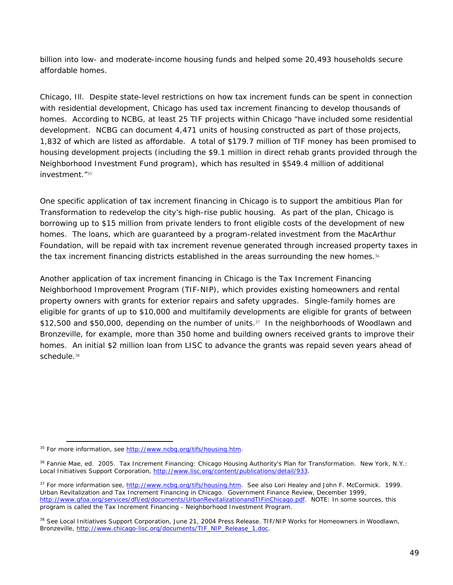billion into low- and moderate-income housing funds and helped some 20,493 households secure affordable homes.

*Chicago, Ill*. Despite state-level restrictions on how tax increment funds can be spent in connection with residential development, Chicago has used tax increment financing to develop thousands of homes. According to NCBG, at least 25 TIF projects within Chicago "have included some residential development. NCBG can document 4,471 units of housing constructed as part of those projects, 1,832 of which are listed as affordable. A total of \$179.7 million of TIF money has been promised to housing development projects (including the \$9.1 million in direct rehab grants provided through the Neighborhood Investment Fund program), which has resulted in \$549.4 million of additional investment."<sup>35</sup>

One specific application of tax increment financing in Chicago is to support the ambitious Plan for Transformation to redevelop the city's high-rise public housing. As part of the plan, Chicago is borrowing up to \$15 million from private lenders to front eligible costs of the development of new homes. The loans, which are guaranteed by a program-related investment from the MacArthur Foundation, will be repaid with tax increment revenue generated through increased property taxes in the tax increment financing districts established in the areas surrounding the new homes.<sup>36</sup>

Another application of tax increment financing in Chicago is the Tax Increment Financing Neighborhood Improvement Program (TIF-NIP), which provides existing homeowners and rental property owners with grants for exterior repairs and safety upgrades. Single-family homes are eligible for grants of up to \$10,000 and multifamily developments are eligible for grants of between \$12,500 and \$50,000, depending on the number of units.37 In the neighborhoods of Woodlawn and Bronzeville, for example, more than 350 home and building owners received grants to improve their homes. An initial \$2 million loan from LISC to advance the grants was repaid seven years ahead of schedule.<sup>38</sup>

<sup>&</sup>lt;sup>35</sup> For more information, see http://www.ncbg.org/tifs/housing.htm.

<sup>36</sup> Fannie Mae, ed. 2005. *Tax Increment Financing: Chicago Housing Authority's Plan for Transformation*. New York, N.Y.: Local Initiatives Support Corporation, http://www.lisc.org/content/publications/detail/933.

<sup>&</sup>lt;sup>37</sup> For more information see, http://www.ncbg.org/tifs/housing.htm. See also Lori Healey and John F. McCormick. 1999. Urban Revitalization and Tax Increment Financing in Chicago. *Government Finance Review*, December 1999, http://www.gfoa.org/services/dfl/ed/documents/UrbanRevitalizationandTIFinChicago.pdf. NOTE: In some sources, this program is called the Tax Increment Financing - Neighborhood Investment Program.

<sup>&</sup>lt;sup>38</sup> See Local Initiatives Support Corporation, June 21, 2004 Press Release. TIF/NIP Works for Homeowners in Woodlawn, Bronzeville, http://www.chicago-lisc.org/documents/TIF\_NIP\_Release\_1.doc.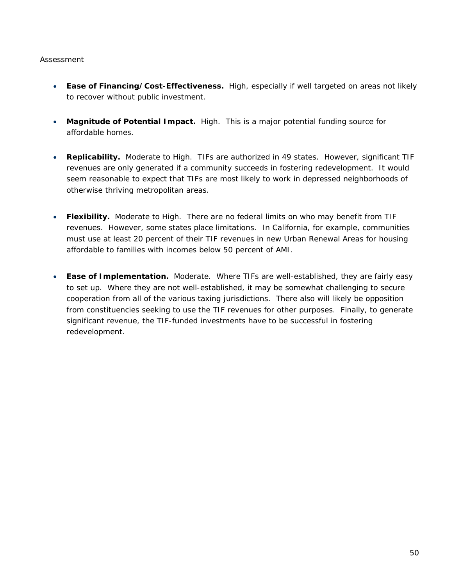- **Ease of Financing/Cost-Effectiveness.** High, especially if well targeted on areas not likely to recover without public investment.
- **Magnitude of Potential Impact.** High. This is a major potential funding source for affordable homes.
- **Replicability.** Moderate to High. TIFs are authorized in 49 states. However, significant TIF revenues are only generated if a community succeeds in fostering redevelopment. It would seem reasonable to expect that TIFs are most likely to work in depressed neighborhoods of otherwise thriving metropolitan areas.
- **Flexibility.** Moderate to High. There are no federal limits on who may benefit from TIF revenues. However, some states place limitations. In California, for example, communities must use at least 20 percent of their TIF revenues in new Urban Renewal Areas for housing affordable to families with incomes below 50 percent of AMI.
- **Ease of Implementation.** Moderate. Where TIFs are well-established, they are fairly easy to set up. Where they are not well-established, it may be somewhat challenging to secure cooperation from all of the various taxing jurisdictions. There also will likely be opposition from constituencies seeking to use the TIF revenues for other purposes. Finally, to generate significant revenue, the TIF-funded investments have to be successful in fostering redevelopment.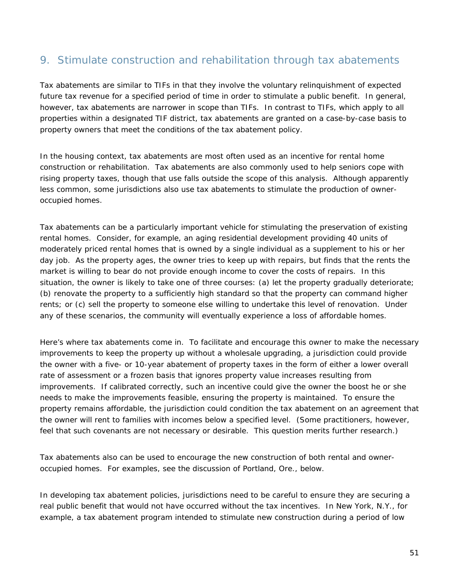# 9. Stimulate construction and rehabilitation through tax abatements

Tax abatements are similar to TIFs in that they involve the voluntary relinquishment of expected future tax revenue for a specified period of time in order to stimulate a public benefit. In general, however, tax abatements are narrower in scope than TIFs. In contrast to TIFs, which apply to all properties within a designated TIF district, tax abatements are granted on a case-by-case basis to property owners that meet the conditions of the tax abatement policy.

In the housing context, tax abatements are most often used as an incentive for rental home construction or rehabilitation. Tax abatements are also commonly used to help seniors cope with rising property taxes, though that use falls outside the scope of this analysis. Although apparently less common, some jurisdictions also use tax abatements to stimulate the production of owneroccupied homes.

Tax abatements can be a particularly important vehicle for stimulating the preservation of existing rental homes. Consider, for example, an aging residential development providing 40 units of moderately priced rental homes that is owned by a single individual as a supplement to his or her day job. As the property ages, the owner tries to keep up with repairs, but finds that the rents the market is willing to bear do not provide enough income to cover the costs of repairs. In this situation, the owner is likely to take one of three courses: (a) let the property gradually deteriorate; (b) renovate the property to a sufficiently high standard so that the property can command higher rents; or (c) sell the property to someone else willing to undertake this level of renovation. Under any of these scenarios, the community will eventually experience a loss of affordable homes.

Here's where tax abatements come in. To facilitate and encourage this owner to make the necessary improvements to keep the property up without a wholesale upgrading, a jurisdiction could provide the owner with a five- or 10-year abatement of property taxes in the form of either a lower overall rate of assessment or a frozen basis that ignores property value increases resulting from improvements. If calibrated correctly, such an incentive could give the owner the boost he or she needs to make the improvements feasible, ensuring the property is maintained. To ensure the property remains affordable, the jurisdiction could condition the tax abatement on an agreement that the owner will rent to families with incomes below a specified level. (Some practitioners, however, feel that such covenants are not necessary or desirable. This question merits further research.)

Tax abatements also can be used to encourage the new construction of both rental and owneroccupied homes. For examples, see the discussion of Portland, Ore., below.

In developing tax abatement policies, jurisdictions need to be careful to ensure they are securing a real public benefit that would not have occurred without the tax incentives. In New York, N.Y., for example, a tax abatement program intended to stimulate new construction during a period of low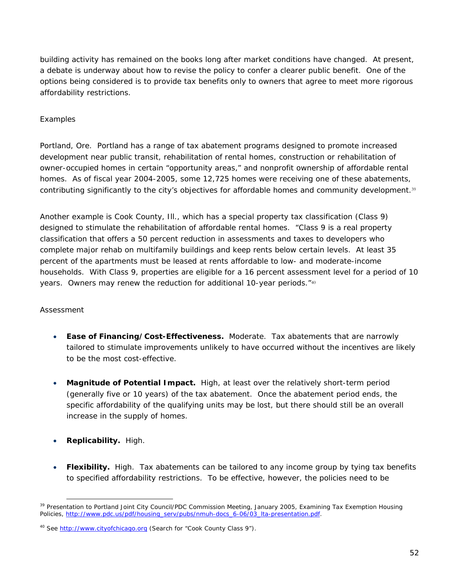building activity has remained on the books long after market conditions have changed. At present, a debate is underway about how to revise the policy to confer a clearer public benefit. One of the options being considered is to provide tax benefits only to owners that agree to meet more rigorous affordability restrictions.

#### *Examples*

*Portland, Ore.* Portland has a range of tax abatement programs designed to promote increased development near public transit, rehabilitation of rental homes, construction or rehabilitation of owner-occupied homes in certain "opportunity areas," and nonprofit ownership of affordable rental homes. As of fiscal year 2004-2005, some 12,725 homes were receiving one of these abatements, contributing significantly to the city's objectives for affordable homes and community development.<sup>39</sup>

Another example is Cook County, Ill., which has a special property tax classification (Class 9) designed to stimulate the rehabilitation of affordable rental homes. "Class 9 is a real property classification that offers a 50 percent reduction in assessments and taxes to developers who complete major rehab on multifamily buildings and keep rents below certain levels. At least 35 percent of the apartments must be leased at rents affordable to low- and moderate-income households. With Class 9, properties are eligible for a 16 percent assessment level for a period of 10 years. Owners may renew the reduction for additional 10-year periods."<sup>40</sup>

- **Ease of Financing/Cost-Effectiveness.** Moderate. Tax abatements that are narrowly tailored to stimulate improvements unlikely to have occurred without the incentives are likely to be the most cost-effective.
- **Magnitude of Potential Impact.** High, at least over the relatively short-term period (generally five or 10 years) of the tax abatement. Once the abatement period ends, the specific affordability of the qualifying units may be lost, but there should still be an overall increase in the supply of homes.
- **Replicability.** High.
- **Flexibility.** High. Tax abatements can be tailored to any income group by tying tax benefits to specified affordability restrictions. To be effective, however, the policies need to be

 $\overline{a}$ <sup>39</sup> Presentation to Portland Joint City Council/PDC Commission Meeting, January 2005, Examining Tax Exemption Housing Policies, http://www.pdc.us/pdf/housing\_serv/pubs/nmuh-docs\_6-06/03\_lta-presentation.pdf.

<sup>&</sup>lt;sup>40</sup> See http://www.cityofchicago.org (Search for "Cook County Class 9").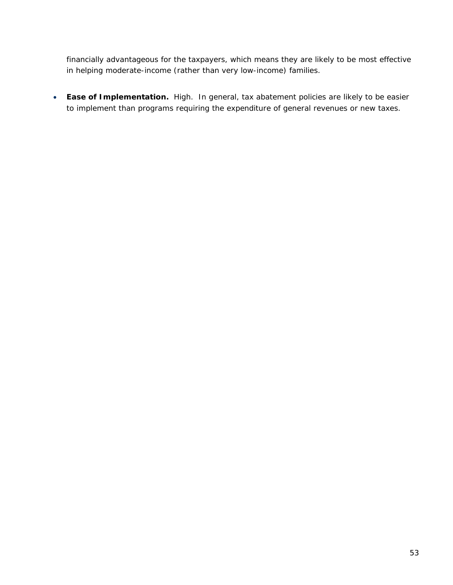financially advantageous for the taxpayers, which means they are likely to be most effective in helping moderate-income (rather than very low-income) families.

• **Ease of Implementation.** High.In general, tax abatement policies are likely to be easier to implement than programs requiring the expenditure of general revenues or new taxes.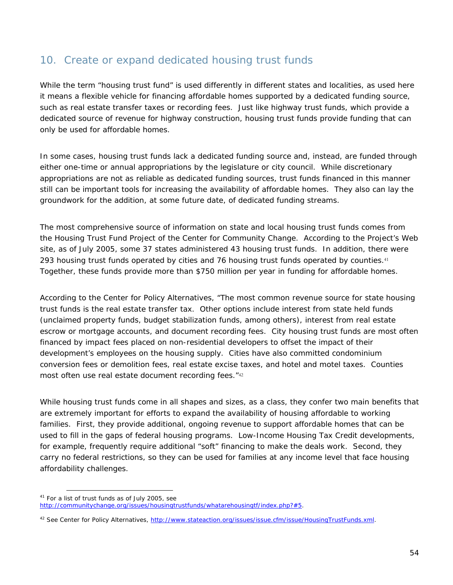### 10. Create or expand dedicated housing trust funds

While the term "housing trust fund" is used differently in different states and localities, as used here it means a flexible vehicle for financing affordable homes supported by a dedicated funding source, such as real estate transfer taxes or recording fees. Just like highway trust funds, which provide a dedicated source of revenue for highway construction, housing trust funds provide funding that can only be used for affordable homes.

In some cases, housing trust funds lack a dedicated funding source and, instead, are funded through either one-time or annual appropriations by the legislature or city council. While discretionary appropriations are not as reliable as dedicated funding sources, trust funds financed in this manner still can be important tools for increasing the availability of affordable homes. They also can lay the groundwork for the addition, at some future date, of dedicated funding streams.

The most comprehensive source of information on state and local housing trust funds comes from the Housing Trust Fund Project of the Center for Community Change. According to the Project's Web site, as of July 2005, some 37 states administered 43 housing trust funds. In addition, there were 293 housing trust funds operated by cities and 76 housing trust funds operated by counties.<sup>41</sup> Together, these funds provide more than \$750 million per year in funding for affordable homes.

According to the Center for Policy Alternatives, "The most common revenue source for state housing trust funds is the real estate transfer tax. Other options include interest from state held funds (unclaimed property funds, budget stabilization funds, among others), interest from real estate escrow or mortgage accounts, and document recording fees. City housing trust funds are most often financed by impact fees placed on non-residential developers to offset the impact of their development's employees on the housing supply. Cities have also committed condominium conversion fees or demolition fees, real estate excise taxes, and hotel and motel taxes. Counties most often use real estate document recording fees."<sup>42</sup>

While housing trust funds come in all shapes and sizes, as a class, they confer two main benefits that are extremely important for efforts to expand the availability of housing affordable to working families. First, they provide additional, ongoing revenue to support affordable homes that can be used to fill in the gaps of federal housing programs. Low-Income Housing Tax Credit developments, for example, frequently require additional "soft" financing to make the deals work. Second, they carry no federal restrictions, so they can be used for families at any income level that face housing affordability challenges.

<sup>&</sup>lt;sup>41</sup> For a list of trust funds as of July 2005, see http://communitychange.org/issues/housingtrustfunds/whatarehousingtf/index.php?#5.

<sup>42</sup> See Center for Policy Alternatives, http://www.stateaction.org/issues/issue.cfm/issue/HousingTrustFunds.xml.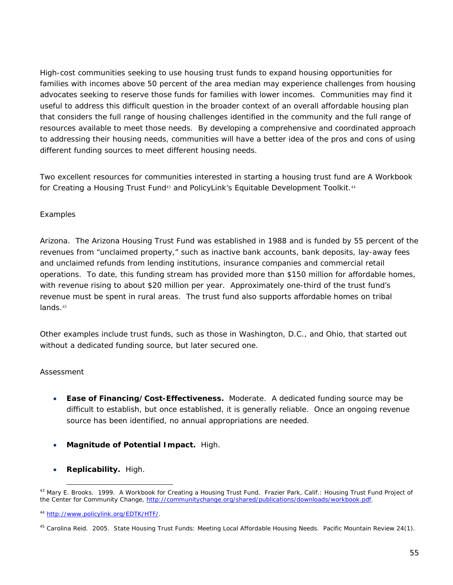High-cost communities seeking to use housing trust funds to expand housing opportunities for families with incomes above 50 percent of the area median may experience challenges from housing advocates seeking to reserve those funds for families with lower incomes. Communities may find it useful to address this difficult question in the broader context of an overall affordable housing plan that considers the full range of housing challenges identified in the community and the full range of resources available to meet those needs. By developing a comprehensive and coordinated approach to addressing their housing needs, communities will have a better idea of the pros and cons of using different funding sources to meet different housing needs.

Two excellent resources for communities interested in starting a housing trust fund are *A Workbook for Creating a Housing Trust Fund*<sup>43</sup> and PolicyLink's Equitable Development Toolkit.<sup>44</sup>

#### *Examples*

*Arizona.* The Arizona Housing Trust Fund was established in 1988 and is funded by 55 percent of the revenues from "unclaimed property," such as inactive bank accounts, bank deposits, lay-away fees and unclaimed refunds from lending institutions, insurance companies and commercial retail operations. To date, this funding stream has provided more than \$150 million for affordable homes, with revenue rising to about \$20 million per year. Approximately one-third of the trust fund's revenue must be spent in rural areas. The trust fund also supports affordable homes on tribal lands.<sup>45</sup>

Other examples include trust funds, such as those in Washington, D.C., and Ohio, that started out without a dedicated funding source, but later secured one.

#### *Assessment*

- **Ease of Financing/Cost-Effectiveness.** Moderate. A dedicated funding source may be difficult to establish, but once established, it is generally reliable. Once an ongoing revenue source has been identified, no annual appropriations are needed.
- **Magnitude of Potential Impact.** High.
- **Replicability.** High.

<sup>43</sup> Mary E. Brooks. 1999. *A Workbook for Creating a Housing Trust Fund*. Frazier Park, Calif.: Housing Trust Fund Project of the Center for Community Change, http://communitychange.org/shared/publications/downloads/workbook.pdf.

<sup>44</sup> http://www.policylink.org/EDTK/HTF/.

<sup>45</sup> Carolina Reid. 2005. State Housing Trust Funds: Meeting Local Affordable Housing Needs. *Pacific Mountain Review* 24(1).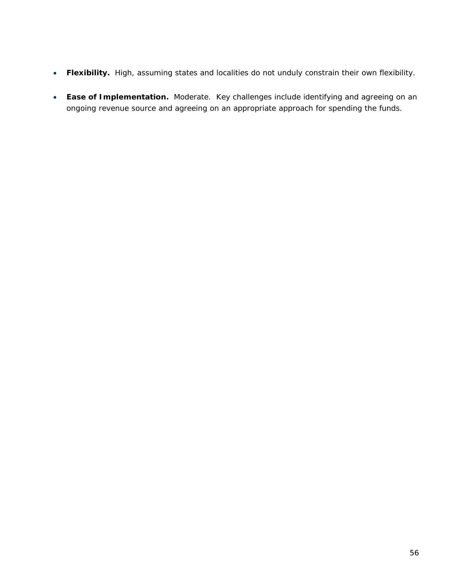- **Flexibility.** High, assuming states and localities do not unduly constrain their own flexibility.
- **Ease of Implementation.** Moderate.Key challenges include identifying and agreeing on an ongoing revenue source and agreeing on an appropriate approach for spending the funds.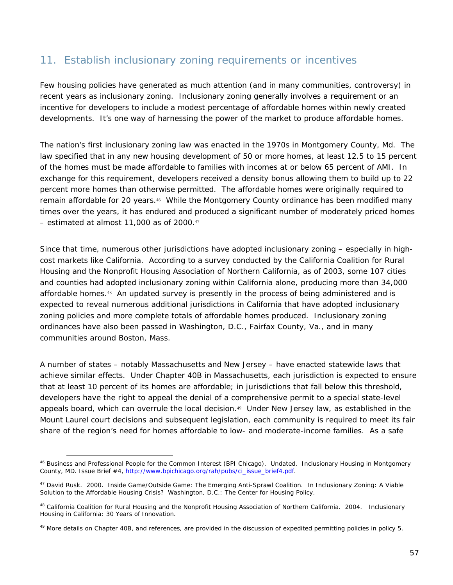## 11. Establish inclusionary zoning requirements or incentives

Few housing policies have generated as much attention (and in many communities, controversy) in recent years as inclusionary zoning. Inclusionary zoning generally involves a requirement or an incentive for developers to include a modest percentage of affordable homes within newly created developments. It's one way of harnessing the power of the market to produce affordable homes.

The nation's first inclusionary zoning law was enacted in the 1970s in Montgomery County, Md. The law specified that in any new housing development of 50 or more homes, at least 12.5 to 15 percent of the homes must be made affordable to families with incomes at or below 65 percent of AMI. In exchange for this requirement, developers received a density bonus allowing them to build up to 22 percent more homes than otherwise permitted. The affordable homes were originally required to remain affordable for 20 years.<sup>46</sup> While the Montgomery County ordinance has been modified many times over the years, it has endured and produced a significant number of moderately priced homes – estimated at almost 11,000 as of 2000.<sup>47</sup>

Since that time, numerous other jurisdictions have adopted inclusionary zoning – especially in highcost markets like California. According to a survey conducted by the California Coalition for Rural Housing and the Nonprofit Housing Association of Northern California, as of 2003, some 107 cities and counties had adopted inclusionary zoning within California alone, producing more than 34,000 affordable homes.48 An updated survey is presently in the process of being administered and is expected to reveal numerous additional jurisdictions in California that have adopted inclusionary zoning policies and more complete totals of affordable homes produced. Inclusionary zoning ordinances have also been passed in Washington, D.C., Fairfax County, Va., and in many communities around Boston, Mass.

A number of states – notably Massachusetts and New Jersey – have enacted statewide laws that achieve similar effects. Under Chapter 40B in Massachusetts, each jurisdiction is expected to ensure that at least 10 percent of its homes are affordable; in jurisdictions that fall below this threshold, developers have the right to appeal the denial of a comprehensive permit to a special state-level appeals board, which can overrule the local decision.<sup>49</sup> Under New Jersey law, as established in the *Mount Laurel* court decisions and subsequent legislation, each community is required to meet its fair share of the region's need for homes affordable to low- and moderate-income families. As a safe

 $\overline{a}$ 46 Business and Professional People for the Common Interest (BPI Chicago). Undated. Inclusionary Housing in Montgomery County, MD. *Issue Brief* #4, http://www.bpichicago.org/rah/pubs/ci\_issue\_brief4.pdf.

<sup>47</sup> David Rusk. 2000. Inside Game/Outside Game: The Emerging Anti-Sprawl Coalition. In *Inclusionary Zoning: A Viable Solution to the Affordable Housing Crisis?* Washington, D.C.: The Center for Housing Policy.

<sup>48</sup> California Coalition for Rural Housing and the Nonprofit Housing Association of Northern California. 2004. *Inclusionary Housing in California: 30 Years of Innovation*.

<sup>&</sup>lt;sup>49</sup> More details on Chapter 40B, and references, are provided in the discussion of expedited permitting policies in policy 5.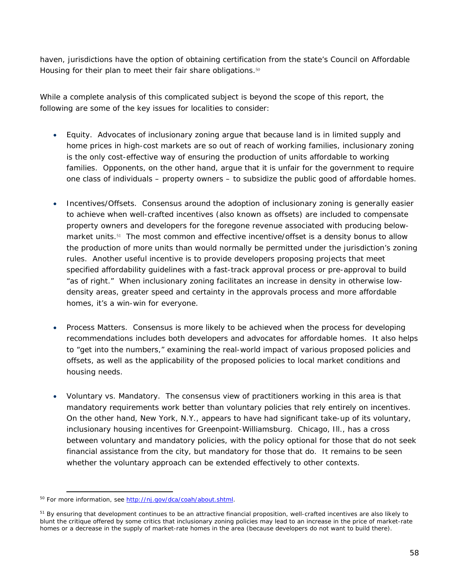haven, jurisdictions have the option of obtaining certification from the state's Council on Affordable Housing for their plan to meet their fair share obligations.<sup>50</sup>

While a complete analysis of this complicated subject is beyond the scope of this report, the following are some of the key issues for localities to consider:

- *Equity*. Advocates of inclusionary zoning argue that because land is in limited supply and home prices in high-cost markets are so out of reach of working families, inclusionary zoning is the only cost-effective way of ensuring the production of units affordable to working families. Opponents, on the other hand, argue that it is unfair for the government to require one class of individuals – property owners – to subsidize the public good of affordable homes.
- *Incentives/Offsets*. Consensus around the adoption of inclusionary zoning is generally easier to achieve when well-crafted incentives (also known as offsets) are included to compensate property owners and developers for the foregone revenue associated with producing belowmarket units.<sup>51</sup> The most common and effective incentive/offset is a density bonus to allow the production of more units than would normally be permitted under the jurisdiction's zoning rules. Another useful incentive is to provide developers proposing projects that meet specified affordability guidelines with a fast-track approval process or pre-approval to build "as of right." When inclusionary zoning facilitates an increase in density in otherwise lowdensity areas, greater speed and certainty in the approvals process and more affordable homes, it's a win-win for everyone.
- *Process Matters*. Consensus is more likely to be achieved when the process for developing recommendations includes both developers and advocates for affordable homes. It also helps to "get into the numbers," examining the real-world impact of various proposed policies and offsets, as well as the applicability of the proposed policies to local market conditions and housing needs.
- *Voluntary vs*. *Mandatory*. The consensus view of practitioners working in this area is that mandatory requirements work better than voluntary policies that rely entirely on incentives. On the other hand, New York, N.Y., appears to have had significant take-up of its voluntary, inclusionary housing incentives for Greenpoint-Williamsburg. Chicago, Ill., has a cross between voluntary and mandatory policies, with the policy optional for those that do not seek financial assistance from the city, but mandatory for those that do. It remains to be seen whether the voluntary approach can be extended effectively to other contexts.

 $\overline{a}$ <sup>50</sup> For more information, see http://nj.gov/dca/coah/about.shtml.

<sup>&</sup>lt;sup>51</sup> By ensuring that development continues to be an attractive financial proposition, well-crafted incentives are also likely to blunt the critique offered by some critics that inclusionary zoning policies may lead to an increase in the price of market-rate homes or a decrease in the supply of market-rate homes in the area (because developers do not want to build there).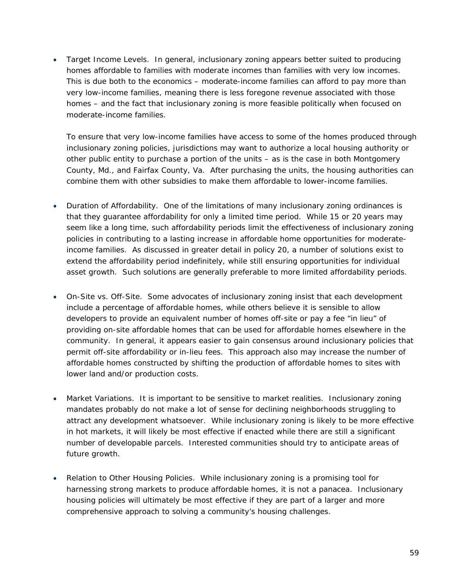• *Target Income Levels*. In general, inclusionary zoning appears better suited to producing homes affordable to families with moderate incomes than families with very low incomes. This is due both to the economics – moderate-income families can afford to pay more than very low-income families, meaning there is less foregone revenue associated with those homes – and the fact that inclusionary zoning is more feasible politically when focused on moderate-income families.

To ensure that very low-income families have access to some of the homes produced through inclusionary zoning policies, jurisdictions may want to authorize a local housing authority or other public entity to purchase a portion of the units – as is the case in both Montgomery County, Md., and Fairfax County, Va. After purchasing the units, the housing authorities can combine them with other subsidies to make them affordable to lower-income families.

- *Duration of Affordability*. One of the limitations of many inclusionary zoning ordinances is that they guarantee affordability for only a limited time period. While 15 or 20 years may seem like a long time, such affordability periods limit the effectiveness of inclusionary zoning policies in contributing to a lasting increase in affordable home opportunities for moderateincome families. As discussed in greater detail in policy 20, a number of solutions exist to extend the affordability period indefinitely, while still ensuring opportunities for individual asset growth. Such solutions are generally preferable to more limited affordability periods.
- *On-Site vs. Off-Site*. Some advocates of inclusionary zoning insist that each development include a percentage of affordable homes, while others believe it is sensible to allow developers to provide an equivalent number of homes off-site or pay a fee "in lieu" of providing on-site affordable homes that can be used for affordable homes elsewhere in the community. In general, it appears easier to gain consensus around inclusionary policies that permit off-site affordability or in-lieu fees. This approach also may increase the number of affordable homes constructed by shifting the production of affordable homes to sites with lower land and/or production costs.
- *Market Variations.* It is important to be sensitive to market realities. Inclusionary zoning mandates probably do not make a lot of sense for declining neighborhoods struggling to attract any development whatsoever. While inclusionary zoning is likely to be more effective in hot markets, it will likely be most effective if enacted while there are still a significant number of developable parcels. Interested communities should try to anticipate areas of future growth.
- *Relation to Other Housing Policies*. While inclusionary zoning is a promising tool for harnessing strong markets to produce affordable homes, it is not a panacea. Inclusionary housing policies will ultimately be most effective if they are part of a larger and more comprehensive approach to solving a community's housing challenges.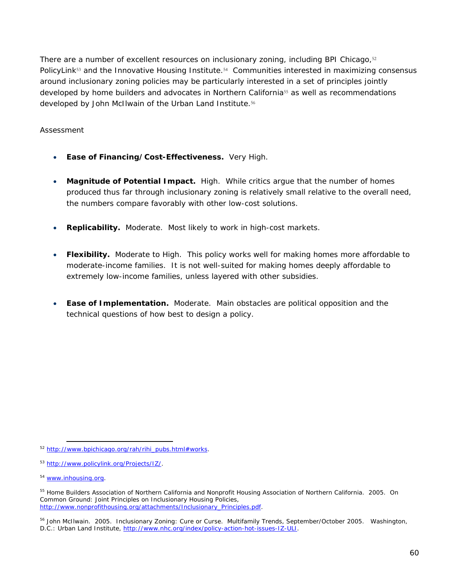There are a number of excellent resources on inclusionary zoning, including BPI Chicago, $52$ PolicyLink<sup>53</sup> and the Innovative Housing Institute.<sup>54</sup> Communities interested in maximizing consensus around inclusionary zoning policies may be particularly interested in a set of principles jointly developed by home builders and advocates in Northern California<sup>55</sup> as well as recommendations developed by John McIlwain of the Urban Land Institute.<sup>56</sup>

- **Ease of Financing/Cost-Effectiveness.** Very High.
- **Magnitude of Potential Impact.** High. While critics argue that the number of homes produced thus far through inclusionary zoning is relatively small relative to the overall need, the numbers compare favorably with other low-cost solutions.
- **Replicability.** Moderate. Most likely to work in high-cost markets.
- **Flexibility.** Moderate to High. This policy works well for making homes more affordable to moderate-income families. It is not well-suited for making homes deeply affordable to extremely low-income families, unless layered with other subsidies.
- **Ease of Implementation.** Moderate. Main obstacles are political opposition and the technical questions of how best to design a policy.

 $\overline{a}$ <sup>52</sup> http://www.bpichicago.org/rah/rihi\_pubs.html#works.

<sup>53</sup> http://www.policylink.org/Projects/IZ/.

<sup>54</sup> www.inhousing.org.

<sup>55</sup> Home Builders Association of Northern California and Nonprofit Housing Association of Northern California. 2005. *On Common Ground: Joint Principles on Inclusionary Housing Policies*, http://www.nonprofithousing.org/attachments/Inclusionary\_Principles.pdf.

<sup>56</sup> John McIlwain. 2005. Inclusionary Zoning: Cure or Curse. *Multifamily Trends*, September/October 2005. Washington, D.C.: Urban Land Institute, http://www.nhc.org/index/policy-action-hot-issues-IZ-ULI.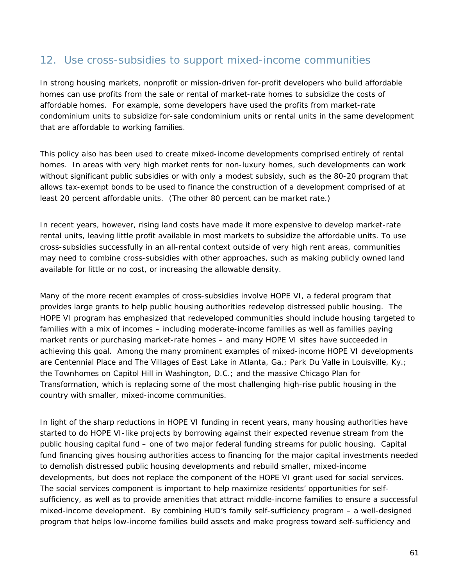### 12. Use cross-subsidies to support mixed-income communities

In strong housing markets, nonprofit or mission-driven for-profit developers who build affordable homes can use profits from the sale or rental of market-rate homes to subsidize the costs of affordable homes. For example, some developers have used the profits from market-rate condominium units to subsidize for-sale condominium units or rental units in the same development that are affordable to working families.

This policy also has been used to create mixed-income developments comprised entirely of rental homes. In areas with very high market rents for non-luxury homes, such developments can work without significant public subsidies or with only a modest subsidy, such as the 80-20 program that allows tax-exempt bonds to be used to finance the construction of a development comprised of at least 20 percent affordable units. (The other 80 percent can be market rate.)

In recent years, however, rising land costs have made it more expensive to develop market-rate rental units, leaving little profit available in most markets to subsidize the affordable units. To use cross-subsidies successfully in an all-rental context outside of very high rent areas, communities may need to combine cross-subsidies with other approaches, such as making publicly owned land available for little or no cost, or increasing the allowable density.

Many of the more recent examples of cross-subsidies involve HOPE VI, a federal program that provides large grants to help public housing authorities redevelop distressed public housing. The HOPE VI program has emphasized that redeveloped communities should include housing targeted to families with a mix of incomes – including moderate-income families as well as families paying market rents or purchasing market-rate homes – and many HOPE VI sites have succeeded in achieving this goal. Among the many prominent examples of mixed-income HOPE VI developments are Centennial Place and The Villages of East Lake in Atlanta, Ga.; Park Du Valle in Louisville, Ky.; the Townhomes on Capitol Hill in Washington, D.C.; and the massive Chicago Plan for Transformation, which is replacing some of the most challenging high-rise public housing in the country with smaller, mixed-income communities.

In light of the sharp reductions in HOPE VI funding in recent years, many housing authorities have started to do HOPE VI-like projects by borrowing against their expected revenue stream from the public housing capital fund – one of two major federal funding streams for public housing. Capital fund financing gives housing authorities access to financing for the major capital investments needed to demolish distressed public housing developments and rebuild smaller, mixed-income developments, but does not replace the component of the HOPE VI grant used for social services. The social services component is important to help maximize residents' opportunities for selfsufficiency, as well as to provide amenities that attract middle-income families to ensure a successful mixed-income development. By combining HUD's family self-sufficiency program – a well-designed program that helps low-income families build assets and make progress toward self-sufficiency and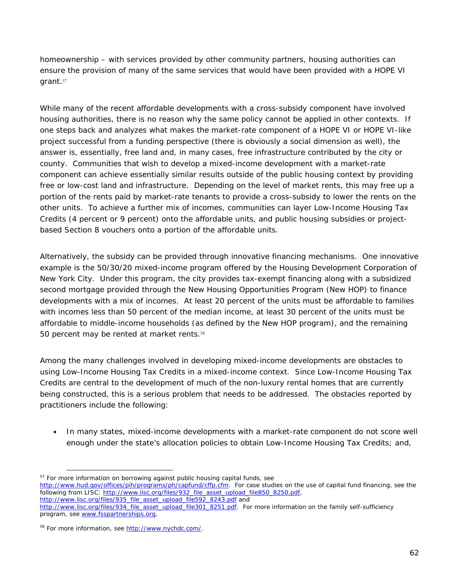homeownership – with services provided by other community partners, housing authorities can ensure the provision of many of the same services that would have been provided with a HOPE VI grant.<sup>57</sup>

While many of the recent affordable developments with a cross-subsidy component have involved housing authorities, there is no reason why the same policy cannot be applied in other contexts. If one steps back and analyzes what makes the market-rate component of a HOPE VI or HOPE VI-like project successful from a funding perspective (there is obviously a social dimension as well), the answer is, essentially, free land and, in many cases, free infrastructure contributed by the city or county. Communities that wish to develop a mixed-income development with a market-rate component can achieve essentially similar results outside of the public housing context by providing free or low-cost land and infrastructure. Depending on the level of market rents, this may free up a portion of the rents paid by market-rate tenants to provide a cross-subsidy to lower the rents on the other units. To achieve a further mix of incomes, communities can layer Low-Income Housing Tax Credits (4 percent or 9 percent) onto the affordable units, and public housing subsidies or projectbased Section 8 vouchers onto a portion of the affordable units.

Alternatively, the subsidy can be provided through innovative financing mechanisms. One innovative example is the 50/30/20 mixed-income program offered by the Housing Development Corporation of New York City. Under this program, the city provides tax-exempt financing along with a subsidized second mortgage provided through the New Housing Opportunities Program (New HOP) to finance developments with a mix of incomes. At least 20 percent of the units must be affordable to families with incomes less than 50 percent of the median income, at least 30 percent of the units must be affordable to middle-income households (as defined by the New HOP program), and the remaining 50 percent may be rented at market rents.<sup>58</sup>

Among the many challenges involved in developing mixed-income developments are obstacles to using Low-Income Housing Tax Credits in a mixed-income context. Since Low-Income Housing Tax Credits are central to the development of much of the non-luxury rental homes that are currently being constructed, this is a serious problem that needs to be addressed. The obstacles reported by practitioners include the following:

• In many states, mixed-income developments with a market-rate component do not score well enough under the state's allocation policies to obtain Low-Income Housing Tax Credits; and,

 $\overline{a}$ <sup>57</sup> For more information on borrowing against public housing capital funds, see

http://www.hud.gov/offices/pih/programs/ph/capfund/cffp.cfm. For case studies on the use of capital fund financing, see the following from LISC: http://www.lisc.org/files/932\_file\_asset\_upload\_file850\_8250.pdf,

http://www.lisc.org/files/935\_file\_asset\_upload\_file592\_8243.pdf and

http://www.lisc.org/files/934 file\_asset\_upload\_file301\_8251.pdf. For more information on the family self-sufficiency program, see www.fsspartnerships.org.

<sup>58</sup> For more information, see http://www.nychdc.com/.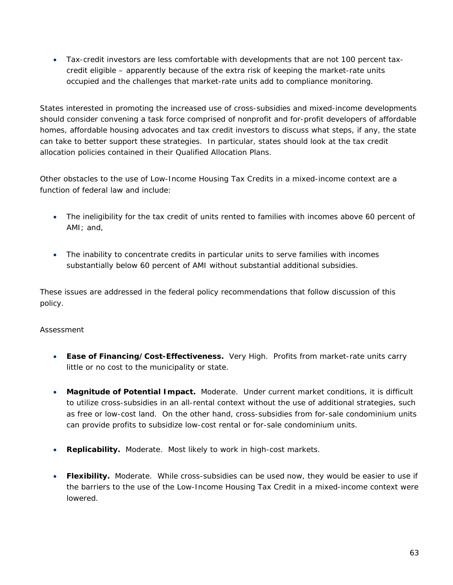• Tax-credit investors are less comfortable with developments that are not 100 percent taxcredit eligible – apparently because of the extra risk of keeping the market-rate units occupied and the challenges that market-rate units add to compliance monitoring.

States interested in promoting the increased use of cross-subsidies and mixed-income developments should consider convening a task force comprised of nonprofit and for-profit developers of affordable homes, affordable housing advocates and tax credit investors to discuss what steps, if any, the state can take to better support these strategies. In particular, states should look at the tax credit allocation policies contained in their Qualified Allocation Plans.

Other obstacles to the use of Low-Income Housing Tax Credits in a mixed-income context are a function of federal law and include:

- The ineligibility for the tax credit of units rented to families with incomes above 60 percent of AMI; and,
- The inability to concentrate credits in particular units to serve families with incomes substantially below 60 percent of AMI without substantial additional subsidies.

These issues are addressed in the federal policy recommendations that follow discussion of this policy.

- **Ease of Financing/Cost-Effectiveness.** Very High. Profits from market-rate units carry little or no cost to the municipality or state.
- **Magnitude of Potential Impact.** Moderate. Under current market conditions, it is difficult to utilize cross-subsidies in an all-rental context without the use of additional strategies, such as free or low-cost land. On the other hand, cross-subsidies from for-sale condominium units can provide profits to subsidize low-cost rental or for-sale condominium units.
- **Replicability.** Moderate. Most likely to work in high-cost markets.
- Flexibility. Moderate. While cross-subsidies can be used now, they would be easier to use if the barriers to the use of the Low-Income Housing Tax Credit in a mixed-income context were lowered.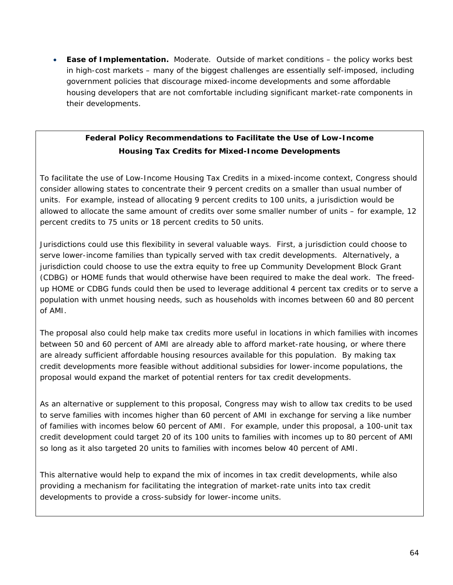• **Ease of Implementation.** Moderate. Outside of market conditions – the policy works best in high-cost markets – many of the biggest challenges are essentially self-imposed, including government policies that discourage mixed-income developments and some affordable housing developers that are not comfortable including significant market-rate components in their developments.

### **Federal Policy Recommendations to Facilitate the Use of Low-Income Housing Tax Credits for Mixed-Income Developments**

To facilitate the use of Low-Income Housing Tax Credits in a mixed-income context, Congress should consider allowing states to concentrate their 9 percent credits on a smaller than usual number of units. For example, instead of allocating 9 percent credits to 100 units, a jurisdiction would be allowed to allocate the same amount of credits over some smaller number of units – for example, 12 percent credits to 75 units or 18 percent credits to 50 units.

Jurisdictions could use this flexibility in several valuable ways. First, a jurisdiction could choose to serve lower-income families than typically served with tax credit developments. Alternatively, a jurisdiction could choose to use the extra equity to free up Community Development Block Grant (CDBG) or HOME funds that would otherwise have been required to make the deal work. The freedup HOME or CDBG funds could then be used to leverage additional 4 percent tax credits or to serve a population with unmet housing needs, such as households with incomes between 60 and 80 percent of AMI.

The proposal also could help make tax credits more useful in locations in which families with incomes between 50 and 60 percent of AMI are already able to afford market-rate housing, or where there are already sufficient affordable housing resources available for this population. By making tax credit developments more feasible without additional subsidies for lower-income populations, the proposal would expand the market of potential renters for tax credit developments.

As an alternative or supplement to this proposal, Congress may wish to allow tax credits to be used to serve families with incomes higher than 60 percent of AMI in exchange for serving a like number of families with incomes below 60 percent of AMI. For example, under this proposal, a 100-unit tax credit development could target 20 of its 100 units to families with incomes up to 80 percent of AMI so long as it also targeted 20 units to families with incomes below 40 percent of AMI.

This alternative would help to expand the mix of incomes in tax credit developments, while also providing a mechanism for facilitating the integration of market-rate units into tax credit developments to provide a cross-subsidy for lower-income units.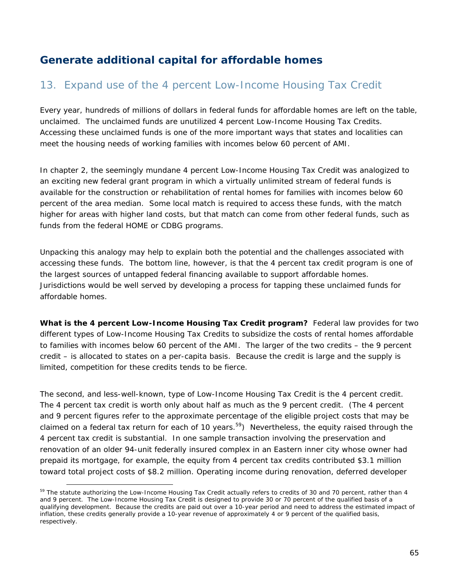# **Generate additional capital for affordable homes**

## 13. Expand use of the 4 percent Low-Income Housing Tax Credit

Every year, hundreds of millions of dollars in federal funds for affordable homes are left on the table, unclaimed. The unclaimed funds are unutilized 4 percent Low-Income Housing Tax Credits. Accessing these unclaimed funds is one of the more important ways that states and localities can meet the housing needs of working families with incomes below 60 percent of AMI.

In chapter 2, the seemingly mundane 4 percent Low-Income Housing Tax Credit was analogized to an exciting new federal grant program in which a virtually unlimited stream of federal funds is available for the construction or rehabilitation of rental homes for families with incomes below 60 percent of the area median. Some local match is required to access these funds, with the match higher for areas with higher land costs, but that match can come from other federal funds, such as funds from the federal HOME or CDBG programs.

Unpacking this analogy may help to explain both the potential and the challenges associated with accessing these funds. The bottom line, however, is that the 4 percent tax credit program is one of the largest sources of untapped federal financing available to support affordable homes. Jurisdictions would be well served by developing a process for tapping these unclaimed funds for affordable homes.

**What is the 4 percent Low-Income Housing Tax Credit program?** Federal law provides for two different types of Low-Income Housing Tax Credits to subsidize the costs of rental homes affordable to families with incomes below 60 percent of the AMI. The larger of the two credits – the 9 percent credit – is allocated to states on a per-capita basis. Because the credit is large and the supply is limited, competition for these credits tends to be fierce.

The second, and less-well-known, type of Low-Income Housing Tax Credit is the 4 percent credit. The 4 percent tax credit is worth only about half as much as the 9 percent credit. (The 4 percent and 9 percent figures refer to the approximate percentage of the eligible project costs that may be claimed on a federal tax return for each of 10 years.<sup>59</sup>) Nevertheless, the equity raised through the 4 percent tax credit is substantial. In one sample transaction involving the preservation and renovation of an older 94-unit federally insured complex in an Eastern inner city whose owner had prepaid its mortgage, for example, the equity from 4 percent tax credits contributed \$3.1 million toward total project costs of \$8.2 million. Operating income during renovation, deferred developer

<sup>&</sup>lt;sup>59</sup> The statute authorizing the Low-Income Housing Tax Credit actually refers to credits of 30 and 70 percent, rather than 4 and 9 percent. The Low-Income Housing Tax Credit is designed to provide 30 or 70 percent of the qualified basis of a qualifying development. Because the credits are paid out over a 10-year period and need to address the estimated impact of inflation, these credits generally provide a 10-year revenue of approximately 4 or 9 percent of the qualified basis, respectively.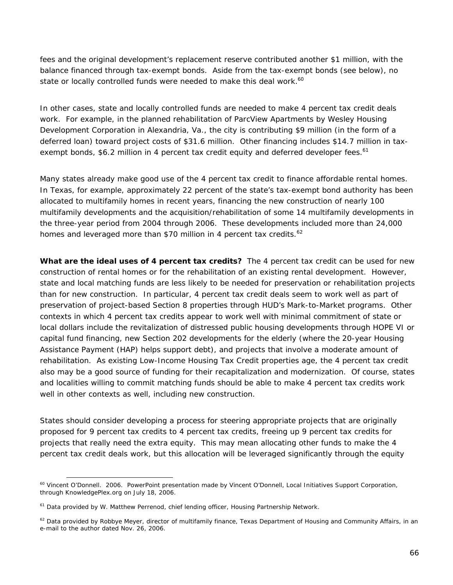fees and the original development's replacement reserve contributed another \$1 million, with the balance financed through tax-exempt bonds. Aside from the tax-exempt bonds (see below), no state or locally controlled funds were needed to make this deal work.<sup>60</sup>

In other cases, state and locally controlled funds are needed to make 4 percent tax credit deals work. For example, in the planned rehabilitation of ParcView Apartments by Wesley Housing Development Corporation in Alexandria, Va., the city is contributing \$9 million (in the form of a deferred loan) toward project costs of \$31.6 million. Other financing includes \$14.7 million in taxexempt bonds, \$6.2 million in 4 percent tax credit equity and deferred developer fees.<sup>61</sup>

Many states already make good use of the 4 percent tax credit to finance affordable rental homes. In Texas, for example, approximately 22 percent of the state's tax-exempt bond authority has been allocated to multifamily homes in recent years, financing the new construction of nearly 100 multifamily developments and the acquisition/rehabilitation of some 14 multifamily developments in the three-year period from 2004 through 2006. These developments included more than 24,000 homes and leveraged more than \$70 million in 4 percent tax credits. $62$ 

**What are the ideal uses of 4 percent tax credits?** The 4 percent tax credit can be used for new construction of rental homes or for the rehabilitation of an existing rental development. However, state and local matching funds are less likely to be needed for preservation or rehabilitation projects than for new construction. In particular, 4 percent tax credit deals seem to work well as part of preservation of project-based Section 8 properties through HUD's Mark-to-Market programs. Other contexts in which 4 percent tax credits appear to work well with minimal commitment of state or local dollars include the revitalization of distressed public housing developments through HOPE VI or capital fund financing, new Section 202 developments for the elderly (where the 20-year Housing Assistance Payment (HAP) helps support debt), and projects that involve a moderate amount of rehabilitation. As existing Low-Income Housing Tax Credit properties age, the 4 percent tax credit also may be a good source of funding for their recapitalization and modernization. Of course, states and localities willing to commit matching funds should be able to make 4 percent tax credits work well in other contexts as well, including new construction.

States should consider developing a process for steering appropriate projects that are originally proposed for 9 percent tax credits to 4 percent tax credits, freeing up 9 percent tax credits for projects that really need the extra equity. This may mean allocating other funds to make the 4 percent tax credit deals work, but this allocation will be leveraged significantly through the equity

<sup>&</sup>lt;sup>60</sup> Vincent O'Donnell. 2006. PowerPoint presentation made by Vincent O'Donnell, Local Initiatives Support Corporation, through KnowledgePlex.org on July 18, 2006.

 $61$  Data provided by W. Matthew Perrenod, chief lending officer, Housing Partnership Network.

 $62$  Data provided by Robbye Meyer, director of multifamily finance, Texas Department of Housing and Community Affairs, in an e-mail to the author dated Nov. 26, 2006.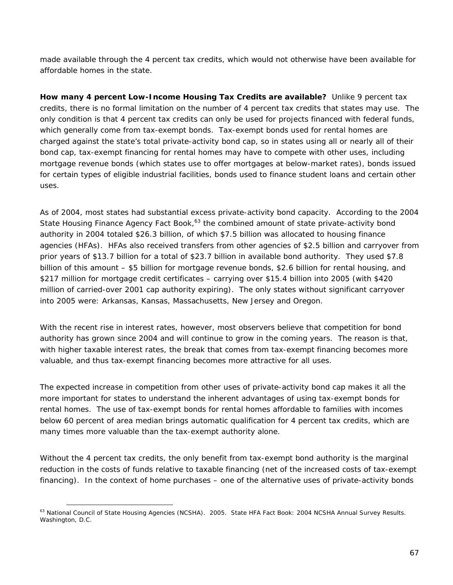made available through the 4 percent tax credits, which would not otherwise have been available for affordable homes in the state.

**How many 4 percent Low-Income Housing Tax Credits are available?** Unlike 9 percent tax credits, there is no formal limitation on the number of 4 percent tax credits that states may use. The only condition is that 4 percent tax credits can only be used for projects financed with federal funds, which generally come from tax-exempt bonds. Tax-exempt bonds used for rental homes are charged against the state's total private-activity bond cap, so in states using all or nearly all of their bond cap, tax-exempt financing for rental homes may have to compete with other uses, including mortgage revenue bonds (which states use to offer mortgages at below-market rates), bonds issued for certain types of eligible industrial facilities, bonds used to finance student loans and certain other uses.

As of 2004, most states had substantial excess private-activity bond capacity. According to the 2004 State Housing Finance Agency Fact Book,<sup>63</sup> the combined amount of state private-activity bond authority in 2004 totaled \$26.3 billion, of which \$7.5 billion was allocated to housing finance agencies (HFAs). HFAs also received transfers from other agencies of \$2.5 billion and carryover from prior years of \$13.7 billion for a total of \$23.7 billion in available bond authority. They used \$7.8 billion of this amount – \$5 billion for mortgage revenue bonds, \$2.6 billion for rental housing, and \$217 million for mortgage credit certificates – carrying over \$15.4 billion into 2005 (with \$420 million of carried-over 2001 cap authority expiring). The only states without significant carryover into 2005 were: Arkansas, Kansas, Massachusetts, New Jersey and Oregon.

With the recent rise in interest rates, however, most observers believe that competition for bond authority has grown since 2004 and will continue to grow in the coming years. The reason is that, with higher taxable interest rates, the break that comes from tax-exempt financing becomes more valuable, and thus tax-exempt financing becomes more attractive for all uses.

The expected increase in competition from other uses of private-activity bond cap makes it all the more important for states to understand the inherent advantages of using tax-exempt bonds for rental homes. The use of tax-exempt bonds for rental homes affordable to families with incomes below 60 percent of area median brings automatic qualification for 4 percent tax credits, which are many times more valuable than the tax-exempt authority alone.

Without the 4 percent tax credits, the only benefit from tax-exempt bond authority is the marginal reduction in the costs of funds relative to taxable financing (net of the increased costs of tax-exempt financing). In the context of home purchases – one of the alternative uses of private-activity bonds

 $\overline{a}$ 63 National Council of State Housing Agencies (NCSHA). 2005. *State HFA Fact Book: 2004 NCSHA Annual Survey Results*. Washington, D.C.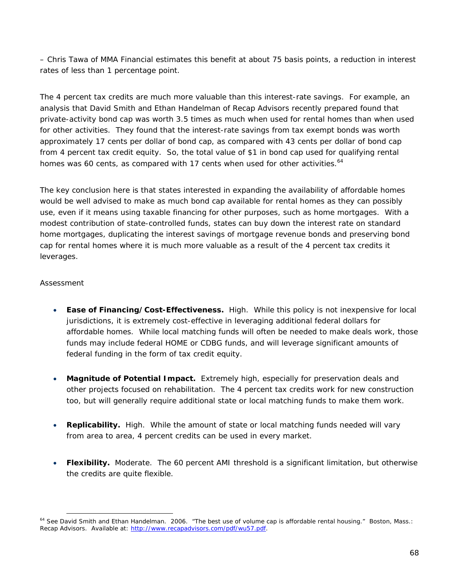– Chris Tawa of MMA Financial estimates this benefit at about 75 basis points, a reduction in interest rates of less than 1 percentage point.

The 4 percent tax credits are much more valuable than this interest-rate savings. For example, an analysis that David Smith and Ethan Handelman of Recap Advisors recently prepared found that private-activity bond cap was worth 3.5 times as much when used for rental homes than when used for other activities. They found that the interest-rate savings from tax exempt bonds was worth approximately 17 cents per dollar of bond cap, as compared with 43 cents per dollar of bond cap from 4 percent tax credit equity. So, the total value of \$1 in bond cap used for qualifying rental homes was 60 cents, as compared with 17 cents when used for other activities.<sup>64</sup>

The key conclusion here is that states interested in expanding the availability of affordable homes would be well advised to make as much bond cap available for rental homes as they can possibly use, even if it means using taxable financing for other purposes, such as home mortgages. With a modest contribution of state-controlled funds, states can buy down the interest rate on standard home mortgages, duplicating the interest savings of mortgage revenue bonds and preserving bond cap for rental homes where it is much more valuable as a result of the 4 percent tax credits it leverages.

- **Ease of Financing/Cost-Effectiveness.** High. While this policy is not inexpensive for local jurisdictions, it is extremely cost-effective in leveraging additional federal dollars for affordable homes. While local matching funds will often be needed to make deals work, those funds may include federal HOME or CDBG funds, and will leverage significant amounts of federal funding in the form of tax credit equity.
- **Magnitude of Potential Impact.** Extremely high, especially for preservation deals and other projects focused on rehabilitation. The 4 percent tax credits work for new construction too, but will generally require additional state or local matching funds to make them work.
- **Replicability.** High. While the amount of state or local matching funds needed will vary from area to area, 4 percent credits can be used in every market.
- **Flexibility.** Moderate. The 60 percent AMI threshold is a significant limitation, but otherwise the credits are quite flexible.

 $\overline{a}$ <sup>64</sup> See David Smith and Ethan Handelman. 2006. "The best use of volume cap is affordable rental housing." Boston, Mass.: Recap Advisors. Available at: http://www.recapadvisors.com/pdf/wu57.pdf.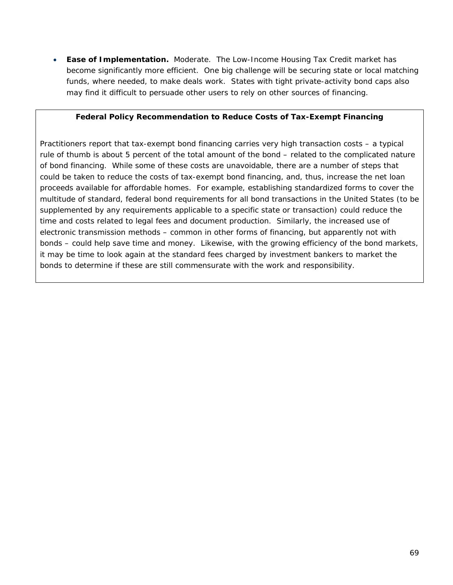• **Ease of Implementation.** Moderate. The Low-Income Housing Tax Credit market has become significantly more efficient. One big challenge will be securing state or local matching funds, where needed, to make deals work. States with tight private-activity bond caps also may find it difficult to persuade other users to rely on other sources of financing.

#### **Federal Policy Recommendation to Reduce Costs of Tax-Exempt Financing**

Practitioners report that tax-exempt bond financing carries very high transaction costs – a typical rule of thumb is about 5 percent of the total amount of the bond – related to the complicated nature of bond financing. While some of these costs are unavoidable, there are a number of steps that could be taken to reduce the costs of tax-exempt bond financing, and, thus, increase the net loan proceeds available for affordable homes. For example, establishing standardized forms to cover the multitude of standard, federal bond requirements for all bond transactions in the United States (to be supplemented by any requirements applicable to a specific state or transaction) could reduce the time and costs related to legal fees and document production. Similarly, the increased use of electronic transmission methods – common in other forms of financing, but apparently not with bonds – could help save time and money. Likewise, with the growing efficiency of the bond markets, it may be time to look again at the standard fees charged by investment bankers to market the bonds to determine if these are still commensurate with the work and responsibility.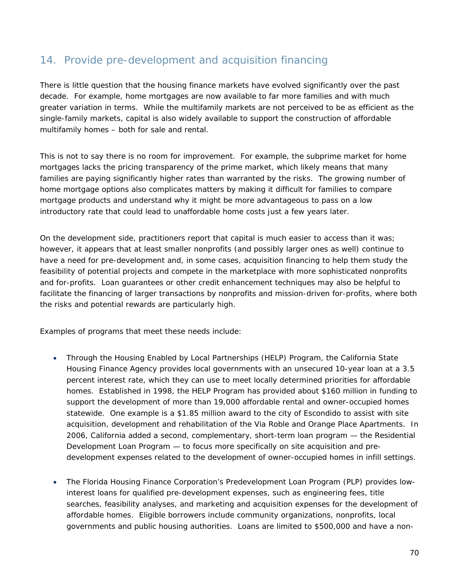# 14. Provide pre-development and acquisition financing

There is little question that the housing finance markets have evolved significantly over the past decade. For example, home mortgages are now available to far more families and with much greater variation in terms. While the multifamily markets are not perceived to be as efficient as the single-family markets, capital is also widely available to support the construction of affordable multifamily homes – both for sale and rental.

This is not to say there is no room for improvement. For example, the subprime market for home mortgages lacks the pricing transparency of the prime market, which likely means that many families are paying significantly higher rates than warranted by the risks. The growing number of home mortgage options also complicates matters by making it difficult for families to compare mortgage products and understand why it might be more advantageous to pass on a low introductory rate that could lead to unaffordable home costs just a few years later.

On the development side, practitioners report that capital is much easier to access than it was; however, it appears that at least smaller nonprofits (and possibly larger ones as well) continue to have a need for pre-development and, in some cases, acquisition financing to help them study the feasibility of potential projects and compete in the marketplace with more sophisticated nonprofits and for-profits. Loan guarantees or other credit enhancement techniques may also be helpful to facilitate the financing of larger transactions by nonprofits and mission-driven for-profits, where both the risks and potential rewards are particularly high.

Examples of programs that meet these needs include:

- Through the Housing Enabled by Local Partnerships (HELP) Program, the California State Housing Finance Agency provides local governments with an unsecured 10-year loan at a 3.5 percent interest rate, which they can use to meet locally determined priorities for affordable homes. Established in 1998, the HELP Program has provided about \$160 million in funding to support the development of more than 19,000 affordable rental and owner-occupied homes statewide. One example is a \$1.85 million award to the city of Escondido to assist with site acquisition, development and rehabilitation of the Via Roble and Orange Place Apartments. In 2006, California added a second, complementary, short-term loan program — the Residential Development Loan Program — to focus more specifically on site acquisition and predevelopment expenses related to the development of owner-occupied homes in infill settings.
- The Florida Housing Finance Corporation's Predevelopment Loan Program (PLP) provides lowinterest loans for qualified pre-development expenses, such as engineering fees, title searches, feasibility analyses, and marketing and acquisition expenses for the development of affordable homes. Eligible borrowers include community organizations, nonprofits, local governments and public housing authorities. Loans are limited to \$500,000 and have a non-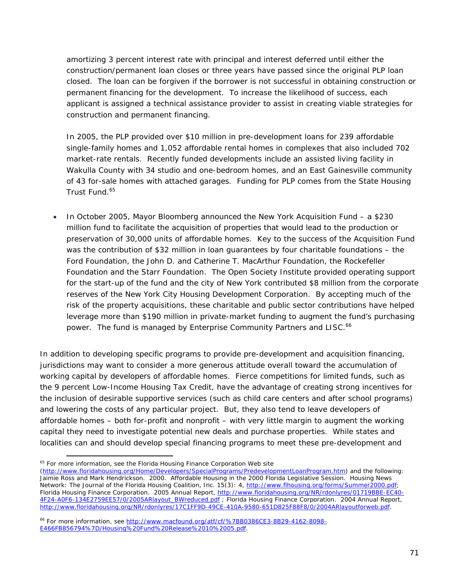amortizing 3 percent interest rate with principal and interest deferred until either the construction/permanent loan closes or three years have passed since the original PLP loan closed. The loan can be forgiven if the borrower is not successful in obtaining construction or permanent financing for the development. To increase the likelihood of success, each applicant is assigned a technical assistance provider to assist in creating viable strategies for construction and permanent financing.

In 2005, the PLP provided over \$10 million in pre-development loans for 239 affordable single-family homes and 1,052 affordable rental homes in complexes that also included 702 market-rate rentals. Recently funded developments include an assisted living facility in Wakulla County with 34 studio and one-bedroom homes, and an East Gainesville community of 43 for-sale homes with attached garages. Funding for PLP comes from the State Housing Trust Fund.<sup>65</sup>

• In October 2005, Mayor Bloomberg announced the New York Acquisition Fund – a \$230 million fund to facilitate the acquisition of properties that would lead to the production or preservation of 30,000 units of affordable homes. Key to the success of the Acquisition Fund was the contribution of \$32 million in loan guarantees by four charitable foundations – the Ford Foundation, the John D. and Catherine T. MacArthur Foundation, the Rockefeller Foundation and the Starr Foundation. The Open Society Institute provided operating support for the start-up of the fund and the city of New York contributed \$8 million from the corporate reserves of the New York City Housing Development Corporation. By accepting much of the risk of the property acquisitions, these charitable and public sector contributions have helped leverage more than \$190 million in private-market funding to augment the fund's purchasing power. The fund is managed by Enterprise Community Partners and LISC.<sup>66</sup>

In addition to developing specific programs to provide pre-development and acquisition financing, jurisdictions may want to consider a more generous attitude overall toward the accumulation of working capital by developers of affordable homes. Fierce competitions for limited funds, such as the 9 percent Low-Income Housing Tax Credit, have the advantage of creating strong incentives for the inclusion of desirable supportive services (such as child care centers and after school programs) and lowering the costs of any particular project. But, they also tend to leave developers of affordable homes – both for-profit and nonprofit – with very little margin to augment the working capital they need to investigate potential new deals and purchase properties. While states and localities can and should develop special financing programs to meet these pre-development and

 $\overline{a}$ <sup>65</sup> For more information, see the Florida Housing Finance Corporation Web site

<sup>(</sup>http://www.floridahousing.org/Home/Developers/SpecialPrograms/PredevelopmentLoanProgram.htm) and the following: Jaimie Ross and Mark Hendrickson. 2000. Affordable Housing in the 2000 Florida Legislative Session. *Housing News Network: The Journal of the Florida Housing Coalition, Inc.* 15(3): 4, http://www.flhousing.org/forms/Summer2000.pdf; Florida Housing Finance Corporation. *2005 Annual Report*, http://www.floridahousing.org/NR/rdonlyres/01719BBE-EC40- 4F24-A0F6-134E2759EE57/0/2005ARlayout\_BWreduced.pdf ; Florida Housing Finance Corporation. *2004 Annual Report*, http://www.floridahousing.org/NR/rdonlyres/17C1FF9D-49CE-410A-9580-651D825F88F8/0/2004ARlayoutforweb.pdf.

<sup>66</sup> For more information, see http://www.macfound.org/atf/cf/%7BB0386CE3-8B29-4162-8098- E466FB856794%7D/Housing%20Fund%20Release%2010%2005.pdf.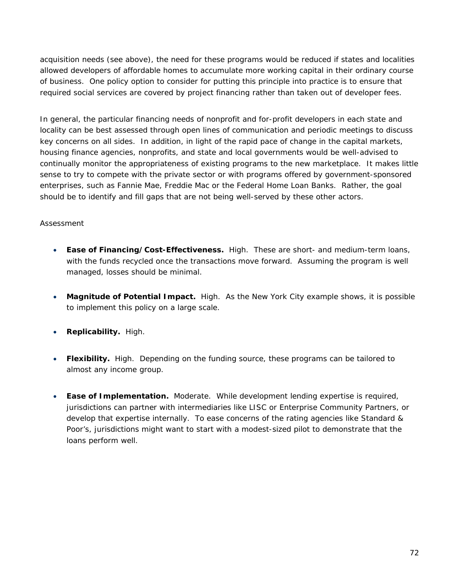acquisition needs (see above), the need for these programs would be reduced if states and localities allowed developers of affordable homes to accumulate more working capital in their ordinary course of business. One policy option to consider for putting this principle into practice is to ensure that required social services are covered by project financing rather than taken out of developer fees.

In general, the particular financing needs of nonprofit and for-profit developers in each state and locality can be best assessed through open lines of communication and periodic meetings to discuss key concerns on all sides. In addition, in light of the rapid pace of change in the capital markets, housing finance agencies, nonprofits, and state and local governments would be well-advised to continually monitor the appropriateness of existing programs to the new marketplace. It makes little sense to try to compete with the private sector or with programs offered by government-sponsored enterprises, such as Fannie Mae, Freddie Mac or the Federal Home Loan Banks. Rather, the goal should be to identify and fill gaps that are not being well-served by these other actors.

- **Ease of Financing/Cost-Effectiveness.** High. These are short- and medium-term loans, with the funds recycled once the transactions move forward. Assuming the program is well managed, losses should be minimal.
- **Magnitude of Potential Impact.** High. As the New York City example shows, it is possible to implement this policy on a large scale.
- **Replicability.** High.
- **Flexibility.** High. Depending on the funding source, these programs can be tailored to almost any income group.
- **Ease of Implementation.** Moderate. While development lending expertise is required, jurisdictions can partner with intermediaries like LISC or Enterprise Community Partners, or develop that expertise internally. To ease concerns of the rating agencies like Standard & Poor's, jurisdictions might want to start with a modest-sized pilot to demonstrate that the loans perform well.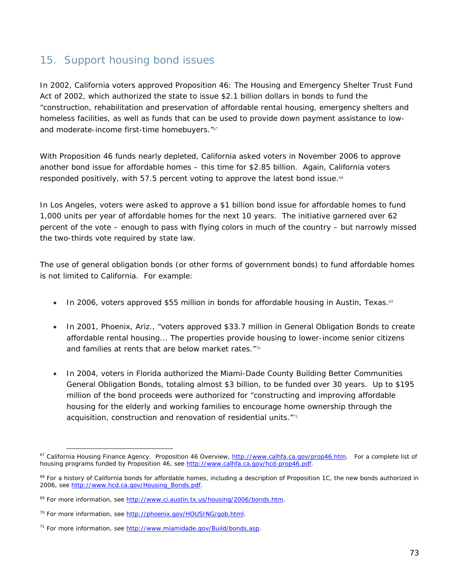### 15. Support housing bond issues

In 2002, California voters approved Proposition 46: The Housing and Emergency Shelter Trust Fund Act of 2002, which authorized the state to issue \$2.1 billion dollars in bonds to fund the "construction, rehabilitation and preservation of affordable rental housing, emergency shelters and homeless facilities, as well as funds that can be used to provide down payment assistance to lowand moderate-income first-time homebuyers."67

With Proposition 46 funds nearly depleted, California asked voters in November 2006 to approve another bond issue for affordable homes – this time for \$2.85 billion. Again, California voters responded positively, with 57.5 percent voting to approve the latest bond issue.<sup>68</sup>

In Los Angeles, voters were asked to approve a \$1 billion bond issue for affordable homes to fund 1,000 units per year of affordable homes for the next 10 years. The initiative garnered over 62 percent of the vote – enough to pass with flying colors in much of the country – but narrowly missed the two-thirds vote required by state law.

The use of general obligation bonds (or other forms of government bonds) to fund affordable homes is not limited to California. For example:

- In 2006, voters approved \$55 million in bonds for affordable housing in Austin, Texas.<sup>69</sup>
- In 2001, Phoenix, Ariz., "voters approved \$33.7 million in General Obligation Bonds to create affordable rental housing... The properties provide housing to lower-income senior citizens and families at rents that are below market rates."70
- In 2004, voters in Florida authorized the Miami-Dade County Building Better Communities General Obligation Bonds, totaling almost \$3 billion, to be funded over 30 years. Up to \$195 million of the bond proceeds were authorized for "constructing and improving affordable housing for the elderly and working families to encourage home ownership through the acquisition, construction and renovation of residential units."<sup>71</sup>

 $\overline{a}$ 67 California Housing Finance Agency. *Proposition 46 Overview*, http://www.calhfa.ca.gov/prop46.htm. For a complete list of housing programs funded by Proposition 46, see http://www.calhfa.ca.gov/hcd-prop46.pdf.

 $68$  For a history of California bonds for affordable homes, including a description of Proposition 1C, the new bonds authorized in 2006, see http://www.hcd.ca.gov/Housing\_Bonds.pdf.

<sup>&</sup>lt;sup>69</sup> For more information, see http://www.ci.austin.tx.us/housing/2006/bonds.htm.

<sup>70</sup> For more information, see http://phoenix.gov/HOUSING/gob.html.

<sup>&</sup>lt;sup>71</sup> For more information, see http://www.miamidade.gov/Build/bonds.asp.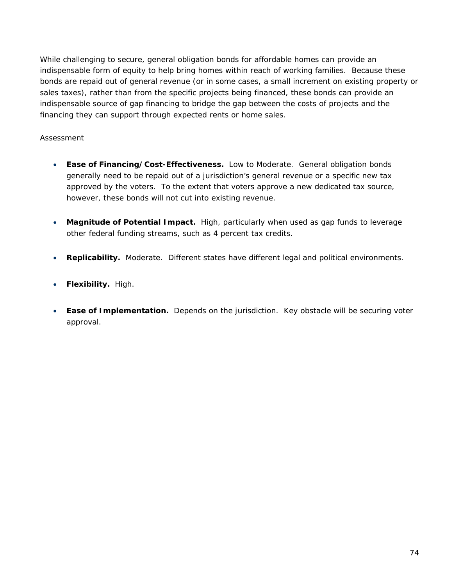While challenging to secure, general obligation bonds for affordable homes can provide an indispensable form of equity to help bring homes within reach of working families. Because these bonds are repaid out of general revenue (or in some cases, a small increment on existing property or sales taxes), rather than from the specific projects being financed, these bonds can provide an indispensable source of gap financing to bridge the gap between the costs of projects and the financing they can support through expected rents or home sales.

### *Assessment*

- **Ease of Financing/Cost-Effectiveness.** Low to Moderate. General obligation bonds generally need to be repaid out of a jurisdiction's general revenue or a specific new tax approved by the voters. To the extent that voters approve a new dedicated tax source, however, these bonds will not cut into existing revenue.
- **Magnitude of Potential Impact.** High, particularly when used as gap funds to leverage other federal funding streams, such as 4 percent tax credits.
- **Replicability.** Moderate. Different states have different legal and political environments.
- **Flexibility.** High.
- **Ease of Implementation.** Depends on the jurisdiction. Key obstacle will be securing voter approval.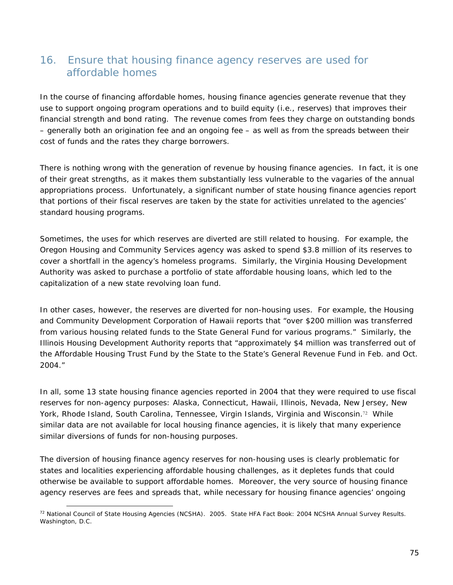### 16. Ensure that housing finance agency reserves are used for affordable homes

In the course of financing affordable homes, housing finance agencies generate revenue that they use to support ongoing program operations and to build equity (i.e., reserves) that improves their financial strength and bond rating. The revenue comes from fees they charge on outstanding bonds – generally both an origination fee and an ongoing fee – as well as from the spreads between their cost of funds and the rates they charge borrowers.

There is nothing wrong with the generation of revenue by housing finance agencies. In fact, it is one of their great strengths, as it makes them substantially less vulnerable to the vagaries of the annual appropriations process. Unfortunately, a significant number of state housing finance agencies report that portions of their fiscal reserves are taken by the state for activities unrelated to the agencies' standard housing programs.

Sometimes, the uses for which reserves are diverted are still related to housing. For example, the Oregon Housing and Community Services agency was asked to spend \$3.8 million of its reserves to cover a shortfall in the agency's homeless programs. Similarly, the Virginia Housing Development Authority was asked to purchase a portfolio of state affordable housing loans, which led to the capitalization of a new state revolving loan fund.

In other cases, however, the reserves are diverted for non-housing uses. For example, the Housing and Community Development Corporation of Hawaii reports that "over \$200 million was transferred from various housing related funds to the State General Fund for various programs." Similarly, the Illinois Housing Development Authority reports that "approximately \$4 million was transferred out of the Affordable Housing Trust Fund by the State to the State's General Revenue Fund in Feb. and Oct. 2004."

In all, some 13 state housing finance agencies reported in 2004 that they were required to use fiscal reserves for non-agency purposes: Alaska, Connecticut, Hawaii, Illinois, Nevada, New Jersey, New York, Rhode Island, South Carolina, Tennessee, Virgin Islands, Virginia and Wisconsin.<sup>72</sup> While similar data are not available for local housing finance agencies, it is likely that many experience similar diversions of funds for non-housing purposes.

The diversion of housing finance agency reserves for non-housing uses is clearly problematic for states and localities experiencing affordable housing challenges, as it depletes funds that could otherwise be available to support affordable homes. Moreover, the very source of housing finance agency reserves are fees and spreads that, while necessary for housing finance agencies' ongoing

<sup>72</sup> National Council of State Housing Agencies (NCSHA). 2005. *State HFA Fact Book: 2004 NCSHA Annual Survey Results*. Washington, D.C.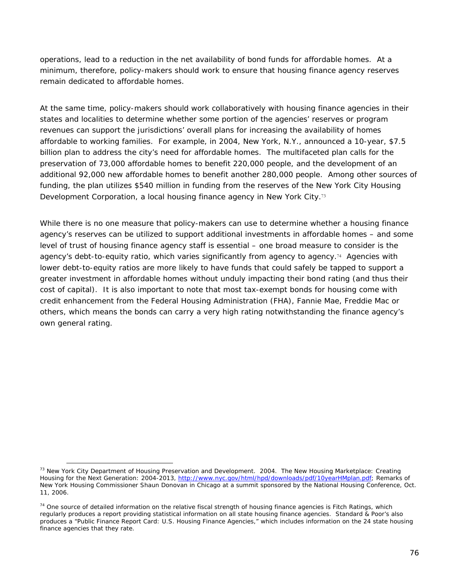operations, lead to a reduction in the net availability of bond funds for affordable homes. At a minimum, therefore, policy-makers should work to ensure that housing finance agency reserves remain dedicated to affordable homes.

At the same time, policy-makers should work collaboratively with housing finance agencies in their states and localities to determine whether some portion of the agencies' reserves or program revenues can support the jurisdictions' overall plans for increasing the availability of homes affordable to working families. For example, in 2004, New York, N.Y., announced a 10-year, \$7.5 billion plan to address the city's need for affordable homes. The multifaceted plan calls for the preservation of 73,000 affordable homes to benefit 220,000 people, and the development of an additional 92,000 new affordable homes to benefit another 280,000 people. Among other sources of funding, the plan utilizes \$540 million in funding from the reserves of the New York City Housing Development Corporation, a local housing finance agency in New York City.<sup>73</sup>

While there is no one measure that policy-makers can use to determine whether a housing finance agency's reserves can be utilized to support additional investments in affordable homes – and some level of trust of housing finance agency staff is essential – one broad measure to consider is the agency's debt-to-equity ratio, which varies significantly from agency to agency.74 Agencies with lower debt-to-equity ratios are more likely to have funds that could safely be tapped to support a greater investment in affordable homes without unduly impacting their bond rating (and thus their cost of capital). It is also important to note that most tax-exempt bonds for housing come with credit enhancement from the Federal Housing Administration (FHA), Fannie Mae, Freddie Mac or others, which means the bonds can carry a very high rating notwithstanding the finance agency's own general rating.

<sup>73</sup> New York City Department of Housing Preservation and Development. 2004. *The New Housing Marketplace: Creating Housing for the Next Generation: 2004-2013*, http://www.nyc.gov/html/hpd/downloads/pdf/10yearHMplan.pdf; Remarks of New York Housing Commissioner Shaun Donovan in Chicago at a summit sponsored by the National Housing Conference, Oct. 11, 2006.

 $74$  One source of detailed information on the relative fiscal strength of housing finance agencies is Fitch Ratings, which regularly produces a report providing statistical information on all state housing finance agencies. Standard & Poor's also produces a "Public Finance Report Card: U.S. Housing Finance Agencies," which includes information on the 24 state housing finance agencies that they rate.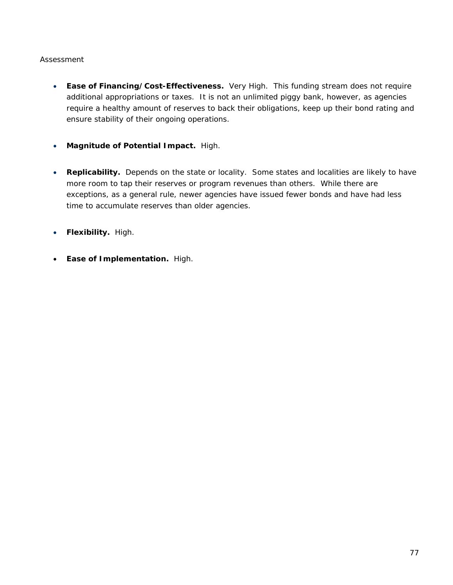### *Assessment*

- **Ease of Financing/Cost-Effectiveness.** Very High. This funding stream does not require additional appropriations or taxes. It is not an unlimited piggy bank, however, as agencies require a healthy amount of reserves to back their obligations, keep up their bond rating and ensure stability of their ongoing operations.
- **Magnitude of Potential Impact.** High.
- **Replicability.** Depends on the state or locality. Some states and localities are likely to have more room to tap their reserves or program revenues than others. While there are exceptions, as a general rule, newer agencies have issued fewer bonds and have had less time to accumulate reserves than older agencies.
- **Flexibility.** High.
- **Ease of Implementation.** High.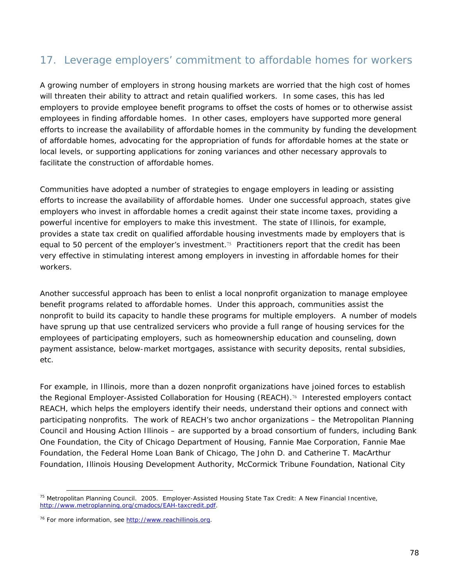# 17. Leverage employers' commitment to affordable homes for workers

A growing number of employers in strong housing markets are worried that the high cost of homes will threaten their ability to attract and retain qualified workers. In some cases, this has led employers to provide employee benefit programs to offset the costs of homes or to otherwise assist employees in finding affordable homes. In other cases, employers have supported more general efforts to increase the availability of affordable homes in the community by funding the development of affordable homes, advocating for the appropriation of funds for affordable homes at the state or local levels, or supporting applications for zoning variances and other necessary approvals to facilitate the construction of affordable homes.

Communities have adopted a number of strategies to engage employers in leading or assisting efforts to increase the availability of affordable homes. Under one successful approach, states give employers who invest in affordable homes a credit against their state income taxes, providing a powerful incentive for employers to make this investment. The state of Illinois, for example, provides a state tax credit on qualified affordable housing investments made by employers that is equal to 50 percent of the employer's investment.75 Practitioners report that the credit has been very effective in stimulating interest among employers in investing in affordable homes for their workers.

Another successful approach has been to enlist a local nonprofit organization to manage employee benefit programs related to affordable homes. Under this approach, communities assist the nonprofit to build its capacity to handle these programs for multiple employers. A number of models have sprung up that use centralized servicers who provide a full range of housing services for the employees of participating employers, such as homeownership education and counseling, down payment assistance, below-market mortgages, assistance with security deposits, rental subsidies, etc.

For example, in Illinois, more than a dozen nonprofit organizations have joined forces to establish the Regional Employer-Assisted Collaboration for Housing (REACH).76 Interested employers contact REACH, which helps the employers identify their needs, understand their options and connect with participating nonprofits. The work of REACH's two anchor organizations – the Metropolitan Planning Council and Housing Action Illinois – are supported by a broad consortium of funders, including Bank One Foundation, the City of Chicago Department of Housing, Fannie Mae Corporation, Fannie Mae Foundation, the Federal Home Loan Bank of Chicago, The John D. and Catherine T. MacArthur Foundation, Illinois Housing Development Authority, McCormick Tribune Foundation, National City

<sup>&</sup>lt;sup>75</sup> Metropolitan Planning Council. 2005. Employer-Assisted Housing State Tax Credit: A New Financial Incentive, http://www.metroplanning.org/cmadocs/EAH-taxcredit.pdf.

<sup>&</sup>lt;sup>76</sup> For more information, see http://www.reachillinois.org.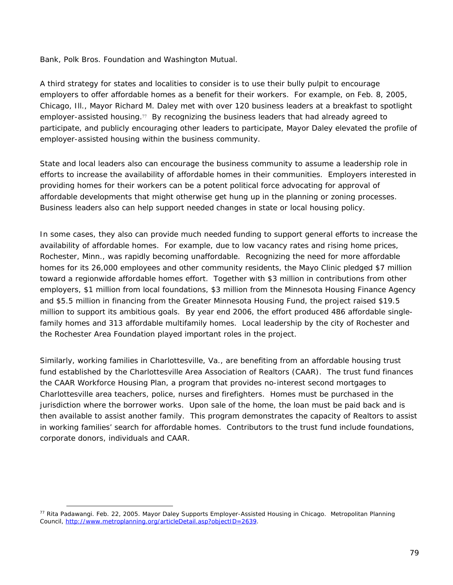Bank, Polk Bros. Foundation and Washington Mutual.

A third strategy for states and localities to consider is to use their bully pulpit to encourage employers to offer affordable homes as a benefit for their workers. For example, on Feb. 8, 2005, Chicago, Ill., Mayor Richard M. Daley met with over 120 business leaders at a breakfast to spotlight employer-assisted housing.<sup>77</sup> By recognizing the business leaders that had already agreed to participate, and publicly encouraging other leaders to participate, Mayor Daley elevated the profile of employer-assisted housing within the business community.

State and local leaders also can encourage the business community to assume a leadership role in efforts to increase the availability of affordable homes in their communities. Employers interested in providing homes for their workers can be a potent political force advocating for approval of affordable developments that might otherwise get hung up in the planning or zoning processes. Business leaders also can help support needed changes in state or local housing policy.

In some cases, they also can provide much needed funding to support general efforts to increase the availability of affordable homes. For example, due to low vacancy rates and rising home prices, Rochester, Minn., was rapidly becoming unaffordable. Recognizing the need for more affordable homes for its 26,000 employees and other community residents, the Mayo Clinic pledged \$7 million toward a regionwide affordable homes effort. Together with \$3 million in contributions from other employers, \$1 million from local foundations, \$3 million from the Minnesota Housing Finance Agency and \$5.5 million in financing from the Greater Minnesota Housing Fund, the project raised \$19.5 million to support its ambitious goals. By year end 2006, the effort produced 486 affordable singlefamily homes and 313 affordable multifamily homes. Local leadership by the city of Rochester and the Rochester Area Foundation played important roles in the project.

Similarly, working families in Charlottesville, Va., are benefiting from an affordable housing trust fund established by the Charlottesville Area Association of Realtors (CAAR). The trust fund finances the CAAR Workforce Housing Plan, a program that provides no-interest second mortgages to Charlottesville area teachers, police, nurses and firefighters. Homes must be purchased in the jurisdiction where the borrower works. Upon sale of the home, the loan must be paid back and is then available to assist another family. This program demonstrates the capacity of Realtors to assist in working families' search for affordable homes. Contributors to the trust fund include foundations, corporate donors, individuals and CAAR.

<sup>&</sup>lt;sup>77</sup> Rita Padawangi. Feb. 22, 2005. Mayor Daley Supports Employer-Assisted Housing in Chicago. Metropolitan Planning Council, http://www.metroplanning.org/articleDetail.asp?objectID=2639.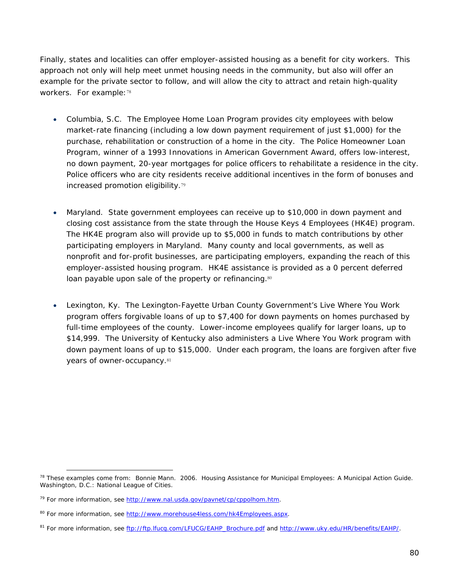Finally, states and localities can offer employer-assisted housing as a benefit for city workers. This approach not only will help meet unmet housing needs in the community, but also will offer an example for the private sector to follow, and will allow the city to attract and retain high-quality workers. For example: 78

- *Columbia, S.C*. The Employee Home Loan Program provides city employees with below market-rate financing (including a low down payment requirement of just \$1,000) for the purchase, rehabilitation or construction of a home in the city. The Police Homeowner Loan Program, winner of a 1993 Innovations in American Government Award, offers low-interest, no down payment, 20-year mortgages for police officers to rehabilitate a residence in the city. Police officers who are city residents receive additional incentives in the form of bonuses and increased promotion eligibility.<sup>79</sup>
- *Maryland*. State government employees can receive up to \$10,000 in down payment and closing cost assistance from the state through the House Keys 4 Employees (HK4E) program. The HK4E program also will provide up to \$5,000 in funds to match contributions by other participating employers in Maryland. Many county and local governments, as well as nonprofit and for-profit businesses, are participating employers, expanding the reach of this employer-assisted housing program. HK4E assistance is provided as a 0 percent deferred loan payable upon sale of the property or refinancing.<sup>80</sup>
- *Lexington, Ky*. The Lexington-Fayette Urban County Government's Live Where You Work program offers forgivable loans of up to \$7,400 for down payments on homes purchased by full-time employees of the county. Lower-income employees qualify for larger loans, up to \$14,999. The University of Kentucky also administers a Live Where You Work program with down payment loans of up to \$15,000. Under each program, the loans are forgiven after five years of owner-occupancy. 81

<sup>78</sup> These examples come from: Bonnie Mann. 2006. *Housing Assistance for Municipal Employees: A Municipal Action Guide*. Washington, D.C.: National League of Cities.

<sup>&</sup>lt;sup>79</sup> For more information, see http://www.nal.usda.gov/pavnet/cp/cppolhom.htm.

<sup>&</sup>lt;sup>80</sup> For more information, see http://www.morehouse4less.com/hk4Employees.aspx.

<sup>81</sup> For more information, see ftp://ftp.lfucg.com/LFUCG/EAHP\_Brochure.pdf and http://www.uky.edu/HR/benefits/EAHP/.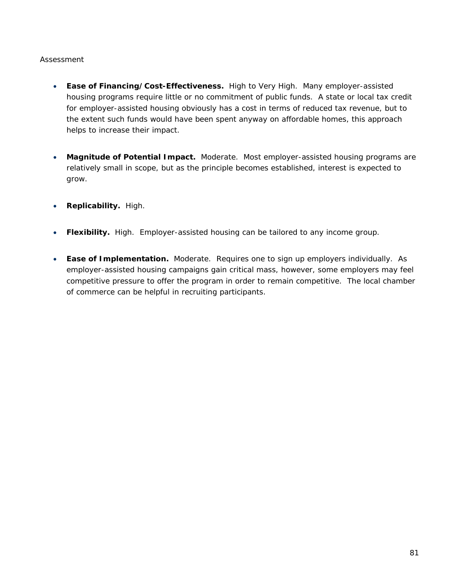### *Assessment*

- **Ease of Financing/Cost-Effectiveness.** High to Very High. Many employer-assisted housing programs require little or no commitment of public funds. A state or local tax credit for employer-assisted housing obviously has a cost in terms of reduced tax revenue, but to the extent such funds would have been spent anyway on affordable homes, this approach helps to increase their impact.
- **Magnitude of Potential Impact.** Moderate. Most employer-assisted housing programs are relatively small in scope, but as the principle becomes established, interest is expected to grow.
- **Replicability.** High.
- **Flexibility.** High. Employer-assisted housing can be tailored to any income group.
- **Ease of Implementation.** Moderate. Requires one to sign up employers individually. As employer-assisted housing campaigns gain critical mass, however, some employers may feel competitive pressure to offer the program in order to remain competitive. The local chamber of commerce can be helpful in recruiting participants.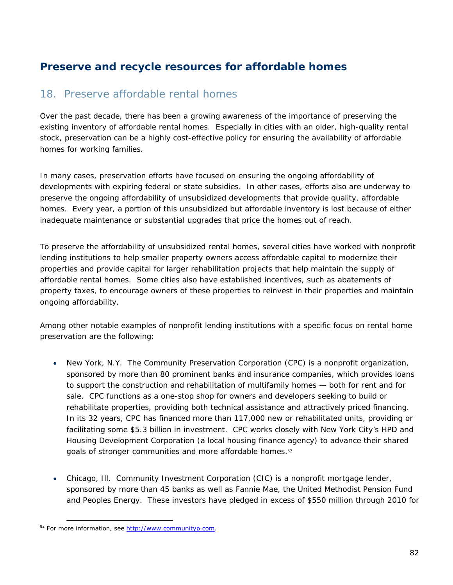# **Preserve and recycle resources for affordable homes**

### 18. Preserve affordable rental homes

Over the past decade, there has been a growing awareness of the importance of preserving the existing inventory of affordable rental homes. Especially in cities with an older, high-quality rental stock, preservation can be a highly cost-effective policy for ensuring the availability of affordable homes for working families.

In many cases, preservation efforts have focused on ensuring the ongoing affordability of developments with expiring federal or state subsidies. In other cases, efforts also are underway to preserve the ongoing affordability of unsubsidized developments that provide quality, affordable homes. Every year, a portion of this unsubsidized but affordable inventory is lost because of either inadequate maintenance or substantial upgrades that price the homes out of reach.

To preserve the affordability of unsubsidized rental homes, several cities have worked with nonprofit lending institutions to help smaller property owners access affordable capital to modernize their properties and provide capital for larger rehabilitation projects that help maintain the supply of affordable rental homes. Some cities also have established incentives, such as abatements of property taxes, to encourage owners of these properties to reinvest in their properties and maintain ongoing affordability.

Among other notable examples of nonprofit lending institutions with a specific focus on rental home preservation are the following:

- *New York, N.Y*. The Community Preservation Corporation (CPC) is a nonprofit organization, sponsored by more than 80 prominent banks and insurance companies, which provides loans to support the construction and rehabilitation of multifamily homes — both for rent and for sale. CPC functions as a one-stop shop for owners and developers seeking to build or rehabilitate properties, providing both technical assistance and attractively priced financing. In its 32 years, CPC has financed more than 117,000 new or rehabilitated units, providing or facilitating some \$5.3 billion in investment. CPC works closely with New York City's HPD and Housing Development Corporation (a local housing finance agency) to advance their shared goals of stronger communities and more affordable homes.<sup>82</sup>
- *Chicago, Ill*. Community Investment Corporation (CIC) is a nonprofit mortgage lender, sponsored by more than 45 banks as well as Fannie Mae, the United Methodist Pension Fund and Peoples Energy. These investors have pledged in excess of \$550 million through 2010 for

 $\overline{a}$ 82 For more information, see http://www.communityp.com.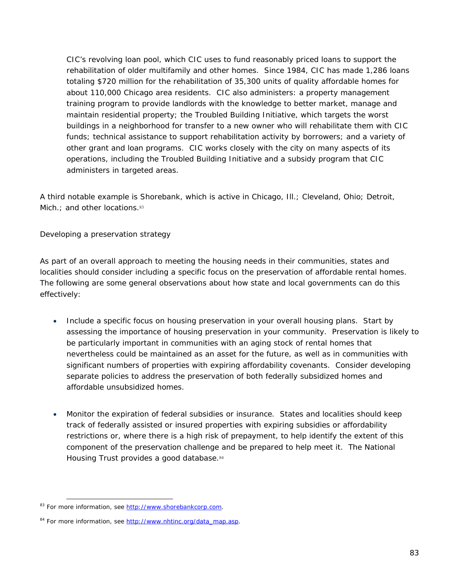CIC's revolving loan pool, which CIC uses to fund reasonably priced loans to support the rehabilitation of older multifamily and other homes. Since 1984, CIC has made 1,286 loans totaling \$720 million for the rehabilitation of 35,300 units of quality affordable homes for about 110,000 Chicago area residents. CIC also administers: a property management training program to provide landlords with the knowledge to better market, manage and maintain residential property; the Troubled Building Initiative, which targets the worst buildings in a neighborhood for transfer to a new owner who will rehabilitate them with CIC funds; technical assistance to support rehabilitation activity by borrowers; and a variety of other grant and loan programs. CIC works closely with the city on many aspects of its operations, including the Troubled Building Initiative and a subsidy program that CIC administers in targeted areas.

A third notable example is Shorebank, which is active in Chicago, Ill.; Cleveland, Ohio; Detroit, Mich.; and other locations.<sup>83</sup>

#### *Developing a preservation strategy*

As part of an overall approach to meeting the housing needs in their communities, states and localities should consider including a specific focus on the preservation of affordable rental homes. The following are some general observations about how state and local governments can do this effectively:

- *Include a specific focus on housing preservation in your overall housing plans*. Start by assessing the importance of housing preservation in your community. Preservation is likely to be particularly important in communities with an aging stock of rental homes that nevertheless could be maintained as an asset for the future, as well as in communities with significant numbers of properties with expiring affordability covenants. Consider developing separate policies to address the preservation of both federally subsidized homes and affordable unsubsidized homes.
- *Monitor the expiration of federal subsidies or insurance*. States and localities should keep track of federally assisted or insured properties with expiring subsidies or affordability restrictions or, where there is a high risk of prepayment, to help identify the extent of this component of the preservation challenge and be prepared to help meet it. The National Housing Trust provides a good database.<sup>84</sup>

 $\overline{a}$ <sup>83</sup> For more information, see http://www.shorebankcorp.com.

<sup>&</sup>lt;sup>84</sup> For more information, see http://www.nhtinc.org/data\_map.asp.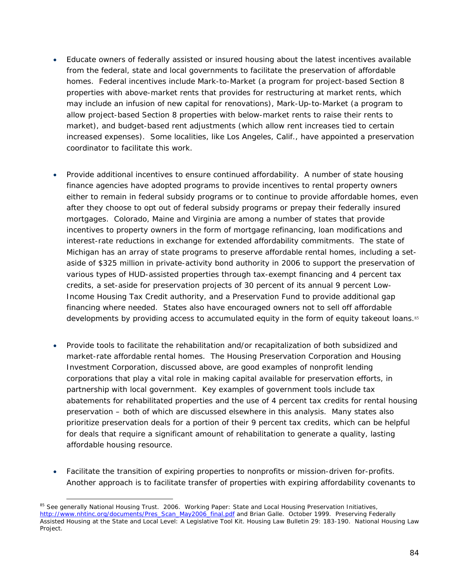- *Educate owners of federally assisted or insured housing about the latest incentives available from the federal, state and local governments to facilitate the preservation of affordable homes.* Federal incentives include Mark-to-Market (a program for project-based Section 8 properties with above-market rents that provides for restructuring at market rents, which may include an infusion of new capital for renovations), Mark-Up-to-Market (a program to allow project-based Section 8 properties with below-market rents to raise their rents to market), and budget-based rent adjustments (which allow rent increases tied to certain increased expenses). Some localities, like Los Angeles, Calif., have appointed a preservation coordinator to facilitate this work.
- *Provide additional incentives to ensure continued affordability.* A number of state housing finance agencies have adopted programs to provide incentives to rental property owners either to remain in federal subsidy programs or to continue to provide affordable homes, even after they choose to opt out of federal subsidy programs or prepay their federally insured mortgages. Colorado, Maine and Virginia are among a number of states that provide incentives to property owners in the form of mortgage refinancing, loan modifications and interest-rate reductions in exchange for extended affordability commitments. The state of Michigan has an array of state programs to preserve affordable rental homes, including a setaside of \$325 million in private-activity bond authority in 2006 to support the preservation of various types of HUD-assisted properties through tax-exempt financing and 4 percent tax credits, a set-aside for preservation projects of 30 percent of its annual 9 percent Low-Income Housing Tax Credit authority, and a Preservation Fund to provide additional gap financing where needed. States also have encouraged owners not to sell off affordable developments by providing access to accumulated equity in the form of equity takeout loans.<sup>85</sup>
- *Provide tools to facilitate the rehabilitation and/or recapitalization of both subsidized and market-rate affordable rental homes*. The Housing Preservation Corporation and Housing Investment Corporation, discussed above, are good examples of nonprofit lending corporations that play a vital role in making capital available for preservation efforts, in partnership with local government. Key examples of government tools include tax abatements for rehabilitated properties and the use of 4 percent tax credits for rental housing preservation – both of which are discussed elsewhere in this analysis. Many states also prioritize preservation deals for a portion of their 9 percent tax credits, which can be helpful for deals that require a significant amount of rehabilitation to generate a quality, lasting affordable housing resource.
- *Facilitate the transition of expiring properties to nonprofits or mission-driven for-profits*. Another approach is to facilitate transfer of properties with expiring affordability covenants to

<sup>&</sup>lt;sup>85</sup> See generally National Housing Trust. 2006. Working Paper: State and Local Housing Preservation Initiatives, http://www.nhtinc.org/documents/Pres\_Scan\_May2006\_final.pdf and Brian Galle. October 1999. Preserving Federally Assisted Housing at the State and Local Level: A Legislative Tool Kit. *Housing Law Bulletin* 29: 183-190. National Housing Law Project.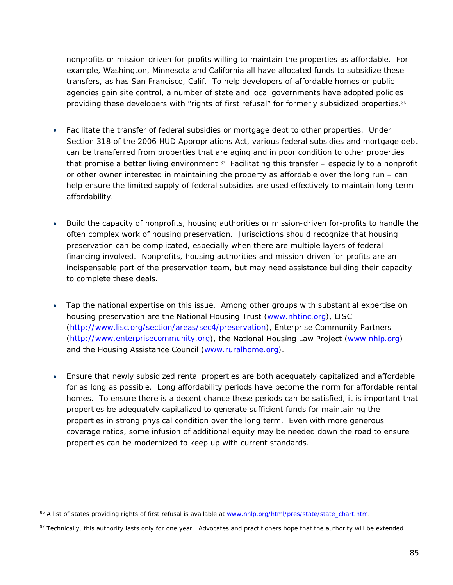nonprofits or mission-driven for-profits willing to maintain the properties as affordable. For example, Washington, Minnesota and California all have allocated funds to subsidize these transfers, as has San Francisco, Calif. To help developers of affordable homes or public agencies gain site control, a number of state and local governments have adopted policies providing these developers with "rights of first refusal" for formerly subsidized properties.<sup>86</sup>

- *Facilitate the transfer of federal subsidies or mortgage debt to other properties*. Under Section 318 of the 2006 HUD Appropriations Act, various federal subsidies and mortgage debt can be transferred from properties that are aging and in poor condition to other properties that promise a better living environment.<sup>87</sup> Facilitating this transfer  $-$  especially to a nonprofit or other owner interested in maintaining the property as affordable over the long run – can help ensure the limited supply of federal subsidies are used effectively to maintain long-term affordability.
- *Build the capacity of nonprofits, housing authorities or mission-driven for-profits to handle the often complex work of housing preservation*. Jurisdictions should recognize that housing preservation can be complicated, especially when there are multiple layers of federal financing involved. Nonprofits, housing authorities and mission-driven for-profits are an indispensable part of the preservation team, but may need assistance building their capacity to complete these deals.
- *Tap the national expertise on this issue*. Among other groups with substantial expertise on housing preservation are the National Housing Trust (www.nhtinc.org), LISC (http://www.lisc.org/section/areas/sec4/preservation), Enterprise Community Partners (http://www.enterprisecommunity.org), the National Housing Law Project (www.nhlp.org) and the Housing Assistance Council (www.ruralhome.org).
- *Ensure that newly subsidized rental properties are both adequately capitalized and affordable for as long as possible*. Long affordability periods have become the norm for affordable rental homes. To ensure there is a decent chance these periods can be satisfied, it is important that properties be adequately capitalized to generate sufficient funds for maintaining the properties in strong physical condition over the long term. Even with more generous coverage ratios, some infusion of additional equity may be needed down the road to ensure properties can be modernized to keep up with current standards.

 $\overline{a}$ <sup>86</sup> A list of states providing rights of first refusal is available at www.nhlp.org/html/pres/state/state\_chart.htm.

<sup>87</sup> Technically, this authority lasts only for one year. Advocates and practitioners hope that the authority will be extended.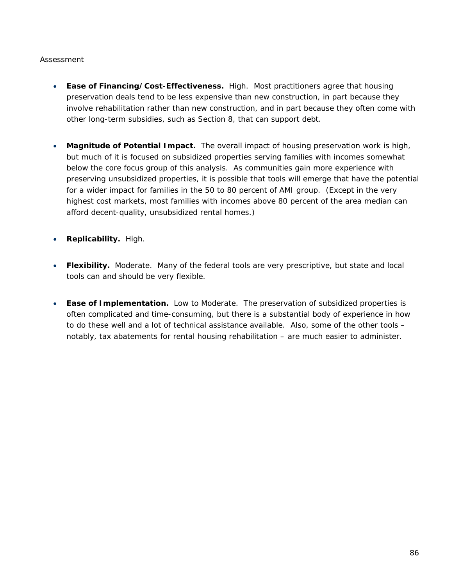### *Assessment*

- **Ease of Financing/Cost-Effectiveness.** High. Most practitioners agree that housing preservation deals tend to be less expensive than new construction, in part because they involve rehabilitation rather than new construction, and in part because they often come with other long-term subsidies, such as Section 8, that can support debt.
- **Magnitude of Potential Impact.** The overall impact of housing preservation work is high, but much of it is focused on subsidized properties serving families with incomes somewhat below the core focus group of this analysis. As communities gain more experience with preserving unsubsidized properties, it is possible that tools will emerge that have the potential for a wider impact for families in the 50 to 80 percent of AMI group. (Except in the very highest cost markets, most families with incomes above 80 percent of the area median can afford decent-quality, unsubsidized rental homes.)
- **Replicability.** High.
- **Flexibility.** Moderate. Many of the federal tools are very prescriptive, but state and local tools can and should be very flexible.
- **Ease of Implementation.** Low to Moderate. The preservation of subsidized properties is often complicated and time-consuming, but there is a substantial body of experience in how to do these well and a lot of technical assistance available. Also, some of the other tools – notably, tax abatements for rental housing rehabilitation – are much easier to administer.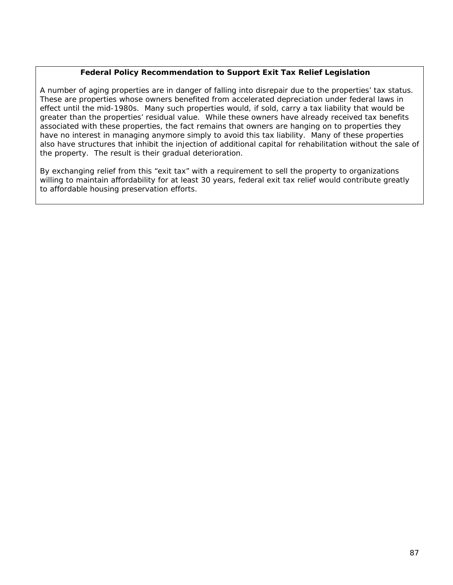### **Federal Policy Recommendation to Support Exit Tax Relief Legislation**

A number of aging properties are in danger of falling into disrepair due to the properties' tax status. These are properties whose owners benefited from accelerated depreciation under federal laws in effect until the mid-1980s. Many such properties would, if sold, carry a tax liability that would be greater than the properties' residual value. While these owners have already received tax benefits associated with these properties, the fact remains that owners are hanging on to properties they have no interest in managing anymore simply to avoid this tax liability. Many of these properties also have structures that inhibit the injection of additional capital for rehabilitation without the sale of the property. The result is their gradual deterioration.

By exchanging relief from this "exit tax" with a requirement to sell the property to organizations willing to maintain affordability for at least 30 years, federal exit tax relief would contribute greatly to affordable housing preservation efforts.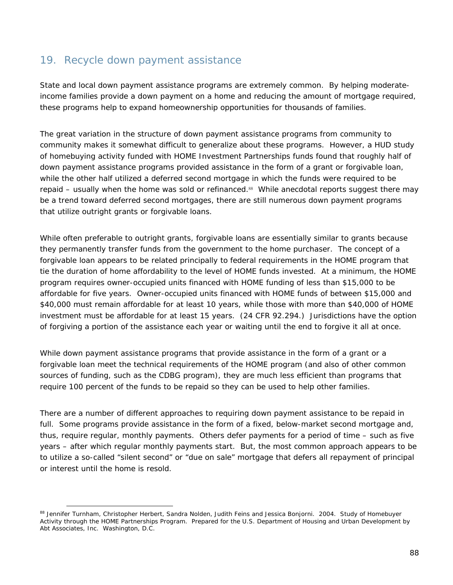### 19. Recycle down payment assistance

State and local down payment assistance programs are extremely common. By helping moderateincome families provide a down payment on a home and reducing the amount of mortgage required, these programs help to expand homeownership opportunities for thousands of families.

The great variation in the structure of down payment assistance programs from community to community makes it somewhat difficult to generalize about these programs. However, a HUD study of homebuying activity funded with HOME Investment Partnerships funds found that roughly half of down payment assistance programs provided assistance in the form of a grant or forgivable loan, while the other half utilized a deferred second mortgage in which the funds were required to be repaid – usually when the home was sold or refinanced.<sup>88</sup> While anecdotal reports suggest there may be a trend toward deferred second mortgages, there are still numerous down payment programs that utilize outright grants or forgivable loans.

While often preferable to outright grants, forgivable loans are essentially similar to grants because they permanently transfer funds from the government to the home purchaser. The concept of a forgivable loan appears to be related principally to federal requirements in the HOME program that tie the duration of home affordability to the level of HOME funds invested. At a minimum, the HOME program requires owner-occupied units financed with HOME funding of less than \$15,000 to be affordable for five years. Owner-occupied units financed with HOME funds of between \$15,000 and \$40,000 must remain affordable for at least 10 years, while those with more than \$40,000 of HOME investment must be affordable for at least 15 years. *(24 CFR 92.294.)* Jurisdictions have the option of forgiving a portion of the assistance each year or waiting until the end to forgive it all at once.

While down payment assistance programs that provide assistance in the form of a grant or a forgivable loan meet the technical requirements of the HOME program (and also of other common sources of funding, such as the CDBG program), they are much less efficient than programs that require 100 percent of the funds to be repaid so they can be used to help other families.

There are a number of different approaches to requiring down payment assistance to be repaid in full. Some programs provide assistance in the form of a fixed, below-market second mortgage and, thus, require regular, monthly payments. Others defer payments for a period of time – such as five years – after which regular monthly payments start. But, the most common approach appears to be to utilize a so-called "silent second" or "due on sale" mortgage that defers all repayment of principal or interest until the home is resold.

<sup>88</sup> Jennifer Turnham, Christopher Herbert, Sandra Nolden, Judith Feins and Jessica Bonjorni. 2004. *Study of Homebuyer Activity through the HOME Partnerships Program*. Prepared for the U.S. Department of Housing and Urban Development by Abt Associates, Inc. Washington, D.C.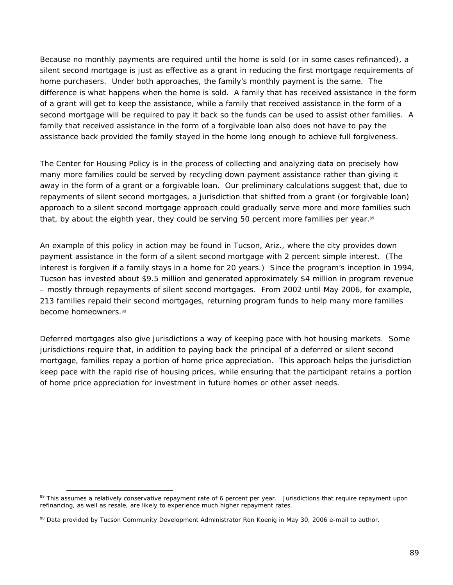Because no monthly payments are required until the home is sold (or in some cases refinanced), a silent second mortgage is just as effective as a grant in reducing the first mortgage requirements of home purchasers. Under both approaches, the family's monthly payment is the same. The difference is what happens when the home is sold. A family that has received assistance in the form of a grant will get to keep the assistance, while a family that received assistance in the form of a second mortgage will be required to pay it back so the funds can be used to assist other families. A family that received assistance in the form of a forgivable loan also does not have to pay the assistance back provided the family stayed in the home long enough to achieve full forgiveness.

The Center for Housing Policy is in the process of collecting and analyzing data on precisely how many more families could be served by recycling down payment assistance rather than giving it away in the form of a grant or a forgivable loan. Our preliminary calculations suggest that, due to repayments of silent second mortgages, a jurisdiction that shifted from a grant (or forgivable loan) approach to a silent second mortgage approach could gradually serve more and more families such that, by about the eighth year, they could be serving 50 percent more families per year.89

An example of this policy in action may be found in Tucson, Ariz., where the city provides down payment assistance in the form of a silent second mortgage with 2 percent simple interest. (The interest is forgiven if a family stays in a home for 20 years.) Since the program's inception in 1994, Tucson has invested about \$9.5 million and generated approximately \$4 million in program revenue – mostly through repayments of silent second mortgages. From 2002 until May 2006, for example, 213 families repaid their second mortgages, returning program funds to help many more families become homeowners.<sup>90</sup>

Deferred mortgages also give jurisdictions a way of keeping pace with hot housing markets. Some jurisdictions require that, in addition to paying back the principal of a deferred or silent second mortgage, families repay a portion of home price appreciation. This approach helps the jurisdiction keep pace with the rapid rise of housing prices, while ensuring that the participant retains a portion of home price appreciation for investment in future homes or other asset needs.

<sup>&</sup>lt;sup>89</sup> This assumes a relatively conservative repayment rate of 6 percent per year. Jurisdictions that require repayment upon refinancing, as well as resale, are likely to experience much higher repayment rates.

<sup>90</sup> Data provided by Tucson Community Development Administrator Ron Koenig in May 30, 2006 e-mail to author.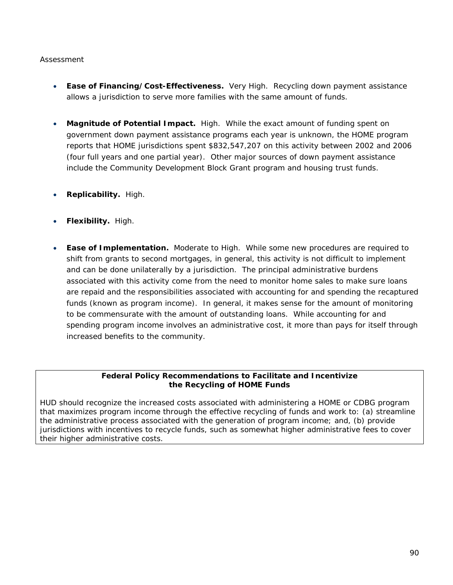#### *Assessment*

- **Ease of Financing/Cost-Effectiveness.** Very High. Recycling down payment assistance allows a jurisdiction to serve more families with the same amount of funds.
- **Magnitude of Potential Impact.** High. While the exact amount of funding spent on government down payment assistance programs each year is unknown, the HOME program reports that HOME jurisdictions spent \$832,547,207 on this activity between 2002 and 2006 (four full years and one partial year). Other major sources of down payment assistance include the Community Development Block Grant program and housing trust funds.
- **Replicability.** High.
- **Flexibility.** High.
- **Ease of Implementation.** Moderate to High. While some new procedures are required to shift from grants to second mortgages, in general, this activity is not difficult to implement and can be done unilaterally by a jurisdiction. The principal administrative burdens associated with this activity come from the need to monitor home sales to make sure loans are repaid and the responsibilities associated with accounting for and spending the recaptured funds (known as program income). In general, it makes sense for the amount of monitoring to be commensurate with the amount of outstanding loans. While accounting for and spending program income involves an administrative cost, it more than pays for itself through increased benefits to the community.

### **Federal Policy Recommendations to Facilitate and Incentivize the Recycling of HOME Funds**

HUD should recognize the increased costs associated with administering a HOME or CDBG program that maximizes program income through the effective recycling of funds and work to: (a) streamline the administrative process associated with the generation of program income; and, (b) provide jurisdictions with incentives to recycle funds, such as somewhat higher administrative fees to cover their higher administrative costs.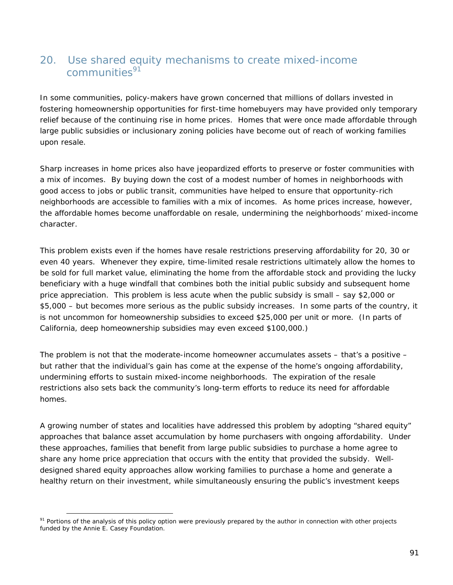### 20. Use shared equity mechanisms to create mixed-income communities<sup>91</sup>

In some communities, policy-makers have grown concerned that millions of dollars invested in fostering homeownership opportunities for first-time homebuyers may have provided only temporary relief because of the continuing rise in home prices. Homes that were once made affordable through large public subsidies or inclusionary zoning policies have become out of reach of working families upon resale.

Sharp increases in home prices also have jeopardized efforts to preserve or foster communities with a mix of incomes. By buying down the cost of a modest number of homes in neighborhoods with good access to jobs or public transit, communities have helped to ensure that opportunity-rich neighborhoods are accessible to families with a mix of incomes. As home prices increase, however, the affordable homes become unaffordable on resale, undermining the neighborhoods' mixed-income character.

This problem exists even if the homes have resale restrictions preserving affordability for 20, 30 or even 40 years. Whenever they expire, time-limited resale restrictions ultimately allow the homes to be sold for full market value, eliminating the home from the affordable stock and providing the lucky beneficiary with a huge windfall that combines both the initial public subsidy and subsequent home price appreciation. This problem is less acute when the public subsidy is small – say \$2,000 or \$5,000 – but becomes more serious as the public subsidy increases. In some parts of the country, it is not uncommon for homeownership subsidies to exceed \$25,000 per unit or more. (In parts of California, deep homeownership subsidies may even exceed \$100,000.)

The problem is not that the moderate-income homeowner accumulates assets – that's a positive – but rather that the individual's gain has come at the expense of the home's ongoing affordability, undermining efforts to sustain mixed-income neighborhoods. The expiration of the resale restrictions also sets back the community's long-term efforts to reduce its need for affordable homes.

A growing number of states and localities have addressed this problem by adopting "shared equity" approaches that balance asset accumulation by home purchasers with ongoing affordability. Under these approaches, families that benefit from large public subsidies to purchase a home agree to share any home price appreciation that occurs with the entity that provided the subsidy. Welldesigned shared equity approaches allow working families to purchase a home and generate a healthy return on their investment, while simultaneously ensuring the public's investment keeps

 $\overline{a}$ 91 Portions of the analysis of this policy option were previously prepared by the author in connection with other projects funded by the Annie E. Casey Foundation.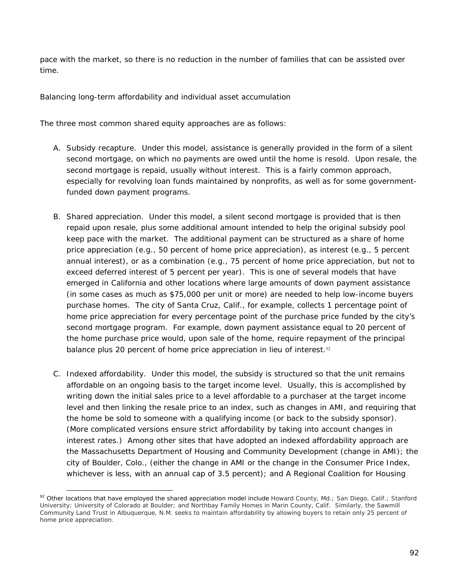pace with the market, so there is no reduction in the number of families that can be assisted over time.

#### *Balancing long-term affordability and individual asset accumulation*

The three most common shared equity approaches are as follows:

- A. Subsidy recapture. Under this model, assistance is generally provided in the form of a silent second mortgage, on which no payments are owed until the home is resold. Upon resale, the second mortgage is repaid, usually without interest. This is a fairly common approach, especially for revolving loan funds maintained by nonprofits, as well as for some governmentfunded down payment programs.
- B. Shared appreciation. Under this model, a silent second mortgage is provided that is then repaid upon resale, plus some additional amount intended to help the original subsidy pool keep pace with the market. The additional payment can be structured as a share of home price appreciation (e.g., 50 percent of home price appreciation), as interest (e.g., 5 percent annual interest), or as a combination (e.g., 75 percent of home price appreciation, but not to exceed deferred interest of 5 percent per year). This is one of several models that have emerged in California and other locations where large amounts of down payment assistance (in some cases as much as \$75,000 per unit or more) are needed to help low-income buyers purchase homes. The city of Santa Cruz, Calif., for example, collects 1 percentage point of home price appreciation for every percentage point of the purchase price funded by the city's second mortgage program. For example, down payment assistance equal to 20 percent of the home purchase price would, upon sale of the home, require repayment of the principal balance plus 20 percent of home price appreciation in lieu of interest.<sup>92</sup>
- C. *Indexed affordability*. Under this model, the subsidy is structured so that the unit remains affordable on an ongoing basis to the target income level. Usually, this is accomplished by writing down the initial sales price to a level affordable to a purchaser at the target income level and then linking the resale price to an index, such as changes in AMI, and requiring that the home be sold to someone with a qualifying income (or back to the subsidy sponsor). (More complicated versions ensure strict affordability by taking into account changes in interest rates.) Among other sites that have adopted an indexed affordability approach are the Massachusetts Department of Housing and Community Development (change in AMI); the city of Boulder, Colo., (either the change in AMI or the change in the Consumer Price Index, whichever is less, with an annual cap of 3.5 percent); and A Regional Coalition for Housing

<sup>92</sup> Other locations that have employed the shared appreciation model include Howard County, Md.; San Diego, Calif.; Stanford University; University of Colorado at Boulder; and Northbay Family Homes in Marin County, Calif. Similarly, the Sawmill Community Land Trust in Albuquerque, N.M. seeks to maintain affordability by allowing buyers to retain only 25 percent of home price appreciation.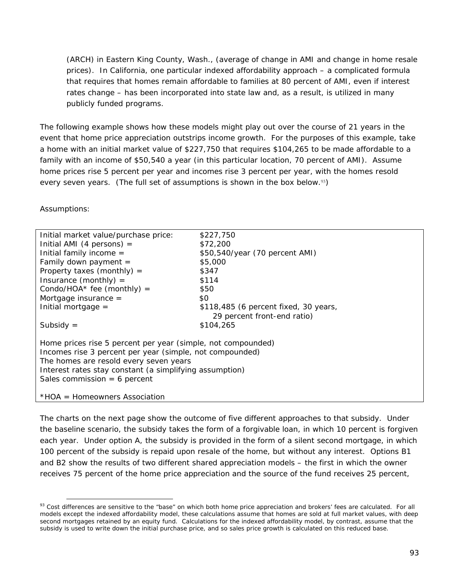(ARCH) in Eastern King County, Wash., (average of change in AMI and change in home resale prices). In California, one particular indexed affordability approach – a complicated formula that requires that homes remain affordable to families at 80 percent of AMI, even if interest rates change – has been incorporated into state law and, as a result, is utilized in many publicly funded programs.

The following example shows how these models might play out over the course of 21 years in the event that home price appreciation outstrips income growth. For the purposes of this example, take a home with an initial market value of \$227,750 that requires \$104,265 to be made affordable to a family with an income of \$50,540 a year (in this particular location, 70 percent of AMI). Assume home prices rise 5 percent per year and incomes rise 3 percent per year, with the homes resold every seven years. (The full set of assumptions is shown in the box below.<sup>93</sup>)

Assumptions:

 $\overline{a}$ 

| Initial market value/purchase price:                                                                                                                                                                                                                            | \$227,750                             |  |  |  |
|-----------------------------------------------------------------------------------------------------------------------------------------------------------------------------------------------------------------------------------------------------------------|---------------------------------------|--|--|--|
| Initial AMI (4 persons) $=$                                                                                                                                                                                                                                     | \$72,200                              |  |  |  |
| Initial family income $=$                                                                                                                                                                                                                                       | \$50,540/year (70 percent AMI)        |  |  |  |
| Family down payment $=$                                                                                                                                                                                                                                         | \$5,000                               |  |  |  |
| Property taxes (monthly) $=$                                                                                                                                                                                                                                    | \$347                                 |  |  |  |
| Insurance (monthly) $=$                                                                                                                                                                                                                                         | \$114                                 |  |  |  |
| Condo/HOA* fee (monthly) =                                                                                                                                                                                                                                      | \$50                                  |  |  |  |
| Mortgage insurance $=$                                                                                                                                                                                                                                          | \$0                                   |  |  |  |
| Initial mortgage $=$                                                                                                                                                                                                                                            | \$118,485 (6 percent fixed, 30 years, |  |  |  |
|                                                                                                                                                                                                                                                                 | 29 percent front-end ratio)           |  |  |  |
| Subsidy $=$                                                                                                                                                                                                                                                     | \$104,265                             |  |  |  |
| Home prices rise 5 percent per year (simple, not compounded)<br>Incomes rise 3 percent per year (simple, not compounded)<br>The homes are resold every seven years<br>Interest rates stay constant (a simplifying assumption)<br>Sales commission = $6$ percent |                                       |  |  |  |
| *HOA = Homeowners Association                                                                                                                                                                                                                                   |                                       |  |  |  |

The charts on the next page show the outcome of five different approaches to that subsidy. Under the baseline scenario, the subsidy takes the form of a forgivable loan, in which 10 percent is forgiven each year. Under option A, the subsidy is provided in the form of a silent second mortgage, in which 100 percent of the subsidy is repaid upon resale of the home, but without any interest. Options B1 and B2 show the results of two different shared appreciation models – the first in which the owner receives 75 percent of the home price appreciation and the source of the fund receives 25 percent,

<sup>93</sup> Cost differences are sensitive to the "base" on which both home price appreciation and brokers' fees are calculated. For all models except the indexed affordability model, these calculations assume that homes are sold at full market values, with deep second mortgages retained by an equity fund. Calculations for the indexed affordability model, by contrast, assume that the subsidy is used to write down the initial purchase price, and so sales price growth is calculated on this reduced base.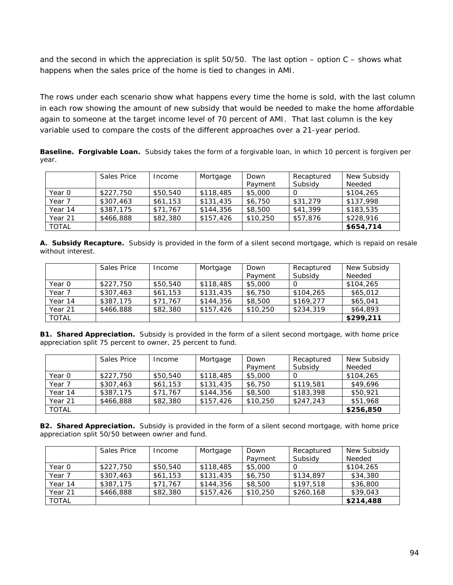and the second in which the appreciation is split  $50/50$ . The last option – option C – shows what happens when the sales price of the home is tied to changes in AMI.

The rows under each scenario show what happens every time the home is sold, with the last column in each row showing the amount of new subsidy that would be needed to make the home affordable again to someone at the target income level of 70 percent of AMI. That last column is the key variable used to compare the costs of the different approaches over a 21-year period.

**Baseline. Forgivable Loan.** Subsidy takes the form of a forgivable loan, in which 10 percent is forgiven per year.

|              | Sales Price | Income   | Mortgage  | Down     | Recaptured | New Subsidy |
|--------------|-------------|----------|-----------|----------|------------|-------------|
|              |             |          |           | Payment  | Subsidy    | Needed      |
| Year 0       | \$227,750   | \$50,540 | \$118,485 | \$5,000  |            | \$104,265   |
| Year 7       | \$307,463   | \$61,153 | \$131,435 | \$6,750  | \$31,279   | \$137,998   |
| Year 14      | \$387,175   | \$71,767 | \$144,356 | \$8,500  | \$41,399   | \$183,535   |
| Year 21      | \$466,888   | \$82,380 | \$157,426 | \$10,250 | \$57,876   | \$228,916   |
| <b>TOTAL</b> |             |          |           |          |            | \$654,714   |

**A. Subsidy Recapture.** Subsidy is provided in the form of a silent second mortgage, which is repaid on resale without interest.

|              | Sales Price | Income   | Mortgage  | Down<br>Payment | Recaptured<br>Subsidy | New Subsidy<br>Needed |
|--------------|-------------|----------|-----------|-----------------|-----------------------|-----------------------|
| Year 0       | \$227,750   | \$50,540 | \$118,485 | \$5,000         |                       | \$104,265             |
| Year 7       | \$307,463   | \$61,153 | \$131,435 | \$6,750         | \$104,265             | \$65,012              |
| Year 14      | \$387,175   | \$71,767 | \$144,356 | \$8,500         | \$169,277             | \$65,041              |
| Year 21      | \$466,888   | \$82,380 | \$157,426 | \$10,250        | \$234,319             | \$64,893              |
| <b>TOTAL</b> |             |          |           |                 |                       | \$299,211             |

**B1. Shared Appreciation.** Subsidy is provided in the form of a silent second mortgage, with home price appreciation split 75 percent to owner, 25 percent to fund.

|              | Sales Price | Income   | Mortgage  | Down     | Recaptured | New Subsidy |
|--------------|-------------|----------|-----------|----------|------------|-------------|
|              |             |          |           | Payment  | Subsidy    | Needed      |
| Year 0       | \$227,750   | \$50,540 | \$118,485 | \$5,000  |            | \$104,265   |
| Year 7       | \$307,463   | \$61,153 | \$131,435 | \$6,750  | \$119,581  | \$49,696    |
| Year 14      | \$387,175   | \$71,767 | \$144,356 | \$8,500  | \$183,398  | \$50,921    |
| Year 21      | \$466,888   | \$82,380 | \$157,426 | \$10,250 | \$247,243  | \$51,968    |
| <b>TOTAL</b> |             |          |           |          |            | \$256,850   |

**B2. Shared Appreciation.** Subsidy is provided in the form of a silent second mortgage, with home price appreciation split 50/50 between owner and fund.

|              | Sales Price | Income   | Mortgage  | Down     | Recaptured | New Subsidy |
|--------------|-------------|----------|-----------|----------|------------|-------------|
|              |             |          |           | Payment  | Subsidy    | Needed      |
| Year 0       | \$227,750   | \$50,540 | \$118,485 | \$5,000  |            | \$104,265   |
| Year 7       | \$307,463   | \$61,153 | \$131,435 | \$6,750  | \$134,897  | \$34,380    |
| Year 14      | \$387,175   | \$71,767 | \$144,356 | \$8,500  | \$197,518  | \$36,800    |
| Year 21      | \$466,888   | \$82,380 | \$157,426 | \$10,250 | \$260,168  | \$39,043    |
| <b>TOTAL</b> |             |          |           |          |            | \$214,488   |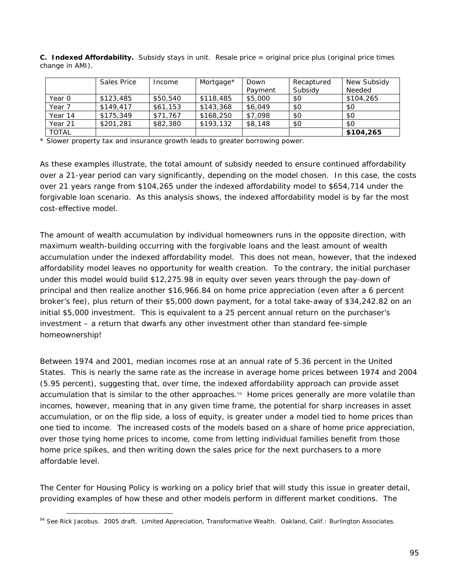|              | Sales Price | Income   | Mortgage* | Down    | Recaptured<br>Subsidy | New Subsidy<br>Needed |
|--------------|-------------|----------|-----------|---------|-----------------------|-----------------------|
|              |             |          |           | Payment |                       |                       |
| Year 0       | \$123,485   | \$50,540 | \$118,485 | \$5,000 | \$0                   | \$104,265             |
| Year 7       | \$149.417   | \$61,153 | \$143,368 | \$6,049 | \$0                   | \$0                   |
| Year 14      | \$175,349   | \$71,767 | \$168,250 | \$7,098 | \$0                   | \$0                   |
| Year 21      | \$201,281   | \$82,380 | \$193,132 | \$8,148 | \$0                   | \$0                   |
| <b>TOTAL</b> |             |          |           |         |                       | \$104,265             |

**C. Indexed Affordability.** Subsidy stays in unit. Resale price = original price plus (original price times change in AMI).

\* Slower property tax and insurance growth leads to greater borrowing power.

As these examples illustrate, the total amount of subsidy needed to ensure continued affordability over a 21-year period can vary significantly, depending on the model chosen. In this case, the costs over 21 years range from \$104,265 under the indexed affordability model to \$654,714 under the forgivable loan scenario. As this analysis shows, the indexed affordability model is by far the most cost-effective model.

The amount of wealth accumulation by individual homeowners runs in the opposite direction, with maximum wealth-building occurring with the forgivable loans and the least amount of wealth accumulation under the indexed affordability model. This does not mean, however, that the indexed affordability model leaves *no* opportunity for wealth creation. To the contrary, the initial purchaser under this model would build \$12,275.98 in equity over seven years through the pay-down of principal and then realize another \$16,966.84 on home price appreciation (even after a 6 percent broker's fee), plus return of their \$5,000 down payment, for a total take-away of \$34,242.82 on an initial \$5,000 investment. This is equivalent to a 25 percent annual return on the purchaser's investment – a return that dwarfs any other investment other than standard fee-simple homeownership!

Between 1974 and 2001, median incomes rose at an annual rate of 5.36 percent in the United States. This is nearly the same rate as the increase in average home prices between 1974 and 2004 (5.95 percent), suggesting that, over time, the indexed affordability approach can provide asset accumulation that is similar to the other approaches.<sup>94</sup> Home prices generally are more volatile than incomes, however, meaning that in any given time frame, the potential for sharp increases in asset accumulation, or on the flip side, a loss of equity, is greater under a model tied to home prices than one tied to income. The increased costs of the models based on a share of home price appreciation, over those tying home prices to income, come from letting individual families benefit from those home price spikes, and then writing down the sales price for the next purchasers to a more affordable level.

The Center for Housing Policy is working on a policy brief that will study this issue in greater detail, providing examples of how these and other models perform in different market conditions. The

 $\overline{a}$ 94 See Rick Jacobus. 2005 draft. *Limited Appreciation, Transformative Wealth*. Oakland, Calif.: Burlington Associates.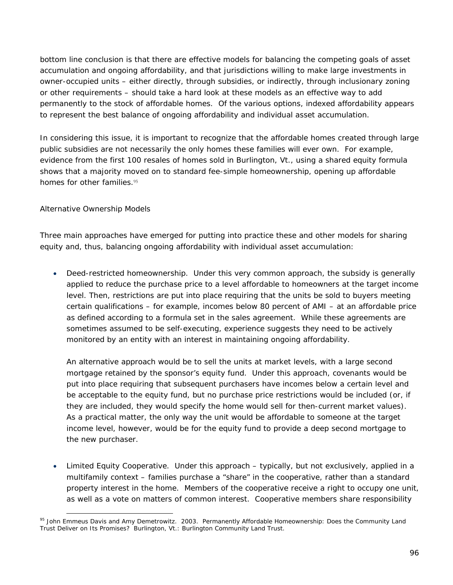bottom line conclusion is that there *are* effective models for balancing the competing goals of asset accumulation and ongoing affordability, and that jurisdictions willing to make large investments in owner-occupied units – either directly, through subsidies, or indirectly, through inclusionary zoning or other requirements – should take a hard look at these models as an effective way to add permanently to the stock of affordable homes. Of the various options, indexed affordability appears to represent the best balance of ongoing affordability and individual asset accumulation.

In considering this issue, it is important to recognize that the affordable homes created through large public subsidies are not necessarily the only homes these families will ever own. For example, evidence from the first 100 resales of homes sold in Burlington, Vt., using a shared equity formula shows that a majority moved on to standard fee-simple homeownership, opening up affordable homes for other families.<sup>95</sup>

### *Alternative Ownership Models*

Three main approaches have emerged for putting into practice these and other models for sharing equity and, thus, balancing ongoing affordability with individual asset accumulation:

• *Deed-restricted homeownership*. Under this very common approach, the subsidy is generally applied to reduce the purchase price to a level affordable to homeowners at the target income level. Then, restrictions are put into place requiring that the units be sold to buyers meeting certain qualifications – for example, incomes below 80 percent of AMI – at an affordable price as defined according to a formula set in the sales agreement. While these agreements are sometimes assumed to be self-executing, experience suggests they need to be actively monitored by an entity with an interest in maintaining ongoing affordability.

An alternative approach would be to sell the units at market levels, with a large second mortgage retained by the sponsor's equity fund. Under this approach, covenants would be put into place requiring that subsequent purchasers have incomes below a certain level and be acceptable to the equity fund, but no purchase price restrictions would be included (or, if they are included, they would specify the home would sell for then-current market values). As a practical matter, the only way the unit would be affordable to someone at the target income level, however, would be for the equity fund to provide a deep second mortgage to the new purchaser.

• *Limited Equity Cooperative*. Under this approach – typically, but not exclusively, applied in a multifamily context – families purchase a "share" in the cooperative, rather than a standard property interest in the home. Members of the cooperative receive a right to occupy one unit, as well as a vote on matters of common interest. Cooperative members share responsibility

 $\overline{a}$ 95 John Emmeus Davis and Amy Demetrowitz. 2003. *Permanently Affordable Homeownership: Does the Community Land Trust Deliver on Its Promises?* Burlington, Vt.: Burlington Community Land Trust.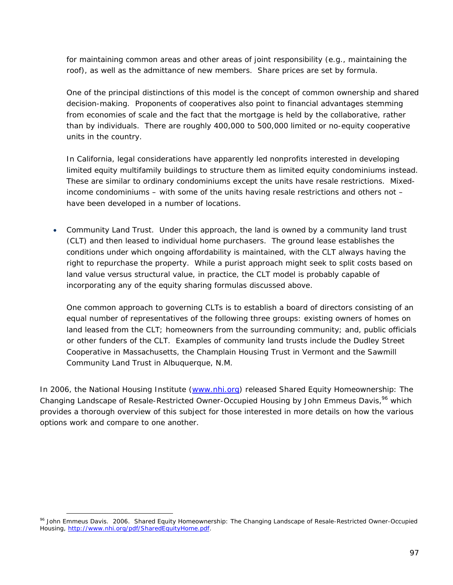for maintaining common areas and other areas of joint responsibility (e.g., maintaining the roof), as well as the admittance of new members. Share prices are set by formula.

One of the principal distinctions of this model is the concept of common ownership and shared decision-making. Proponents of cooperatives also point to financial advantages stemming from economies of scale and the fact that the mortgage is held by the collaborative, rather than by individuals. There are roughly 400,000 to 500,000 limited or no-equity cooperative units in the country.

In California, legal considerations have apparently led nonprofits interested in developing limited equity multifamily buildings to structure them as limited equity condominiums instead. These are similar to ordinary condominiums except the units have resale restrictions. Mixedincome condominiums – with some of the units having resale restrictions and others not – have been developed in a number of locations.

• *Community Land Trust.* Under this approach, the land is owned by a community land trust (CLT) and then leased to individual home purchasers. The ground lease establishes the conditions under which ongoing affordability is maintained, with the CLT always having the right to repurchase the property. While a purist approach might seek to split costs based on land value versus structural value, in practice, the CLT model is probably capable of incorporating any of the equity sharing formulas discussed above.

One common approach to governing CLTs is to establish a board of directors consisting of an equal number of representatives of the following three groups: existing owners of homes on land leased from the CLT; homeowners from the surrounding community; and, public officials or other funders of the CLT. Examples of community land trusts include the Dudley Street Cooperative in Massachusetts, the Champlain Housing Trust in Vermont and the Sawmill Community Land Trust in Albuquerque, N.M.

In 2006, the National Housing Institute (www.nhi.org) released Shared Equity Homeownership: The *Changing Landscape of Resale-Restricted Owner-Occupied Housing* by John Emmeus Davis,<sup>96</sup> which provides a thorough overview of this subject for those interested in more details on how the various options work and compare to one another.

<sup>96</sup> John Emmeus Davis. 2006. *Shared Equity Homeownership: The Changing Landscape of Resale-Restricted Owner-Occupied Housing*, http://www.nhi.org/pdf/SharedEquityHome.pdf.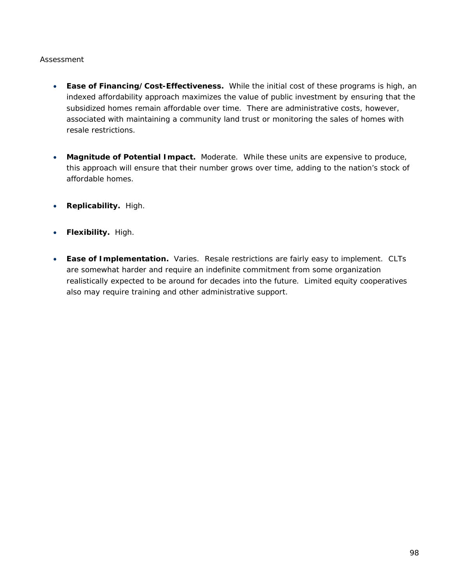### *Assessment*

- **Ease of Financing/Cost-Effectiveness.** While the initial cost of these programs is high, an indexed affordability approach maximizes the value of public investment by ensuring that the subsidized homes remain affordable over time. There are administrative costs, however, associated with maintaining a community land trust or monitoring the sales of homes with resale restrictions.
- **Magnitude of Potential Impact.** Moderate. While these units are expensive to produce, this approach will ensure that their number grows over time, adding to the nation's stock of affordable homes.
- **Replicability.** High.
- **Flexibility.** High.
- **Ease of Implementation.** Varies. Resale restrictions are fairly easy to implement. CLTs are somewhat harder and require an indefinite commitment from some organization realistically expected to be around for decades into the future. Limited equity cooperatives also may require training and other administrative support.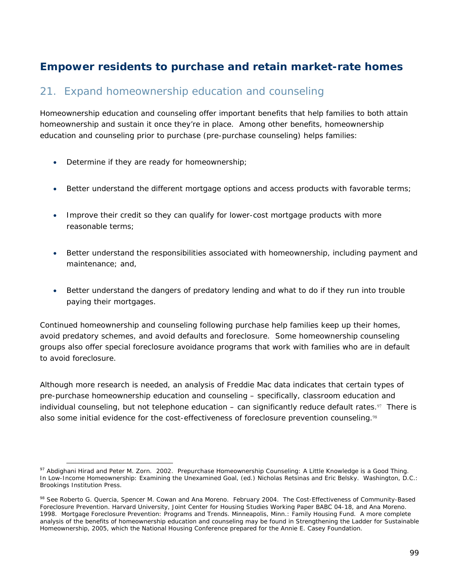# **Empower residents to purchase and retain market-rate homes**

### 21. Expand homeownership education and counseling

Homeownership education and counseling offer important benefits that help families to both attain homeownership and sustain it once they're in place. Among other benefits, homeownership education and counseling prior to purchase (pre-purchase counseling) helps families:

- Determine if they are ready for homeownership;
- Better understand the different mortgage options and access products with favorable terms;
- Improve their credit so they can qualify for lower-cost mortgage products with more reasonable terms;
- Better understand the responsibilities associated with homeownership, including payment and maintenance; and,
- Better understand the dangers of predatory lending and what to do if they run into trouble paying their mortgages.

Continued homeownership and counseling following purchase help families keep up their homes, avoid predatory schemes, and avoid defaults and foreclosure. Some homeownership counseling groups also offer special foreclosure avoidance programs that work with families who are in default to avoid foreclosure.

Although more research is needed, an analysis of Freddie Mac data indicates that certain types of pre-purchase homeownership education and counseling – specifically, classroom education and individual counseling, but not telephone education – can significantly reduce default rates. $\mathfrak{P}$  There is also some initial evidence for the cost-effectiveness of foreclosure prevention counseling.<sup>98</sup>

 $\overline{a}$ <sup>97</sup> Abdighani Hirad and Peter M. Zorn. 2002. Prepurchase Homeownership Counseling: A Little Knowledge is a Good Thing. In *Low-Income Homeownership: Examining the Unexamined Goal*, (ed.) Nicholas Retsinas and Eric Belsky. Washington, D.C.: Brookings Institution Press.

<sup>98</sup> See Roberto G. Quercia, Spencer M. Cowan and Ana Moreno. February 2004. *The Cost-Effectiveness of Community-Based Foreclosure Prevention.* Harvard University, Joint Center for Housing Studies Working Paper BABC 04-18, and Ana Moreno. 1998. *Mortgage Foreclosure Prevention: Programs and Trends*. Minneapolis, Minn.: Family Housing Fund. A more complete analysis of the benefits of homeownership education and counseling may be found in *Strengthening the Ladder for Sustainable Homeownership*, 2005, which the National Housing Conference prepared for the Annie E. Casey Foundation.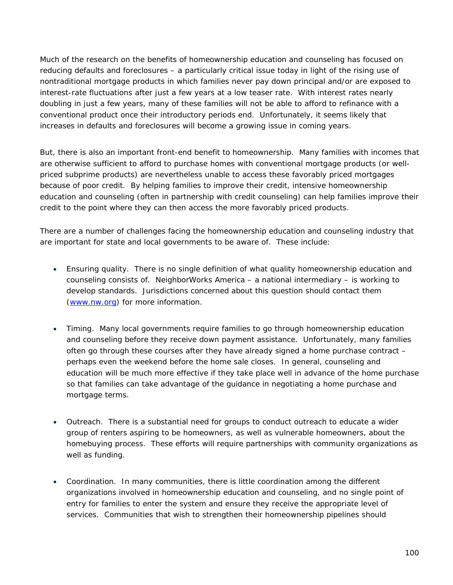Much of the research on the benefits of homeownership education and counseling has focused on reducing defaults and foreclosures – a particularly critical issue today in light of the rising use of nontraditional mortgage products in which families never pay down principal and/or are exposed to interest-rate fluctuations after just a few years at a low teaser rate. With interest rates nearly doubling in just a few years, many of these families will not be able to afford to refinance with a conventional product once their introductory periods end. Unfortunately, it seems likely that increases in defaults and foreclosures will become a growing issue in coming years.

But, there is also an important front-end benefit to homeownership. Many families with incomes that are otherwise sufficient to afford to purchase homes with conventional mortgage products (or wellpriced subprime products) are nevertheless unable to access these favorably priced mortgages because of poor credit. By helping families to improve their credit, intensive homeownership education and counseling (often in partnership with credit counseling) can help families improve their credit to the point where they can then access the more favorably priced products.

There are a number of challenges facing the homeownership education and counseling industry that are important for state and local governments to be aware of. These include:

- *Ensuring quality*. There is no single definition of what quality homeownership education and counseling consists of. NeighborWorks America – a national intermediary – is working to develop standards. Jurisdictions concerned about this question should contact them (www.nw.org) for more information.
- *Timing*. Many local governments require families to go through homeownership education and counseling before they receive down payment assistance. Unfortunately, many families often go through these courses *after* they have already signed a home purchase contract – perhaps even the weekend before the home sale closes. In general, counseling and education will be much more effective if they take place well in advance of the home purchase so that families can take advantage of the guidance in negotiating a home purchase and mortgage terms.
- *Outreach*. There is a substantial need for groups to conduct outreach to educate a wider group of renters aspiring to be homeowners, as well as vulnerable homeowners, about the homebuying process. These efforts will require partnerships with community organizations as well as funding.
- *Coordination*. In many communities, there is little coordination among the different organizations involved in homeownership education and counseling, and no single point of entry for families to enter the system and ensure they receive the appropriate level of services. Communities that wish to strengthen their homeownership pipelines should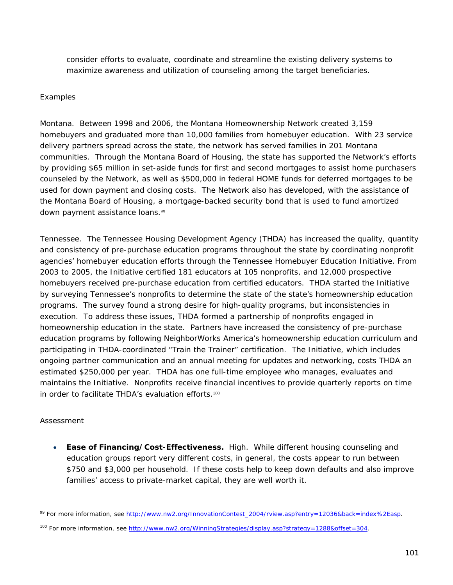consider efforts to evaluate, coordinate and streamline the existing delivery systems to maximize awareness and utilization of counseling among the target beneficiaries.

#### *Examples*

*Montana.* Between 1998 and 2006, the Montana Homeownership Network created 3,159 homebuyers and graduated more than 10,000 families from homebuyer education. With 23 service delivery partners spread across the state, the network has served families in 201 Montana communities. Through the Montana Board of Housing, the state has supported the Network's efforts by providing \$65 million in set-aside funds for first and second mortgages to assist home purchasers counseled by the Network, as well as \$500,000 in federal HOME funds for deferred mortgages to be used for down payment and closing costs. The Network also has developed, with the assistance of the Montana Board of Housing, a mortgage-backed security bond that is used to fund amortized down payment assistance loans.<sup>99</sup>

*Tennessee*. The Tennessee Housing Development Agency (THDA) has increased the quality, quantity and consistency of pre-purchase education programs throughout the state by coordinating nonprofit agencies' homebuyer education efforts through the Tennessee Homebuyer Education Initiative. From 2003 to 2005, the Initiative certified 181 educators at 105 nonprofits, and 12,000 prospective homebuyers received pre-purchase education from certified educators. THDA started the Initiative by surveying Tennessee's nonprofits to determine the state of the state's homeownership education programs. The survey found a strong desire for high-quality programs, but inconsistencies in execution. To address these issues, THDA formed a partnership of nonprofits engaged in homeownership education in the state. Partners have increased the consistency of pre-purchase education programs by following NeighborWorks America's homeownership education curriculum and participating in THDA-coordinated "Train the Trainer" certification. The Initiative, which includes ongoing partner communication and an annual meeting for updates and networking, costs THDA an estimated \$250,000 per year. THDA has one full-time employee who manages, evaluates and maintains the Initiative. Nonprofits receive financial incentives to provide quarterly reports on time in order to facilitate THDA's evaluation efforts.<sup>100</sup>

#### *Assessment*

 $\overline{a}$ 

• **Ease of Financing/Cost-Effectiveness.** High. While different housing counseling and education groups report very different costs, in general, the costs appear to run between \$750 and \$3,000 per household. If these costs help to keep down defaults and also improve families' access to private-market capital, they are well worth it.

<sup>99</sup> For more information, see http://www.nw2.org/InnovationContest\_2004/rview.asp?entry=12036&back=index%2Easp.

<sup>&</sup>lt;sup>100</sup> For more information, see http://www.nw2.org/WinningStrategies/display.asp?strategy=1288&offset=304.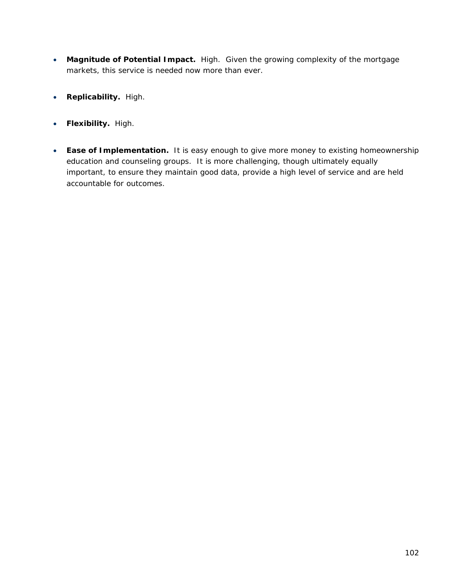- **Magnitude of Potential Impact.** High. Given the growing complexity of the mortgage markets, this service is needed now more than ever.
- **Replicability.** High.
- **Flexibility.** High.
- **Ease of Implementation.** It is easy enough to give more money to existing homeownership education and counseling groups. It is more challenging, though ultimately equally important, to ensure they maintain good data, provide a high level of service and are held accountable for outcomes.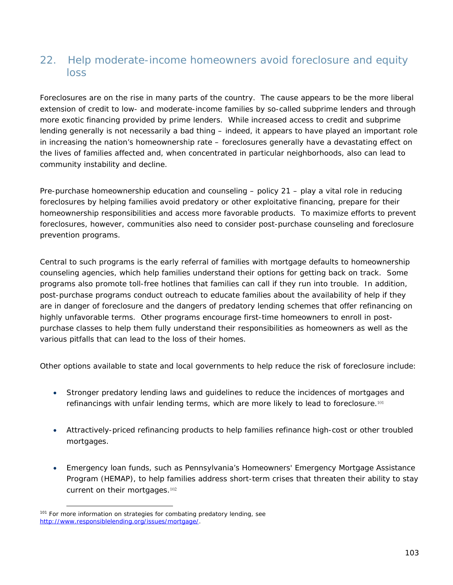# 22. Help moderate-income homeowners avoid foreclosure and equity loss

Foreclosures are on the rise in many parts of the country. The cause appears to be the more liberal extension of credit to low- and moderate-income families by so-called subprime lenders and through more exotic financing provided by prime lenders. While increased access to credit and subprime lending generally is not necessarily a bad thing – indeed, it appears to have played an important role in increasing the nation's homeownership rate – foreclosures generally have a devastating effect on the lives of families affected and, when concentrated in particular neighborhoods, also can lead to community instability and decline.

Pre-purchase homeownership education and counseling – policy 21 – play a vital role in reducing foreclosures by helping families avoid predatory or other exploitative financing, prepare for their homeownership responsibilities and access more favorable products. To maximize efforts to prevent foreclosures, however, communities also need to consider post-purchase counseling and foreclosure prevention programs.

Central to such programs is the early referral of families with mortgage defaults to homeownership counseling agencies, which help families understand their options for getting back on track. Some programs also promote toll-free hotlines that families can call if they run into trouble. In addition, post-purchase programs conduct outreach to educate families about the availability of help if they are in danger of foreclosure and the dangers of predatory lending schemes that offer refinancing on highly unfavorable terms. Other programs encourage first-time homeowners to enroll in postpurchase classes to help them fully understand their responsibilities as homeowners as well as the various pitfalls that can lead to the loss of their homes.

Other options available to state and local governments to help reduce the risk of foreclosure include:

- Stronger predatory lending laws and guidelines to reduce the incidences of mortgages and refinancings with unfair lending terms, which are more likely to lead to foreclosure.<sup>101</sup>
- Attractively-priced refinancing products to help families refinance high-cost or other troubled mortgages.
- Emergency loan funds, such as Pennsylvania's Homeowners' Emergency Mortgage Assistance Program (HEMAP), to help families address short-term crises that threaten their ability to stay current on their mortgages.<sup>102</sup>

<sup>&</sup>lt;sup>101</sup> For more information on strategies for combating predatory lending, see http://www.responsiblelending.org/issues/mortgage/.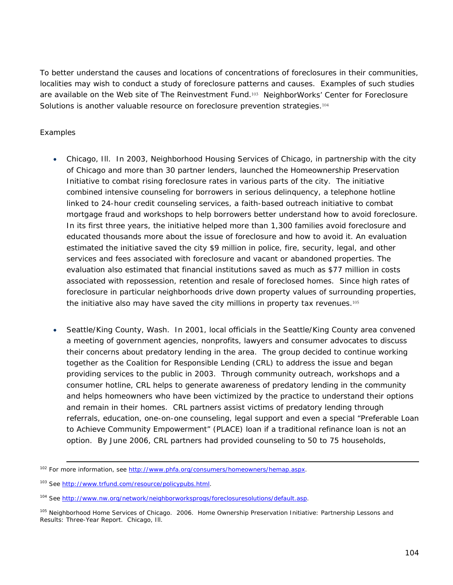To better understand the causes and locations of concentrations of foreclosures in their communities, localities may wish to conduct a study of foreclosure patterns and causes. Examples of such studies are available on the Web site of The Reinvestment Fund.103 NeighborWorks' Center for Foreclosure Solutions is another valuable resource on foreclosure prevention strategies.<sup>104</sup>

### *Examples*

- *Chicago, Ill*. In 2003, Neighborhood Housing Services of Chicago, in partnership with the city of Chicago and more than 30 partner lenders, launched the Homeownership Preservation Initiative to combat rising foreclosure rates in various parts of the city. The initiative combined intensive counseling for borrowers in serious delinquency, a telephone hotline linked to 24-hour credit counseling services, a faith-based outreach initiative to combat mortgage fraud and workshops to help borrowers better understand how to avoid foreclosure. In its first three years, the initiative helped more than 1,300 families avoid foreclosure and educated thousands more about the issue of foreclosure and how to avoid it. An evaluation estimated the initiative saved the city \$9 million in police, fire, security, legal, and other services and fees associated with foreclosure and vacant or abandoned properties. The evaluation also estimated that financial institutions saved as much as \$77 million in costs associated with repossession, retention and resale of foreclosed homes. Since high rates of foreclosure in particular neighborhoods drive down property values of surrounding properties, the initiative also may have saved the city millions in property tax revenues.<sup>105</sup>
- *Seattle/King County, Wash.* In 2001, local officials in the Seattle/King County area convened a meeting of government agencies, nonprofits, lawyers and consumer advocates to discuss their concerns about predatory lending in the area. The group decided to continue working together as the Coalition for Responsible Lending (CRL) to address the issue and began providing services to the public in 2003. Through community outreach, workshops and a consumer hotline, CRL helps to generate awareness of predatory lending in the community and helps homeowners who have been victimized by the practice to understand their options and remain in their homes. CRL partners assist victims of predatory lending through referrals, education, one-on-one counseling, legal support and even a special "Preferable Loan to Achieve Community Empowerment" (PLACE) loan if a traditional refinance loan is not an option. By June 2006, CRL partners had provided counseling to 50 to 75 households,

<sup>&</sup>lt;sup>102</sup> For more information, see http://www.phfa.org/consumers/homeowners/hemap.aspx.

<sup>&</sup>lt;sup>103</sup> See http://www.trfund.com/resource/policypubs.html.

<sup>&</sup>lt;sup>104</sup> See http://www.nw.org/network/neighborworksprogs/foreclosuresolutions/default.asp.

<sup>105</sup> Neighborhood Home Services of Chicago. 2006. *Home Ownership Preservation Initiative: Partnership Lessons and Results: Three-Year Report*. Chicago, Ill.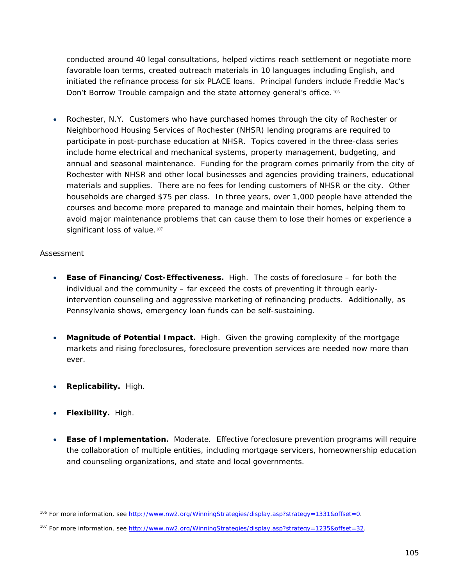conducted around 40 legal consultations, helped victims reach settlement or negotiate more favorable loan terms, created outreach materials in 10 languages including English, and initiated the refinance process for six PLACE loans. Principal funders include Freddie Mac's Don't Borrow Trouble campaign and the state attorney general's office. 106

• *Rochester, N.Y*. Customers who have purchased homes through the city of Rochester or Neighborhood Housing Services of Rochester (NHSR) lending programs are required to participate in post-purchase education at NHSR. Topics covered in the three-class series include home electrical and mechanical systems, property management, budgeting, and annual and seasonal maintenance. Funding for the program comes primarily from the city of Rochester with NHSR and other local businesses and agencies providing trainers, educational materials and supplies. There are no fees for lending customers of NHSR or the city. Other households are charged \$75 per class. In three years, over 1,000 people have attended the courses and become more prepared to manage and maintain their homes, helping them to avoid major maintenance problems that can cause them to lose their homes or experience a significant loss of value.<sup>107</sup>

#### *Assessment*

- **Ease of Financing/Cost-Effectiveness.** High. The costs of foreclosure for both the individual and the community – far exceed the costs of preventing it through earlyintervention counseling and aggressive marketing of refinancing products. Additionally, as Pennsylvania shows, emergency loan funds can be self-sustaining.
- **Magnitude of Potential Impact.** High. Given the growing complexity of the mortgage markets and rising foreclosures, foreclosure prevention services are needed now more than ever.
- **Replicability.** High.
- **Flexibility.** High.

 $\overline{a}$ 

• **Ease of Implementation.** Moderate. Effective foreclosure prevention programs will require the collaboration of multiple entities, including mortgage servicers, homeownership education and counseling organizations, and state and local governments.

<sup>&</sup>lt;sup>106</sup> For more information, see http://www.nw2.org/WinningStrategies/display.asp?strategy=1331&offset=0.

<sup>&</sup>lt;sup>107</sup> For more information, see http://www.nw2.org/WinningStrategies/display.asp?strategy=1235&offset=32.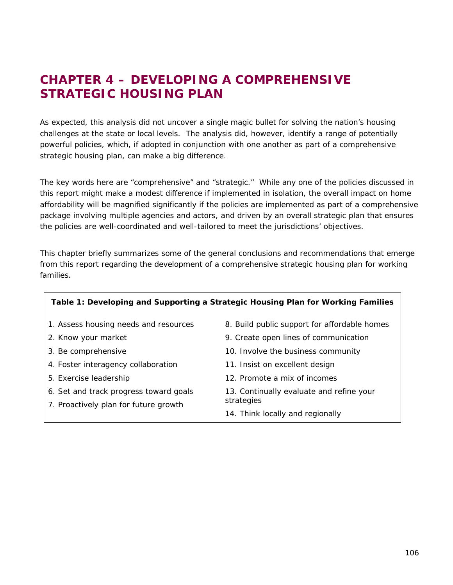# **CHAPTER 4 – DEVELOPING A COMPREHENSIVE STRATEGIC HOUSING PLAN**

As expected, this analysis did not uncover a single magic bullet for solving the nation's housing challenges at the state or local levels. The analysis did, however, identify a range of potentially powerful policies, which, if adopted in conjunction with one another as part of a comprehensive strategic housing plan, can make a big difference.

The key words here are "comprehensive" and "strategic." While any one of the policies discussed in this report might make a modest difference if implemented in isolation, the overall impact on home affordability will be magnified significantly if the policies are implemented as part of a comprehensive package involving multiple agencies and actors, and driven by an overall strategic plan that ensures the policies are well-coordinated and well-tailored to meet the jurisdictions' objectives.

This chapter briefly summarizes some of the general conclusions and recommendations that emerge from this report regarding the development of a comprehensive strategic housing plan for working families.

| Table 1: Developing and Supporting a Strategic Housing Plan for Working Families |                                              |  |  |  |  |
|----------------------------------------------------------------------------------|----------------------------------------------|--|--|--|--|
| 1. Assess housing needs and resources                                            | 8. Build public support for affordable homes |  |  |  |  |
| 2. Know your market                                                              | 9. Create open lines of communication        |  |  |  |  |
| 3. Be comprehensive                                                              | 10. Involve the business community           |  |  |  |  |
| 4. Foster interagency collaboration                                              | 11. Insist on excellent design               |  |  |  |  |
| 5. Exercise leadership                                                           | 12. Promote a mix of incomes                 |  |  |  |  |
| 6. Set and track progress toward goals                                           | 13. Continually evaluate and refine your     |  |  |  |  |
| 7. Proactively plan for future growth                                            | strategies                                   |  |  |  |  |
|                                                                                  | 14. Think locally and regionally             |  |  |  |  |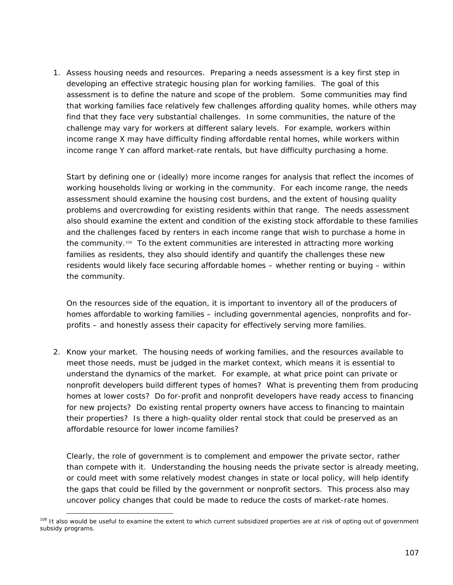1. *Assess housing needs and resources*. Preparing a needs assessment is a key first step in developing an effective strategic housing plan for working families. The goal of this assessment is to define the nature and scope of the problem. Some communities may find that working families face relatively few challenges affording quality homes, while others may find that they face very substantial challenges. In some communities, the nature of the challenge may vary for workers at different salary levels. For example, workers within income range X may have difficulty finding affordable rental homes, while workers within income range Y can afford market-rate rentals, but have difficulty purchasing a home.

Start by defining one or (ideally) more income ranges for analysis that reflect the incomes of working households living or working in the community. For each income range, the needs assessment should examine the housing cost burdens, and the extent of housing quality problems and overcrowding for existing residents within that range. The needs assessment also should examine the extent and condition of the existing stock affordable to these families and the challenges faced by renters in each income range that wish to purchase a home in the community.<sup>108</sup> To the extent communities are interested in attracting more working families as residents, they also should identify and quantify the challenges these new residents would likely face securing affordable homes – whether renting or buying – within the community.

On the resources side of the equation, it is important to inventory all of the producers of homes affordable to working families – including governmental agencies, nonprofits and forprofits – and honestly assess their capacity for effectively serving more families.

2. *Know your market*. The housing needs of working families, and the resources available to meet those needs, must be judged in the market context, which means it is essential to understand the dynamics of the market. For example, at what price point can private or nonprofit developers build different types of homes? What is preventing them from producing homes at lower costs? Do for-profit and nonprofit developers have ready access to financing for new projects? Do existing rental property owners have access to financing to maintain their properties? Is there a high-quality older rental stock that could be preserved as an affordable resource for lower income families?

Clearly, the role of government is to complement and empower the private sector, rather than compete with it. Understanding the housing needs the private sector is already meeting, or could meet with some relatively modest changes in state or local policy, will help identify the gaps that could be filled by the government or nonprofit sectors. This process also may uncover policy changes that could be made to reduce the costs of market-rate homes.

 $\overline{a}$ <sup>108</sup> It also would be useful to examine the extent to which current subsidized properties are at risk of opting out of government subsidy programs.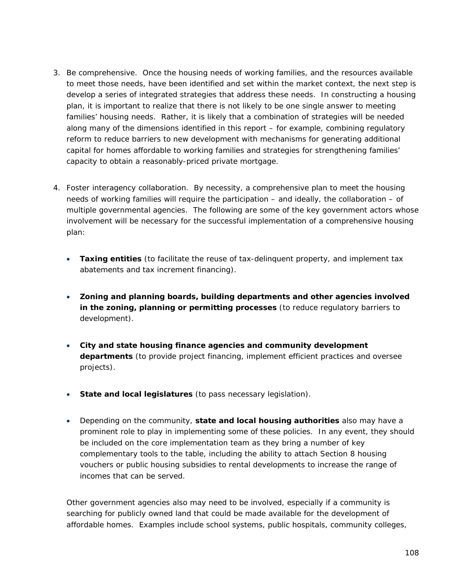- 3. *Be comprehensive.* Once the housing needs of working families, and the resources available to meet those needs, have been identified and set within the market context, the next step is develop a series of integrated strategies that address these needs. In constructing a housing plan, it is important to realize that there is not likely to be one single answer to meeting families' housing needs. Rather, it is likely that a combination of strategies will be needed along many of the dimensions identified in this report – for example, combining regulatory reform to reduce barriers to new development with mechanisms for generating additional capital for homes affordable to working families and strategies for strengthening families' capacity to obtain a reasonably-priced private mortgage.
- 4. *Foster interagency collaboration*. By necessity, a comprehensive plan to meet the housing needs of working families will require the participation – and ideally, the collaboration – of multiple governmental agencies. The following are some of the key government actors whose involvement will be necessary for the successful implementation of a comprehensive housing plan:
	- **Taxing entities** (to facilitate the reuse of tax-delinquent property, and implement tax abatements and tax increment financing).
	- **Zoning and planning boards, building departments and other agencies involved in the zoning, planning or permitting processes** (to reduce regulatory barriers to development).
	- **City and state housing finance agencies and community development departments** (to provide project financing, implement efficient practices and oversee projects).
	- **State and local legislatures** (to pass necessary legislation).
	- Depending on the community, **state and local housing authorities** also may have a prominent role to play in implementing some of these policies. In any event, they should be included on the core implementation team as they bring a number of key complementary tools to the table, including the ability to attach Section 8 housing vouchers or public housing subsidies to rental developments to increase the range of incomes that can be served.

Other government agencies also may need to be involved, especially if a community is searching for publicly owned land that could be made available for the development of affordable homes. Examples include school systems, public hospitals, community colleges,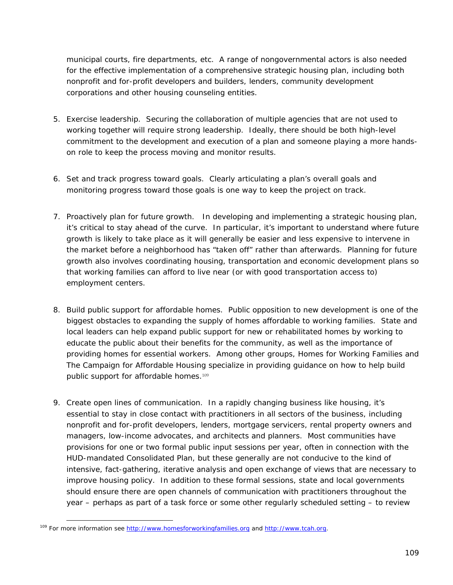municipal courts, fire departments, etc. A range of nongovernmental actors is also needed for the effective implementation of a comprehensive strategic housing plan, including both nonprofit and for-profit developers and builders, lenders, community development corporations and other housing counseling entities.

- 5. *Exercise leadership*. Securing the collaboration of multiple agencies that are not used to working together will require strong leadership. Ideally, there should be both high-level commitment to the development and execution of a plan and someone playing a more handson role to keep the process moving and monitor results.
- 6. *Set and track progress toward goals*. Clearly articulating a plan's overall goals and monitoring progress toward those goals is one way to keep the project on track.
- 7. *Proactively plan for future growth*. In developing and implementing a strategic housing plan, it's critical to stay ahead of the curve. In particular, it's important to understand where future growth is likely to take place as it will generally be easier and less expensive to intervene in the market *before* a neighborhood has "taken off" rather than afterwards. Planning for future growth also involves coordinating housing, transportation and economic development plans so that working families can afford to live near (or with good transportation access to) employment centers.
- 8. *Build public support for affordable homes*. Public opposition to new development is one of the biggest obstacles to expanding the supply of homes affordable to working families. State and local leaders can help expand public support for new or rehabilitated homes by working to educate the public about their benefits for the community, as well as the importance of providing homes for essential workers. Among other groups, Homes for Working Families and The Campaign for Affordable Housing specialize in providing guidance on how to help build public support for affordable homes.<sup>109</sup>
- 9. *Create open lines of communication*. In a rapidly changing business like housing, it's essential to stay in close contact with practitioners in all sectors of the business, including nonprofit and for-profit developers, lenders, mortgage servicers, rental property owners and managers, low-income advocates, and architects and planners. Most communities have provisions for one or two formal public input sessions per year, often in connection with the HUD-mandated Consolidated Plan, but these generally are not conducive to the kind of intensive, fact-gathering, iterative analysis and open exchange of views that are necessary to improve housing policy. In addition to these formal sessions, state and local governments should ensure there are open channels of communication with practitioners throughout the year – perhaps as part of a task force or some other regularly scheduled setting – to review

 $\overline{a}$ 

<sup>&</sup>lt;sup>109</sup> For more information see http://www.homesforworkingfamilies.org and http://www.tcah.org.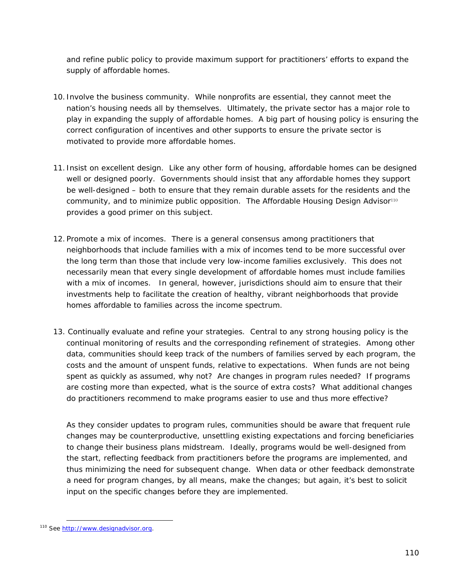and refine public policy to provide maximum support for practitioners' efforts to expand the supply of affordable homes.

- 10. *Involve the business community*. While nonprofits are essential, they cannot meet the nation's housing needs all by themselves. Ultimately, the private sector has a major role to play in expanding the supply of affordable homes. A big part of housing policy is ensuring the correct configuration of incentives and other supports to ensure the private sector is motivated to provide more affordable homes.
- 11. *Insist on excellent design*. Like any other form of housing, affordable homes can be designed well or designed poorly. Governments should insist that any affordable homes they support be well-designed – both to ensure that they remain durable assets for the residents and the community, and to minimize public opposition. The Affordable Housing Design Advisor<sup>110</sup> provides a good primer on this subject.
- 12. *Promote a mix of incomes.* There is a general consensus among practitioners that neighborhoods that include families with a mix of incomes tend to be more successful over the long term than those that include very low-income families exclusively. This does not necessarily mean that every single development of affordable homes must include families with a mix of incomes. In general, however, jurisdictions should aim to ensure that their investments help to facilitate the creation of healthy, vibrant neighborhoods that provide homes affordable to families across the income spectrum.
- 13. *Continually evaluate and refine your strategies*. Central to any strong housing policy is the continual monitoring of results and the corresponding refinement of strategies. Among other data, communities should keep track of the numbers of families served by each program, the costs and the amount of unspent funds, relative to expectations. When funds are not being spent as quickly as assumed, why not? Are changes in program rules needed? If programs are costing more than expected, what is the source of extra costs? What additional changes do practitioners recommend to make programs easier to use and thus more effective?

As they consider updates to program rules, communities should be aware that frequent rule changes may be counterproductive, unsettling existing expectations and forcing beneficiaries to change their business plans midstream. Ideally, programs would be well-designed from the start, reflecting feedback from practitioners *before* the programs are implemented, and thus minimizing the need for subsequent change. When data or other feedback demonstrate a need for program changes, by all means, make the changes; but again, it's best to solicit input on the specific changes *before* they are implemented.

 $\overline{a}$ 

<sup>&</sup>lt;sup>110</sup> See http://www.designadvisor.org.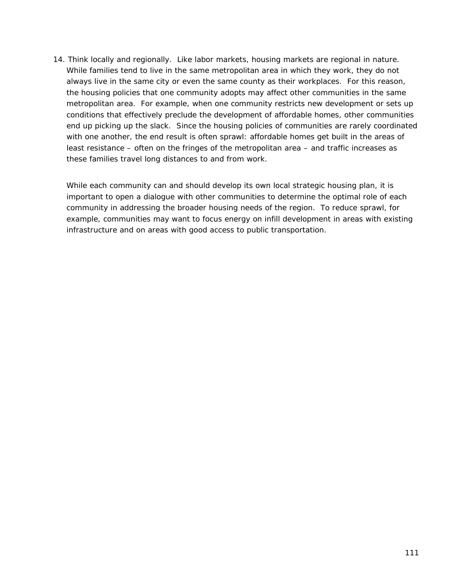14. *Think locally and regionally*. Like labor markets, housing markets are regional in nature. While families tend to live in the same metropolitan area in which they work, they do not always live in the same city or even the same county as their workplaces. For this reason, the housing policies that one community adopts may affect other communities in the same metropolitan area. For example, when one community restricts new development or sets up conditions that effectively preclude the development of affordable homes, other communities end up picking up the slack. Since the housing policies of communities are rarely coordinated with one another, the end result is often sprawl: affordable homes get built in the areas of least resistance – often on the fringes of the metropolitan area – and traffic increases as these families travel long distances to and from work.

While each community can and should develop its own local strategic housing plan, it is important to open a dialogue with other communities to determine the optimal role of each community in addressing the broader housing needs of the region. To reduce sprawl, for example, communities may want to focus energy on infill development in areas with existing infrastructure and on areas with good access to public transportation.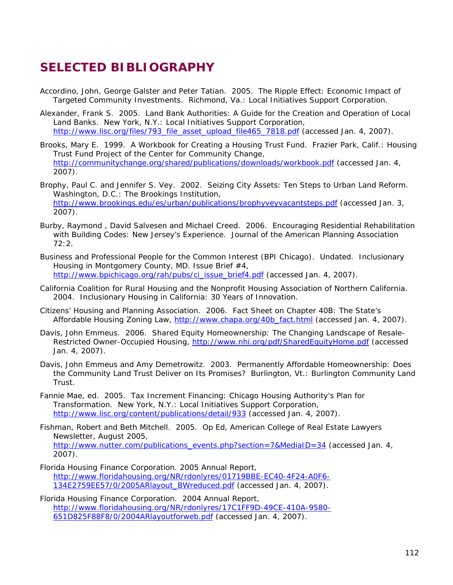## **SELECTED BIBLIOGRAPHY**

- Accordino, John, George Galster and Peter Tatian. 2005. *The Ripple Effect: Economic Impact of Targeted Community Investments*. Richmond, Va.: Local Initiatives Support Corporation.
- Alexander, Frank S. 2005. *Land Bank Authorities: A Guide for the Creation and Operation of Local Land Banks*. New York, N.Y.: Local Initiatives Support Corporation, http://www.lisc.org/files/793\_file\_asset\_upload\_file465\_7818.pdf (accessed Jan. 4, 2007).
- Brooks, Mary E. 1999. *A Workbook for Creating a Housing Trust Fund*. Frazier Park, Calif.: Housing Trust Fund Project of the Center for Community Change, http://communitychange.org/shared/publications/downloads/workbook.pdf (accessed Jan. 4, 2007).
- Brophy, Paul C. and Jennifer S. Vey. 2002. Seizing City Assets: Ten Steps to Urban Land Reform. Washington, D.C.: The Brookings Institution, http://www.brookings.edu/es/urban/publications/brophyveyvacantsteps.pdf (accessed Jan. 3, 2007).
- Burby, Raymond , David Salvesen and Michael Creed. 2006. Encouraging Residential Rehabilitation with Building Codes: New Jersey's Experience. *Journal of the American Planning Association* 72:2.
- Business and Professional People for the Common Interest (BPI Chicago). Undated. Inclusionary Housing in Montgomery County, MD. *Issue Brief* #4, http://www.bpichicago.org/rah/pubs/ci\_issue\_brief4.pdf (accessed Jan. 4, 2007).
- California Coalition for Rural Housing and the Nonprofit Housing Association of Northern California. 2004. *Inclusionary Housing in California: 30 Years of Innovation*.
- Citizens' Housing and Planning Association. 2006. *Fact Sheet on Chapter 40B: The State's Affordable Housing Zoning Law*, http://www.chapa.org/40b\_fact.html (accessed Jan. 4, 2007).
- Davis, John Emmeus. 2006. *Shared Equity Homeownership: The Changing Landscape of Resale-Restricted Owner-Occupied Housing*, http://www.nhi.org/pdf/SharedEquityHome.pdf (accessed Jan. 4, 2007).
- Davis, John Emmeus and Amy Demetrowitz. 2003. *Permanently Affordable Homeownership: Does the Community Land Trust Deliver on Its Promises?* Burlington, Vt.: Burlington Community Land Trust.
- Fannie Mae, ed. 2005. *Tax Increment Financing: Chicago Housing Authority's Plan for Transformation*. New York, N.Y.: Local Initiatives Support Corporation, http://www.lisc.org/content/publications/detail/933 (accessed Jan. 4, 2007).
- Fishman, Robert and Beth Mitchell. 2005. Op Ed, *American College of Real Estate Lawyers Newsletter*, August 2005, http://www.nutter.com/publications\_events.php?section=7&MediaID=34 (accessed Jan. 4, 2007).
- Florida Housing Finance Corporation. *2005 Annual Report*, http://www.floridahousing.org/NR/rdonlyres/01719BBE-EC40-4F24-A0F6- 134E2759EE57/0/2005ARlayout\_BWreduced.pdf (accessed Jan. 4, 2007).
- Florida Housing Finance Corporation. *2004 Annual Report*, http://www.floridahousing.org/NR/rdonlyres/17C1FF9D-49CE-410A-9580- 651D825F88F8/0/2004ARlayoutforweb.pdf (accessed Jan. 4, 2007).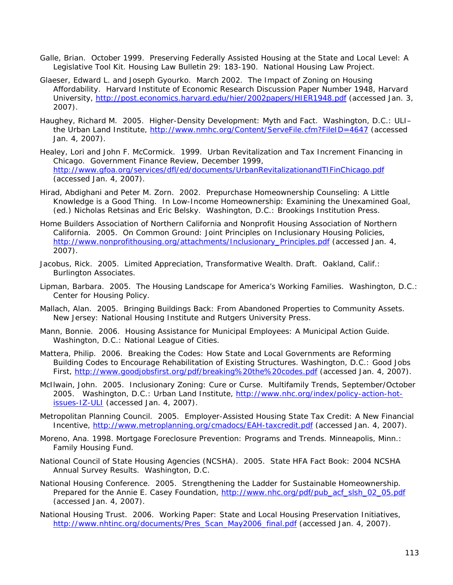- Galle, Brian. October 1999. Preserving Federally Assisted Housing at the State and Local Level: A Legislative Tool Kit. *Housing Law Bulletin* 29: 183-190. National Housing Law Project.
- Glaeser, Edward L. and Joseph Gyourko. March 2002. The Impact of Zoning on Housing Affordability. Harvard Institute of Economic Research Discussion Paper Number 1948, Harvard University, http://post.economics.harvard.edu/hier/2002papers/HIER1948.pdf (accessed Jan. 3, 2007).
- Haughey, Richard M. 2005. *Higher-Density Development: Myth and Fact*. Washington, D.C.: ULI– the Urban Land Institute, http://www.nmhc.org/Content/ServeFile.cfm?FileID=4647 (accessed Jan. 4, 2007).
- Healey, Lori and John F. McCormick. 1999. Urban Revitalization and Tax Increment Financing in Chicago. *Government Finance Review*, December 1999, http://www.gfoa.org/services/dfl/ed/documents/UrbanRevitalizationandTIFinChicago.pdf (accessed Jan. 4, 2007).
- Hirad, Abdighani and Peter M. Zorn. 2002. Prepurchase Homeownership Counseling: A Little Knowledge is a Good Thing. In *Low-Income Homeownership: Examining the Unexamined Goal*, (ed.) Nicholas Retsinas and Eric Belsky. Washington, D.C.: Brookings Institution Press.
- Home Builders Association of Northern California and Nonprofit Housing Association of Northern California. 2005. *On Common Ground: Joint Principles on Inclusionary Housing Policies*, http://www.nonprofithousing.org/attachments/Inclusionary\_Principles.pdf (accessed Jan. 4, 2007).
- Jacobus, Rick. 2005. *Limited Appreciation, Transformative Wealth*. Draft. Oakland, Calif.: Burlington Associates.
- Lipman, Barbara. 2005. *The Housing Landscape for America's Working Families*. Washington, D.C.: Center for Housing Policy.
- Mallach, Alan. 2005. *Bringing Buildings Back: From Abandoned Properties to Community Assets*. New Jersey: National Housing Institute and Rutgers University Press.
- Mann, Bonnie. 2006. *Housing Assistance for Municipal Employees: A Municipal Action Guide*. Washington, D.C.: National League of Cities.
- Mattera, Philip. 2006. *Breaking the Codes: How State and Local Governments are Reforming Building Codes to Encourage Rehabilitation of Existing Structures*. Washington, D.C.: Good Jobs First, http://www.goodjobsfirst.org/pdf/breaking%20the%20codes.pdf (accessed Jan. 4, 2007).
- McIlwain, John. 2005. Inclusionary Zoning: Cure or Curse. *Multifamily Trends*, September/October 2005. Washington, D.C.: Urban Land Institute, http://www.nhc.org/index/policy-action-hotissues-IZ-ULI (accessed Jan. 4, 2007).
- Metropolitan Planning Council. 2005. Employer-Assisted Housing State Tax Credit: A New Financial Incentive, http://www.metroplanning.org/cmadocs/EAH-taxcredit.pdf (accessed Jan. 4, 2007).
- Moreno, Ana. 1998. *Mortgage Foreclosure Prevention: Programs and Trends*. Minneapolis, Minn.: Family Housing Fund.
- National Council of State Housing Agencies (NCSHA). 2005. *State HFA Fact Book: 2004 NCSHA Annual Survey Results*. Washington, D.C.
- National Housing Conference. 2005. *Strengthening the Ladder for Sustainable Homeownership*. Prepared for the Annie E. Casey Foundation, http://www.nhc.org/pdf/pub\_acf\_slsh\_02\_05.pdf (accessed Jan. 4, 2007).
- National Housing Trust. 2006. Working Paper: State and Local Housing Preservation Initiatives, http://www.nhtinc.org/documents/Pres\_Scan\_May2006\_final.pdf (accessed Jan. 4, 2007).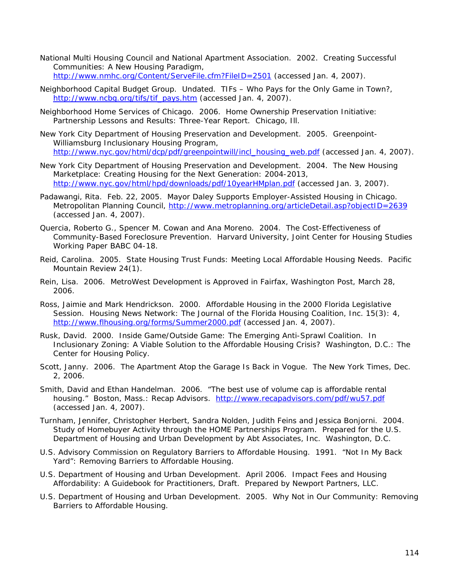- National Multi Housing Council and National Apartment Association. 2002. *Creating Successful Communities: A New Housing Paradigm*, http://www.nmhc.org/Content/ServeFile.cfm?FileID=2501 (accessed Jan. 4, 2007).
- Neighborhood Capital Budget Group. Undated. *TIFs Who Pays for the Only Game in Town?*, http://www.ncbg.org/tifs/tif\_pays.htm (accessed Jan. 4, 2007).
- Neighborhood Home Services of Chicago. 2006. *Home Ownership Preservation Initiative: Partnership Lessons and Results: Three-Year Report*. Chicago, Ill.
- New York City Department of Housing Preservation and Development. 2005. *Greenpoint-Williamsburg Inclusionary Housing Program*, http://www.nyc.gov/html/dcp/pdf/greenpointwill/incl\_housing\_web.pdf (accessed Jan. 4, 2007).
- New York City Department of Housing Preservation and Development. 2004. *The New Housing Marketplace: Creating Housing for the Next Generation: 2004-2013*, http://www.nyc.gov/html/hpd/downloads/pdf/10yearHMplan.pdf (accessed Jan. 3, 2007).
- Padawangi, Rita. Feb. 22, 2005. Mayor Daley Supports Employer-Assisted Housing in Chicago. Metropolitan Planning Council, http://www.metroplanning.org/articleDetail.asp?objectID=2639 (accessed Jan. 4, 2007).
- Quercia, Roberto G., Spencer M. Cowan and Ana Moreno. 2004. *The Cost-Effectiveness of Community-Based Foreclosure Prevention.* Harvard University, Joint Center for Housing Studies Working Paper BABC 04-18.
- Reid, Carolina. 2005. State Housing Trust Funds: Meeting Local Affordable Housing Needs. *Pacific Mountain Review* 24(1).
- Rein, Lisa. 2006. MetroWest Development is Approved in Fairfax, *Washington Post*, March 28, 2006.
- Ross, Jaimie and Mark Hendrickson. 2000. Affordable Housing in the 2000 Florida Legislative Session. *Housing News Network: The Journal of the Florida Housing Coalition, Inc.* 15(3): 4, http://www.flhousing.org/forms/Summer2000.pdf (accessed Jan. 4, 2007).
- Rusk, David. 2000. Inside Game/Outside Game: The Emerging Anti-Sprawl Coalition. In *Inclusionary Zoning: A Viable Solution to the Affordable Housing Crisis?* Washington, D.C.: The Center for Housing Policy.
- Scott, Janny. 2006. The Apartment Atop the Garage Is Back in Vogue. *The New York Times*, Dec. 2, 2006.
- Smith, David and Ethan Handelman. 2006. "The best use of volume cap is affordable rental housing." Boston, Mass.: Recap Advisors. http://www.recapadvisors.com/pdf/wu57.pdf (accessed Jan. 4, 2007).
- Turnham, Jennifer, Christopher Herbert, Sandra Nolden, Judith Feins and Jessica Bonjorni. 2004. *Study of Homebuyer Activity through the HOME Partnerships Program*. Prepared for the U.S. Department of Housing and Urban Development by Abt Associates, Inc. Washington, D.C.
- U.S. Advisory Commission on Regulatory Barriers to Affordable Housing. 1991. "*Not In My Back Yard": Removing Barriers to Affordable Housing*.
- U.S. Department of Housing and Urban Development. April 2006. *Impact Fees and Housing Affordability: A Guidebook for Practitioners*, Draft. Prepared by Newport Partners, LLC.
- U.S. Department of Housing and Urban Development. 2005. *Why Not in Our Community: Removing Barriers to Affordable Housing*.